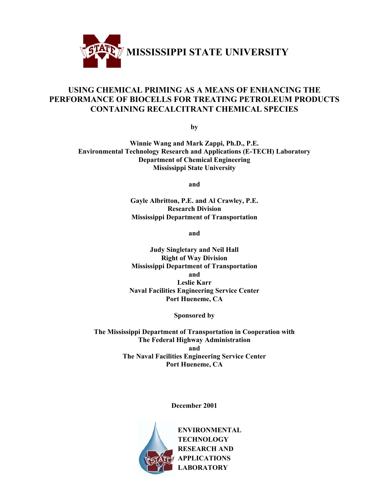

## **USING CHEMICAL PRIMING AS A MEANS OF ENHANCING THE PERFORMANCE OF BIOCELLS FOR TREATING PETROLEUM PRODUCTS CONTAINING RECALCITRANT CHEMICAL SPECIES**

**by**

**Winnie Wang and Mark Zappi, Ph.D., P.E. Environmental Technology Research and Applications (E-TECH) Laboratory Department of Chemical Engineering Mississippi State University**

**and**

**Gayle Albritton, P.E. and Al Crawley, P.E. Research Division Mississippi Department of Transportation**

**and**

**Judy Singletary and Neil Hall Right of Way Division Mississippi Department of Transportation and Leslie Karr Naval Facilities Engineering Service Center Port Hueneme, CA**

**Sponsored by**

**The Mississippi Department of Transportation in Cooperation with The Federal Highway Administration and The Naval Facilities Engineering Service Center Port Hueneme, CA**

**December 2001**

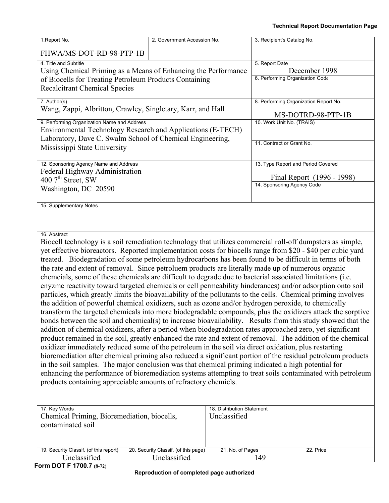| 1. Report No.                                                                                                                                                                                                                                                                                                                                                                                                                                                                                                                                                                                                                                                                                                                                                                        | 2. Government Accession No.                          |                                                                  | 3. Recipient's Catalog No.                             |               |
|--------------------------------------------------------------------------------------------------------------------------------------------------------------------------------------------------------------------------------------------------------------------------------------------------------------------------------------------------------------------------------------------------------------------------------------------------------------------------------------------------------------------------------------------------------------------------------------------------------------------------------------------------------------------------------------------------------------------------------------------------------------------------------------|------------------------------------------------------|------------------------------------------------------------------|--------------------------------------------------------|---------------|
| FHWA/MS-DOT-RD-98-PTP-1B                                                                                                                                                                                                                                                                                                                                                                                                                                                                                                                                                                                                                                                                                                                                                             |                                                      |                                                                  |                                                        |               |
| 4. Title and Subtitle<br>Using Chemical Priming as a Means of Enhancing the Performance<br>of Biocells for Treating Petroleum Products Containing<br><b>Recalcitrant Chemical Species</b>                                                                                                                                                                                                                                                                                                                                                                                                                                                                                                                                                                                            |                                                      |                                                                  | 5. Report Date<br>6. Performing Organization Code      | December 1998 |
| 7. Author(s)<br>Wang, Zappi, Albritton, Crawley, Singletary, Karr, and Hall                                                                                                                                                                                                                                                                                                                                                                                                                                                                                                                                                                                                                                                                                                          |                                                      | 8. Performing Organization Report No.                            | MS-DOTRD-98-PTP-1B                                     |               |
| 9. Performing Organization Name and Address<br>Environmental Technology Research and Applications (E-TECH)<br>Laboratory, Dave C. Swalm School of Chemical Engineering,<br>Mississippi State University                                                                                                                                                                                                                                                                                                                                                                                                                                                                                                                                                                              |                                                      |                                                                  | 10. Work Unit No. (TRAIS)<br>11. Contract or Grant No. |               |
| 12. Sponsoring Agency Name and Address<br>Federal Highway Administration<br>400 $7th$ Street, SW<br>Washington, DC 20590                                                                                                                                                                                                                                                                                                                                                                                                                                                                                                                                                                                                                                                             |                                                      | 13. Type Report and Period Covered<br>14. Sponsoring Agency Code | Final Report (1996 - 1998)                             |               |
| 15. Supplementary Notes<br>16. Abstract                                                                                                                                                                                                                                                                                                                                                                                                                                                                                                                                                                                                                                                                                                                                              |                                                      |                                                                  |                                                        |               |
| Biocell technology is a soil remediation technology that utilizes commercial roll-off dumpsters as simple,<br>yet effective bioreactors. Reported implementation costs for biocells range from \$20 - \$40 per cubic yard<br>treated. Biodegradation of some petroleum hydrocarbons has been found to be difficult in terms of both<br>the rate and extent of removal. Since petroluem products are literally made up of numerous organic<br>chemcials, some of these chemicals are difficult to degrade due to bacterial associated limitations (i.e.<br>enyzme reactivity toward targeted chemicals or cell permeability hinderances) and/or adsorption onto soil<br>particles, which greatly limits the bioavailability of the pollutants to the cells. Chemical priming involves |                                                      |                                                                  |                                                        |               |
| the addition of powerful chemical oxidizers, such as ozone and/or hydrogen peroxide, to chemically<br>transform the targeted chemicals into more biodegradable compounds, plus the oxidizers attack the sorptive<br>bonds between the soil and chemical(s) to increase bioavailability. Results from this study showed that the<br>addition of chemical oxidizers, after a period when biodegradation rates approached zero, yet significant<br>product remained in the soil, greatly enhanced the rate and extent of removal. The addition of the chemical<br>oxidizer immediately reduced some of the petroleum in the soil via direct oxidation, plus restarting<br>bioremediation after chemical priming also reduced a significant portion of the residual petroleum products   |                                                      |                                                                  |                                                        |               |
| in the soil samples. The major conclusion was that chemical priming indicated a high potential for<br>enhancing the performance of bioremediation systems attempting to treat soils contaminated with petroleum<br>products containing appreciable amounts of refractory chemicls.                                                                                                                                                                                                                                                                                                                                                                                                                                                                                                   |                                                      |                                                                  |                                                        |               |
| 17. Key Words<br>18. Distribution Statement<br>Chemical Priming, Bioremediation, biocells,<br>Unclassified<br>contaminated soil                                                                                                                                                                                                                                                                                                                                                                                                                                                                                                                                                                                                                                                      |                                                      |                                                                  |                                                        |               |
| 19. Security Classif. (of this report)<br>Unclassified                                                                                                                                                                                                                                                                                                                                                                                                                                                                                                                                                                                                                                                                                                                               | 20. Security Classif. (of this page)<br>Unclassified | 21. No. of Pages                                                 | 149                                                    | 22. Price     |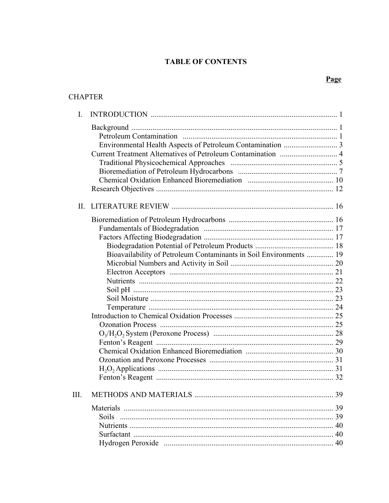## **TABLE OF CONTENTS**

## Page

## **CHAPTER**

| I.           |                                                                    |    |
|--------------|--------------------------------------------------------------------|----|
|              |                                                                    |    |
|              |                                                                    |    |
|              |                                                                    |    |
|              |                                                                    |    |
|              |                                                                    |    |
|              |                                                                    |    |
|              |                                                                    |    |
| $\mathbf{H}$ |                                                                    |    |
|              |                                                                    |    |
|              |                                                                    |    |
|              |                                                                    |    |
|              |                                                                    |    |
|              | Bioavailability of Petroleum Contaminants in Soil Environments  19 |    |
|              |                                                                    |    |
|              |                                                                    |    |
|              |                                                                    |    |
|              |                                                                    |    |
|              |                                                                    |    |
|              |                                                                    |    |
|              |                                                                    |    |
|              |                                                                    |    |
|              |                                                                    |    |
|              |                                                                    |    |
|              |                                                                    |    |
|              |                                                                    |    |
|              |                                                                    |    |
|              |                                                                    |    |
| III.         | <b>METHODS AND MATERIALS</b>                                       | 39 |
|              |                                                                    | 39 |
|              | <b>Soils</b>                                                       |    |
|              |                                                                    |    |
|              |                                                                    |    |
|              |                                                                    |    |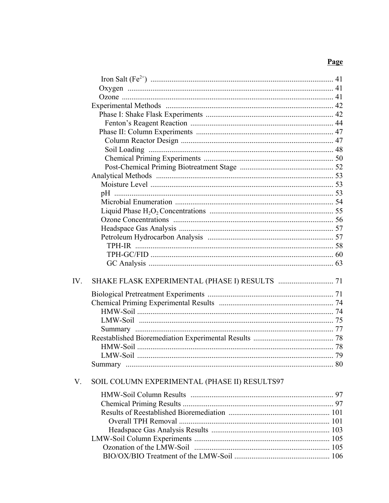## Page

| IV. |                                               |  |
|-----|-----------------------------------------------|--|
|     |                                               |  |
|     |                                               |  |
|     |                                               |  |
|     |                                               |  |
|     |                                               |  |
|     |                                               |  |
|     |                                               |  |
|     |                                               |  |
|     |                                               |  |
| V.  | SOIL COLUMN EXPERIMENTAL (PHASE II) RESULTS97 |  |
|     |                                               |  |
|     |                                               |  |
|     |                                               |  |
|     |                                               |  |
|     |                                               |  |
|     |                                               |  |
|     |                                               |  |
|     |                                               |  |
|     |                                               |  |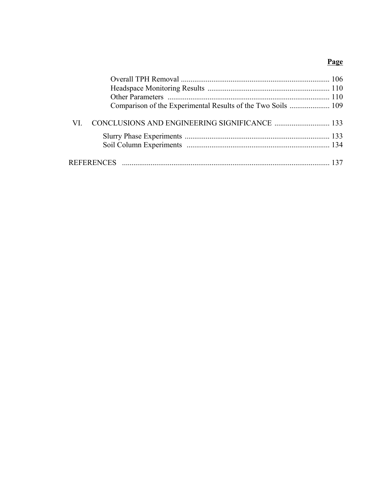## Page

| VI — |  |
|------|--|
|      |  |
|      |  |
|      |  |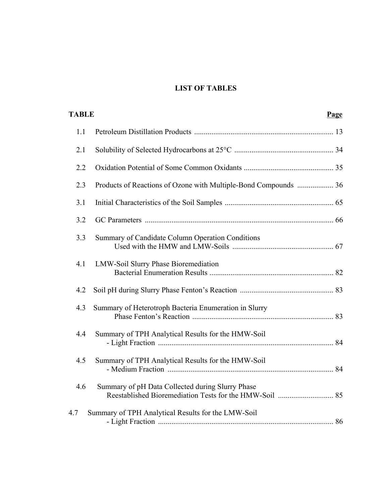## **LIST OF TABLES**

| <b>TABLE</b> |                                                                 | Page |
|--------------|-----------------------------------------------------------------|------|
| 1.1          |                                                                 |      |
| 2.1          |                                                                 |      |
| 2.2          |                                                                 |      |
| 2.3          | Products of Reactions of Ozone with Multiple-Bond Compounds  36 |      |
| 3.1          |                                                                 |      |
| 3.2          |                                                                 |      |
| 3.3          | Summary of Candidate Column Operation Conditions                |      |
| 4.1          | <b>LMW-Soil Slurry Phase Bioremediation</b>                     |      |
| 4.2          |                                                                 |      |
| 4.3          | Summary of Heterotroph Bacteria Enumeration in Slurry           |      |
| 4.4          | Summary of TPH Analytical Results for the HMW-Soil              |      |
| 4.5          | Summary of TPH Analytical Results for the HMW-Soil              |      |
| 4.6          | Summary of pH Data Collected during Slurry Phase                |      |
| 4.7          | Summary of TPH Analytical Results for the LMW-Soil              |      |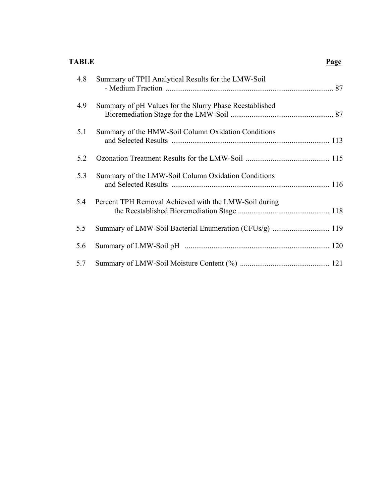### **TABLE Page**

| 4.8 | Summary of TPH Analytical Results for the LMW-Soil      |  |
|-----|---------------------------------------------------------|--|
| 4.9 | Summary of pH Values for the Slurry Phase Reestablished |  |
| 5.1 | Summary of the HMW-Soil Column Oxidation Conditions     |  |
| 5.2 |                                                         |  |
| 5.3 | Summary of the LMW-Soil Column Oxidation Conditions     |  |
| 5.4 | Percent TPH Removal Achieved with the LMW-Soil during   |  |
| 5.5 | Summary of LMW-Soil Bacterial Enumeration (CFUs/g)  119 |  |
| 5.6 |                                                         |  |
| 5.7 |                                                         |  |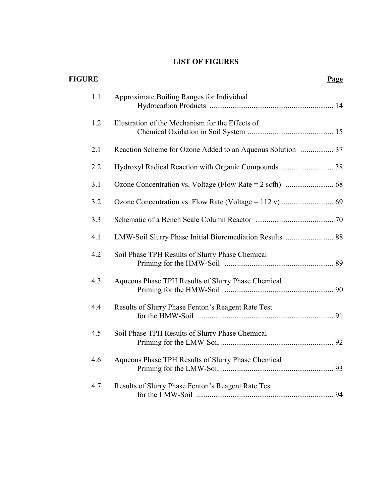## **LIST OF FIGURES**

| <b>FIGURE</b> |                                                          | Page |
|---------------|----------------------------------------------------------|------|
| 1.1           | Approximate Boiling Ranges for Individual                |      |
| 1.2           | Illustration of the Mechanism for the Effects of         |      |
| 2.1           |                                                          |      |
| 2.2           |                                                          |      |
| 3.1           |                                                          |      |
| 3.2           |                                                          |      |
| 3.3           |                                                          |      |
| 4.1           | LMW-Soil Slurry Phase Initial Bioremediation Results  88 |      |
| 4.2           | Soil Phase TPH Results of Slurry Phase Chemical          |      |
| 4.3           | Aqueous Phase TPH Results of Slurry Phase Chemical       |      |
| 4.4           | Results of Slurry Phase Fenton's Reagent Rate Test       |      |
| 4.5           | Soil Phase TPH Results of Slurry Phase Chemical          |      |
| 4.6           | Aqueous Phase TPH Results of Slurry Phase Chemical       |      |
| 4.7           | Results of Slurry Phase Fenton's Reagent Rate Test       |      |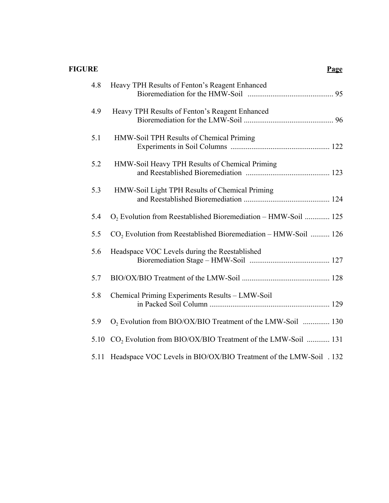# **FIGURE Page**

| 4.8  | Heavy TPH Results of Fenton's Reagent Enhanced                             |
|------|----------------------------------------------------------------------------|
| 4.9  | Heavy TPH Results of Fenton's Reagent Enhanced                             |
| 5.1  | HMW-Soil TPH Results of Chemical Priming                                   |
| 5.2  | HMW-Soil Heavy TPH Results of Chemical Priming                             |
| 5.3  | HMW-Soil Light TPH Results of Chemical Priming                             |
| 5.4  | O <sub>2</sub> Evolution from Reestablished Bioremediation – HMW-Soil  125 |
| 5.5  | $CO2$ Evolution from Reestablished Bioremediation – HMW-Soil  126          |
| 5.6  | Headspace VOC Levels during the Reestablished                              |
| 5.7  |                                                                            |
| 5.8  | Chemical Priming Experiments Results - LMW-Soil                            |
| 5.9  | O <sub>2</sub> Evolution from BIO/OX/BIO Treatment of the LMW-Soil  130    |
| 5.10 | $CO2$ Evolution from BIO/OX/BIO Treatment of the LMW-Soil  131             |
| 5.11 | Headspace VOC Levels in BIO/OX/BIO Treatment of the LMW-Soil . 132         |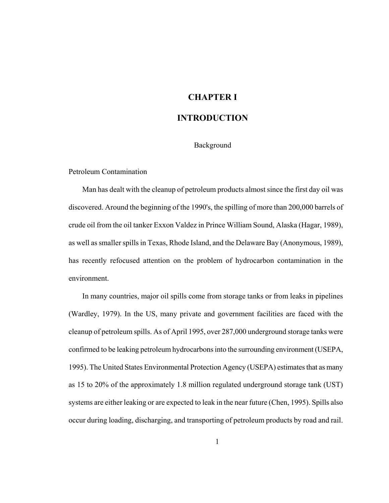## **CHAPTER I**

## **INTRODUCTION**

#### Background

#### Petroleum Contamination

Man has dealt with the cleanup of petroleum products almost since the first day oil was discovered. Around the beginning of the 1990's, the spilling of more than 200,000 barrels of crude oil from the oil tanker Exxon Valdez in Prince William Sound, Alaska (Hagar, 1989), as well as smaller spills in Texas, Rhode Island, and the Delaware Bay (Anonymous, 1989), has recently refocused attention on the problem of hydrocarbon contamination in the environment.

In many countries, major oil spills come from storage tanks or from leaks in pipelines (Wardley, 1979). In the US, many private and government facilities are faced with the cleanup of petroleum spills. As of April 1995, over 287,000 underground storage tanks were confirmed to be leaking petroleum hydrocarbons into the surrounding environment (USEPA, 1995). The United States Environmental Protection Agency (USEPA) estimates that as many as 15 to 20% of the approximately 1.8 million regulated underground storage tank (UST) systems are either leaking or are expected to leak in the near future (Chen, 1995). Spills also occur during loading, discharging, and transporting of petroleum products by road and rail.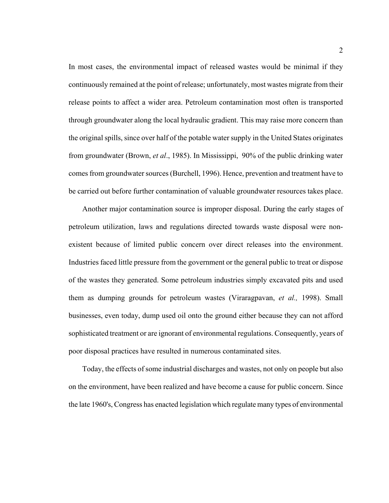In most cases, the environmental impact of released wastes would be minimal if they continuously remained at the point of release; unfortunately, most wastes migrate from their release points to affect a wider area. Petroleum contamination most often is transported through groundwater along the local hydraulic gradient. This may raise more concern than the original spills, since over half of the potable water supply in the United States originates from groundwater (Brown, *et al*., 1985). In Mississippi, 90% of the public drinking water comes from groundwater sources (Burchell, 1996). Hence, prevention and treatment have to be carried out before further contamination of valuable groundwater resources takes place.

Another major contamination source is improper disposal. During the early stages of petroleum utilization, laws and regulations directed towards waste disposal were nonexistent because of limited public concern over direct releases into the environment. Industries faced little pressure from the government or the general public to treat or dispose of the wastes they generated. Some petroleum industries simply excavated pits and used them as dumping grounds for petroleum wastes (Viraragpavan, *et al.,* 1998). Small businesses, even today, dump used oil onto the ground either because they can not afford sophisticated treatment or are ignorant of environmental regulations. Consequently, years of poor disposal practices have resulted in numerous contaminated sites.

Today, the effects of some industrial discharges and wastes, not only on people but also on the environment, have been realized and have become a cause for public concern. Since the late 1960's, Congress has enacted legislation which regulate many types of environmental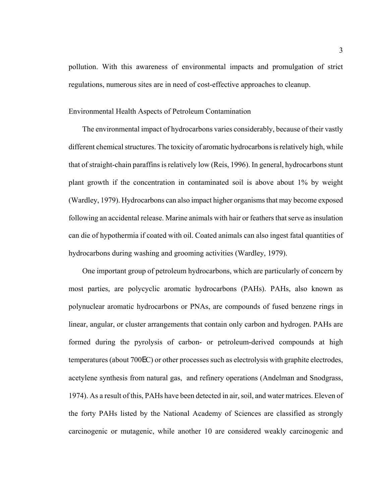pollution. With this awareness of environmental impacts and promulgation of strict regulations, numerous sites are in need of cost-effective approaches to cleanup.

#### Environmental Health Aspects of Petroleum Contamination

The environmental impact of hydrocarbons varies considerably, because of their vastly different chemical structures. The toxicity of aromatic hydrocarbons is relatively high, while that of straight-chain paraffins is relatively low (Reis, 1996). In general, hydrocarbons stunt plant growth if the concentration in contaminated soil is above about 1% by weight (Wardley, 1979). Hydrocarbons can also impact higher organisms that may become exposed following an accidental release. Marine animals with hair or feathers that serve as insulation can die of hypothermia if coated with oil. Coated animals can also ingest fatal quantities of hydrocarbons during washing and grooming activities (Wardley, 1979).

One important group of petroleum hydrocarbons, which are particularly of concern by most parties, are polycyclic aromatic hydrocarbons (PAHs). PAHs, also known as polynuclear aromatic hydrocarbons or PNAs, are compounds of fused benzene rings in linear, angular, or cluster arrangements that contain only carbon and hydrogen. PAHs are formed during the pyrolysis of carbon- or petroleum-derived compounds at high temperatures (about 700EC) or other processes such as electrolysis with graphite electrodes, acetylene synthesis from natural gas, and refinery operations (Andelman and Snodgrass, 1974). As a result of this, PAHs have been detected in air, soil, and water matrices. Eleven of the forty PAHs listed by the National Academy of Sciences are classified as strongly carcinogenic or mutagenic, while another 10 are considered weakly carcinogenic and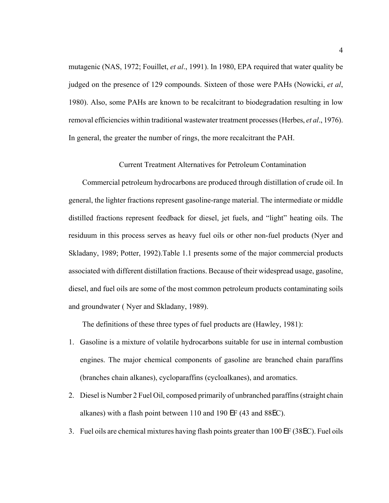mutagenic (NAS, 1972; Fouillet, *et al*., 1991). In 1980, EPA required that water quality be judged on the presence of 129 compounds. Sixteen of those were PAHs (Nowicki, *et al*, 1980). Also, some PAHs are known to be recalcitrant to biodegradation resulting in low removal efficiencies within traditional wastewater treatment processes (Herbes, *et al*., 1976). In general, the greater the number of rings, the more recalcitrant the PAH.

#### Current Treatment Alternatives for Petroleum Contamination

Commercial petroleum hydrocarbons are produced through distillation of crude oil. In general, the lighter fractions represent gasoline-range material. The intermediate or middle distilled fractions represent feedback for diesel, jet fuels, and "light" heating oils. The residuum in this process serves as heavy fuel oils or other non-fuel products (Nyer and Skladany, 1989; Potter, 1992).Table 1.1 presents some of the major commercial products associated with different distillation fractions. Because of their widespread usage, gasoline, diesel, and fuel oils are some of the most common petroleum products contaminating soils and groundwater ( Nyer and Skladany, 1989).

The definitions of these three types of fuel products are (Hawley, 1981):

- 1. Gasoline is a mixture of volatile hydrocarbons suitable for use in internal combustion engines. The major chemical components of gasoline are branched chain paraffins (branches chain alkanes), cycloparaffins (cycloalkanes), and aromatics.
- 2. Diesel is Number 2 Fuel Oil, composed primarily of unbranched paraffins (straight chain alkanes) with a flash point between 110 and 190 EF (43 and 88EC).
- 3. Fuel oils are chemical mixtures having flash points greater than 100 EF (38EC). Fuel oils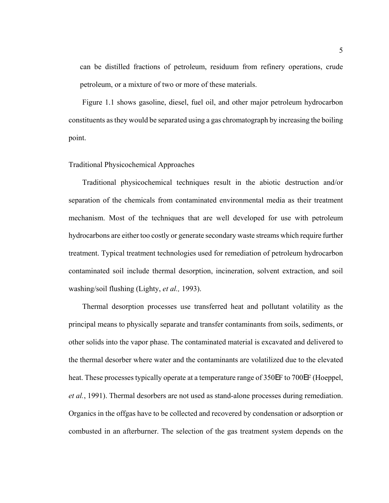can be distilled fractions of petroleum, residuum from refinery operations, crude petroleum, or a mixture of two or more of these materials.

Figure 1.1 shows gasoline, diesel, fuel oil, and other major petroleum hydrocarbon constituents as they would be separated using a gas chromatograph by increasing the boiling point.

#### Traditional Physicochemical Approaches

Traditional physicochemical techniques result in the abiotic destruction and/or separation of the chemicals from contaminated environmental media as their treatment mechanism. Most of the techniques that are well developed for use with petroleum hydrocarbons are either too costly or generate secondary waste streams which require further treatment. Typical treatment technologies used for remediation of petroleum hydrocarbon contaminated soil include thermal desorption, incineration, solvent extraction, and soil washing/soil flushing (Lighty, *et al.,* 1993).

Thermal desorption processes use transferred heat and pollutant volatility as the principal means to physically separate and transfer contaminants from soils, sediments, or other solids into the vapor phase. The contaminated material is excavated and delivered to the thermal desorber where water and the contaminants are volatilized due to the elevated heat. These processes typically operate at a temperature range of 350EF to 700EF (Hoeppel, *et al.*, 1991). Thermal desorbers are not used as stand-alone processes during remediation. Organics in the offgas have to be collected and recovered by condensation or adsorption or combusted in an afterburner. The selection of the gas treatment system depends on the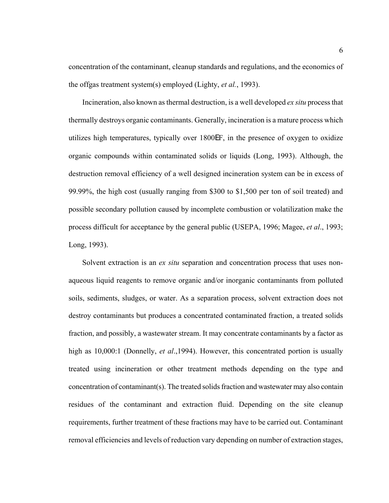concentration of the contaminant, cleanup standards and regulations, and the economics of the offgas treatment system(s) employed (Lighty, *et al.*, 1993).

Incineration, also known as thermal destruction, is a well developed *ex situ* process that thermally destroys organic contaminants. Generally, incineration is a mature process which utilizes high temperatures, typically over 1800EF, in the presence of oxygen to oxidize organic compounds within contaminated solids or liquids (Long, 1993). Although, the destruction removal efficiency of a well designed incineration system can be in excess of 99.99%, the high cost (usually ranging from \$300 to \$1,500 per ton of soil treated) and possible secondary pollution caused by incomplete combustion or volatilization make the process difficult for acceptance by the general public (USEPA, 1996; Magee, *et al*., 1993; Long, 1993).

Solvent extraction is an *ex situ* separation and concentration process that uses nonaqueous liquid reagents to remove organic and/or inorganic contaminants from polluted soils, sediments, sludges, or water. As a separation process, solvent extraction does not destroy contaminants but produces a concentrated contaminated fraction, a treated solids fraction, and possibly, a wastewater stream. It may concentrate contaminants by a factor as high as 10,000:1 (Donnelly, *et al*.,1994). However, this concentrated portion is usually treated using incineration or other treatment methods depending on the type and concentration of contaminant(s). The treated solids fraction and wastewater may also contain residues of the contaminant and extraction fluid. Depending on the site cleanup requirements, further treatment of these fractions may have to be carried out. Contaminant removal efficiencies and levels of reduction vary depending on number of extraction stages,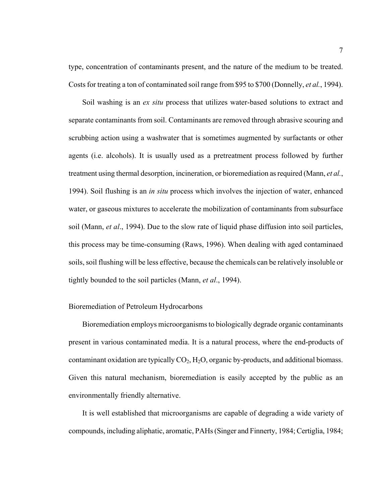type, concentration of contaminants present, and the nature of the medium to be treated. Costs for treating a ton of contaminated soil range from \$95 to \$700 (Donnelly, *et al.*, 1994).

Soil washing is an *ex situ* process that utilizes water-based solutions to extract and separate contaminants from soil. Contaminants are removed through abrasive scouring and scrubbing action using a washwater that is sometimes augmented by surfactants or other agents (i.e. alcohols). It is usually used as a pretreatment process followed by further treatment using thermal desorption, incineration, or bioremediation as required (Mann, *et al.*, 1994). Soil flushing is an *in situ* process which involves the injection of water, enhanced water, or gaseous mixtures to accelerate the mobilization of contaminants from subsurface soil (Mann, *et al*., 1994). Due to the slow rate of liquid phase diffusion into soil particles, this process may be time-consuming (Raws, 1996). When dealing with aged contaminaed soils, soil flushing will be less effective, because the chemicals can be relatively insoluble or tightly bounded to the soil particles (Mann, *et al*., 1994).

#### Bioremediation of Petroleum Hydrocarbons

Bioremediation employs microorganisms to biologically degrade organic contaminants present in various contaminated media. It is a natural process, where the end-products of contaminant oxidation are typically  $CO<sub>2</sub>$ , H<sub>2</sub>O, organic by-products, and additional biomass. Given this natural mechanism, bioremediation is easily accepted by the public as an environmentally friendly alternative.

It is well established that microorganisms are capable of degrading a wide variety of compounds, including aliphatic, aromatic, PAHs (Singer and Finnerty, 1984; Certiglia, 1984;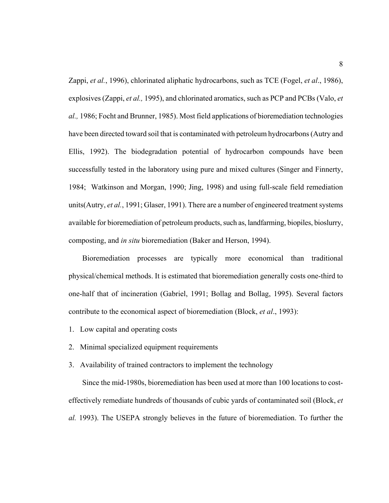Zappi, *et al.*, 1996), chlorinated aliphatic hydrocarbons, such as TCE (Fogel, *et al*., 1986), explosives (Zappi, *et al.,* 1995), and chlorinated aromatics, such as PCP and PCBs (Valo, *et al.,* 1986; Focht and Brunner, 1985). Most field applications of bioremediation technologies have been directed toward soil that is contaminated with petroleum hydrocarbons (Autry and Ellis, 1992). The biodegradation potential of hydrocarbon compounds have been successfully tested in the laboratory using pure and mixed cultures (Singer and Finnerty, 1984; Watkinson and Morgan, 1990; Jing, 1998) and using full-scale field remediation units(Autry, *et al.*, 1991; Glaser, 1991). There are a number of engineered treatment systems available for bioremediation of petroleum products, such as, landfarming, biopiles, bioslurry, composting, and *in situ* bioremediation (Baker and Herson, 1994).

Bioremediation processes are typically more economical than traditional physical/chemical methods. It is estimated that bioremediation generally costs one-third to one-half that of incineration (Gabriel, 1991; Bollag and Bollag, 1995). Several factors contribute to the economical aspect of bioremediation (Block, *et al*., 1993):

- 1. Low capital and operating costs
- 2. Minimal specialized equipment requirements
- 3. Availability of trained contractors to implement the technology

Since the mid-1980s, bioremediation has been used at more than 100 locations to costeffectively remediate hundreds of thousands of cubic yards of contaminated soil (Block, *et al.* 1993). The USEPA strongly believes in the future of bioremediation. To further the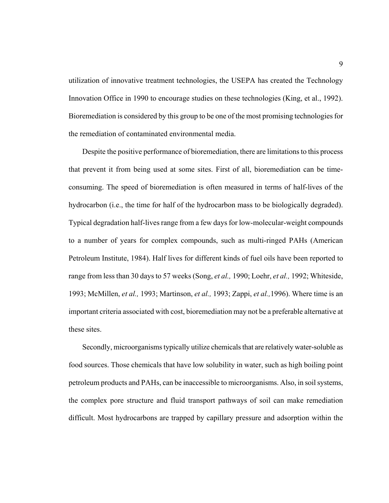utilization of innovative treatment technologies, the USEPA has created the Technology Innovation Office in 1990 to encourage studies on these technologies (King, et al., 1992). Bioremediation is considered by this group to be one of the most promising technologies for the remediation of contaminated environmental media.

Despite the positive performance of bioremediation, there are limitations to this process that prevent it from being used at some sites. First of all, bioremediation can be timeconsuming. The speed of bioremediation is often measured in terms of half-lives of the hydrocarbon (i.e., the time for half of the hydrocarbon mass to be biologically degraded). Typical degradation half-lives range from a few days for low-molecular-weight compounds to a number of years for complex compounds, such as multi-ringed PAHs (American Petroleum Institute, 1984). Half lives for different kinds of fuel oils have been reported to range from less than 30 days to 57 weeks (Song, *et al.,* 1990; Loehr, *et al.,* 1992; Whiteside, 1993; McMillen, *et al.,* 1993; Martinson, *et al.,* 1993; Zappi, *et al.,*1996). Where time is an important criteria associated with cost, bioremediation may not be a preferable alternative at these sites.

Secondly, microorganisms typically utilize chemicals that are relatively water-soluble as food sources. Those chemicals that have low solubility in water, such as high boiling point petroleum products and PAHs, can be inaccessible to microorganisms. Also, in soil systems, the complex pore structure and fluid transport pathways of soil can make remediation difficult. Most hydrocarbons are trapped by capillary pressure and adsorption within the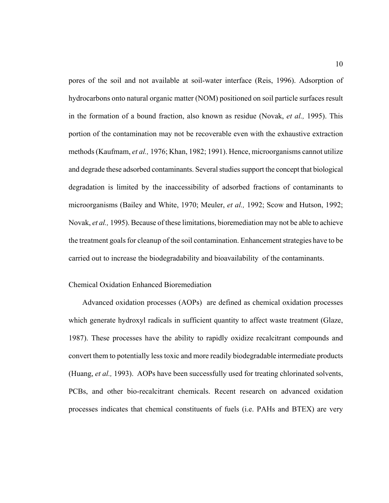pores of the soil and not available at soil-water interface (Reis, 1996). Adsorption of hydrocarbons onto natural organic matter (NOM) positioned on soil particle surfaces result in the formation of a bound fraction, also known as residue (Novak, *et al.,* 1995). This portion of the contamination may not be recoverable even with the exhaustive extraction methods (Kaufmam, *et al.,* 1976; Khan, 1982; 1991). Hence, microorganisms cannot utilize and degrade these adsorbed contaminants. Several studies support the concept that biological degradation is limited by the inaccessibility of adsorbed fractions of contaminants to microorganisms (Bailey and White, 1970; Meuler, *et al.,* 1992; Scow and Hutson, 1992; Novak, *et al.,* 1995). Because of these limitations, bioremediation may not be able to achieve the treatment goals for cleanup of the soil contamination. Enhancement strategies have to be carried out to increase the biodegradability and bioavailability of the contaminants.

#### Chemical Oxidation Enhanced Bioremediation

Advanced oxidation processes (AOPs) are defined as chemical oxidation processes which generate hydroxyl radicals in sufficient quantity to affect waste treatment (Glaze, 1987). These processes have the ability to rapidly oxidize recalcitrant compounds and convert them to potentially less toxic and more readily biodegradable intermediate products (Huang, *et al.,* 1993). AOPs have been successfully used for treating chlorinated solvents, PCBs, and other bio-recalcitrant chemicals. Recent research on advanced oxidation processes indicates that chemical constituents of fuels (i.e. PAHs and BTEX) are very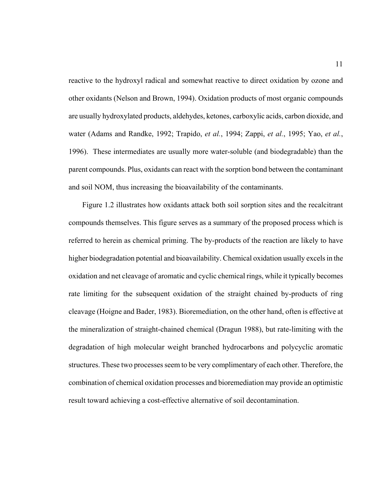reactive to the hydroxyl radical and somewhat reactive to direct oxidation by ozone and other oxidants (Nelson and Brown, 1994). Oxidation products of most organic compounds are usually hydroxylated products, aldehydes, ketones, carboxylic acids, carbon dioxide, and water (Adams and Randke, 1992; Trapido, *et al.*, 1994; Zappi, *et al.*, 1995; Yao, *et al.*, 1996). These intermediates are usually more water-soluble (and biodegradable) than the parent compounds. Plus, oxidants can react with the sorption bond between the contaminant and soil NOM, thus increasing the bioavailability of the contaminants.

Figure 1.2 illustrates how oxidants attack both soil sorption sites and the recalcitrant compounds themselves. This figure serves as a summary of the proposed process which is referred to herein as chemical priming. The by-products of the reaction are likely to have higher biodegradation potential and bioavailability. Chemical oxidation usually excels in the oxidation and net cleavage of aromatic and cyclic chemical rings, while it typically becomes rate limiting for the subsequent oxidation of the straight chained by-products of ring cleavage (Hoigne and Bader, 1983). Bioremediation, on the other hand, often is effective at the mineralization of straight-chained chemical (Dragun 1988), but rate-limiting with the degradation of high molecular weight branched hydrocarbons and polycyclic aromatic structures. These two processes seem to be very complimentary of each other. Therefore, the combination of chemical oxidation processes and bioremediation may provide an optimistic result toward achieving a cost-effective alternative of soil decontamination.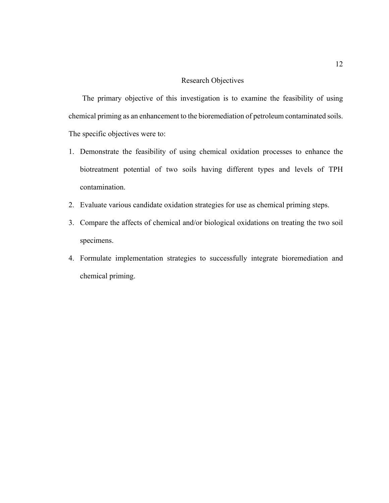#### Research Objectives

The primary objective of this investigation is to examine the feasibility of using chemical priming as an enhancement to the bioremediation of petroleum contaminated soils. The specific objectives were to:

- 1. Demonstrate the feasibility of using chemical oxidation processes to enhance the biotreatment potential of two soils having different types and levels of TPH contamination.
- 2. Evaluate various candidate oxidation strategies for use as chemical priming steps.
- 3. Compare the affects of chemical and/or biological oxidations on treating the two soil specimens.
- 4. Formulate implementation strategies to successfully integrate bioremediation and chemical priming.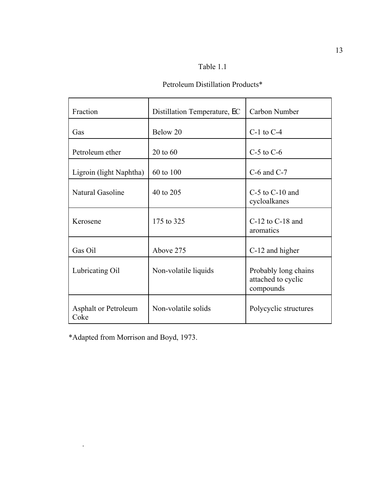## Table 1.1

## Petroleum Distillation Products\*

| Fraction                            | Distillation Temperature, EC | Carbon Number                                           |
|-------------------------------------|------------------------------|---------------------------------------------------------|
| Gas                                 | Below 20                     | $C-1$ to $C-4$                                          |
| Petroleum ether                     | $20$ to $60$                 | $C-5$ to $C-6$                                          |
| Ligroin (light Naphtha)             | 60 to 100                    | $C-6$ and $C-7$                                         |
| Natural Gasoline                    | 40 to 205                    | $C-5$ to $C-10$ and<br>cycloalkanes                     |
| Kerosene                            | 175 to 325                   | $C-12$ to $C-18$ and<br>aromatics                       |
| Gas Oil                             | Above 275                    | C-12 and higher                                         |
| Lubricating Oil                     | Non-volatile liquids         | Probably long chains<br>attached to cyclic<br>compounds |
| <b>Asphalt or Petroleum</b><br>Coke | Non-volatile solids          | Polycyclic structures                                   |

\*Adapted from Morrison and Boyd, 1973.

.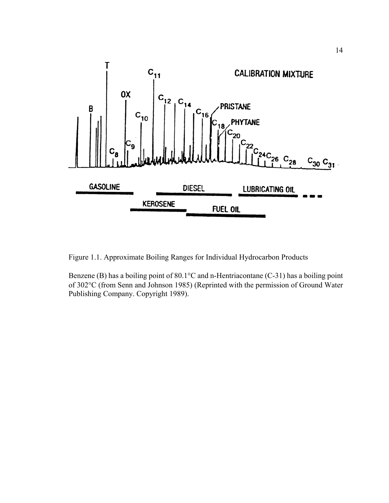

Figure 1.1. Approximate Boiling Ranges for Individual Hydrocarbon Products

Benzene (B) has a boiling point of 80.1°C and n-Hentriacontane (C-31) has a boiling point of 302°C (from Senn and Johnson 1985) (Reprinted with the permission of Ground Water Publishing Company. Copyright 1989).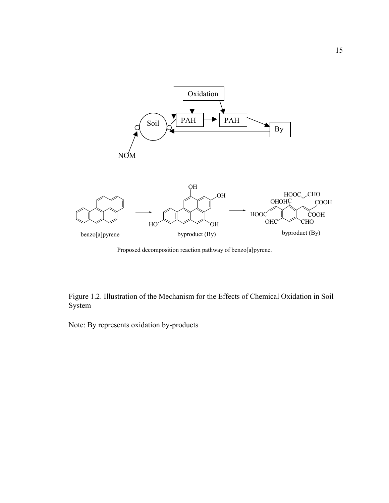

Proposed decomposition reaction pathway of benzo[a]pyrene.

Figure 1.2. Illustration of the Mechanism for the Effects of Chemical Oxidation in Soil System

Note: By represents oxidation by-products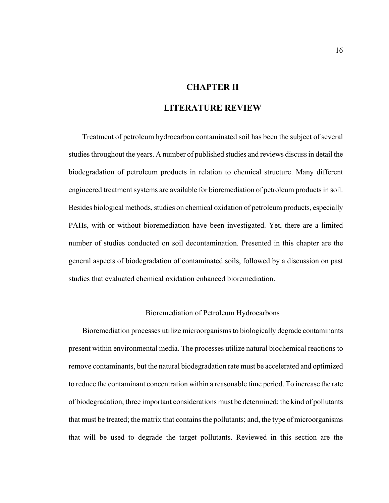## **CHAPTER II**

### **LITERATURE REVIEW**

Treatment of petroleum hydrocarbon contaminated soil has been the subject of several studies throughout the years. A number of published studies and reviews discuss in detail the biodegradation of petroleum products in relation to chemical structure. Many different engineered treatment systems are available for bioremediation of petroleum products in soil. Besides biological methods, studies on chemical oxidation of petroleum products, especially PAHs, with or without bioremediation have been investigated. Yet, there are a limited number of studies conducted on soil decontamination. Presented in this chapter are the general aspects of biodegradation of contaminated soils, followed by a discussion on past studies that evaluated chemical oxidation enhanced bioremediation.

#### Bioremediation of Petroleum Hydrocarbons

Bioremediation processes utilize microorganisms to biologically degrade contaminants present within environmental media. The processes utilize natural biochemical reactions to remove contaminants, but the natural biodegradation rate must be accelerated and optimized to reduce the contaminant concentration within a reasonable time period. To increase the rate of biodegradation, three important considerations must be determined: the kind of pollutants that must be treated; the matrix that contains the pollutants; and, the type of microorganisms that will be used to degrade the target pollutants. Reviewed in this section are the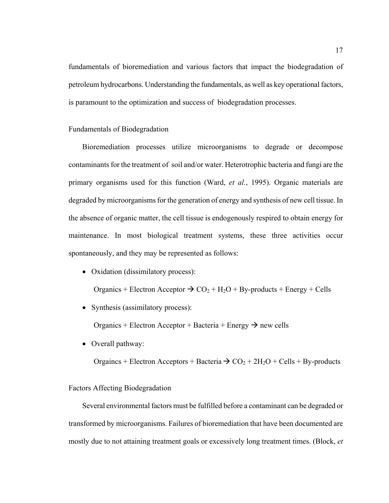fundamentals of bioremediation and various factors that impact the biodegradation of petroleum hydrocarbons. Understanding the fundamentals, as well as key operational factors, is paramount to the optimization and success of biodegradation processes.

#### Fundamentals of Biodegradation

Bioremediation processes utilize microorganisms to degrade or decompose contaminants for the treatment of soil and/or water. Heterotrophic bacteria and fungi are the primary organisms used for this function (Ward, *et al.*, 1995). Organic materials are degraded by microorganisms for the generation of energy and synthesis of new cell tissue. In the absence of organic matter, the cell tissue is endogenously respired to obtain energy for maintenance. In most biological treatment systems, these three activities occur spontaneously, and they may be represented as follows:

• Oxidation (dissimilatory process):

Organics + Electron Acceptor  $\rightarrow$  CO<sub>2</sub> + H<sub>2</sub>O + By-products + Energy + Cells

• Synthesis (assimilatory process):

Organics + Electron Acceptor + Bacteria + Energy  $\rightarrow$  new cells

• Overall pathway:

Orgaincs + Electron Acceptors + Bacteria  $\rightarrow$  CO<sub>2</sub> + 2H<sub>2</sub>O + Cells + By-products

#### Factors Affecting Biodegradation

Several environmental factors must be fulfilled before a contaminant can be degraded or transformed by microorganisms. Failures of bioremediation that have been documented are mostly due to not attaining treatment goals or excessively long treatment times. (Block, *et*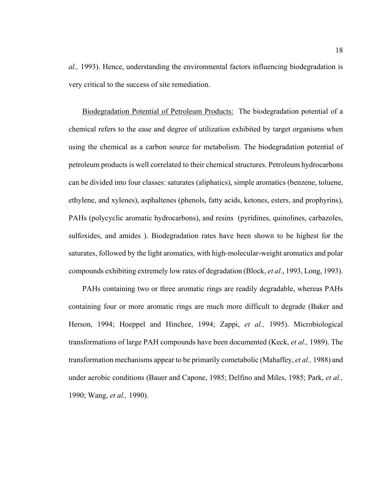*al.,* 1993). Hence, understanding the environmental factors influencing biodegradation is very critical to the success of site remediation.

Biodegradation Potential of Petroleum Products: The biodegradation potential of a chemical refers to the ease and degree of utilization exhibited by target organisms when using the chemical as a carbon source for metabolism. The biodegradation potential of petroleum products is well correlated to their chemical structures. Petroleum hydrocarbons can be divided into four classes: saturates (aliphatics), simple aromatics (benzene, toluene, ethylene, and xylenes), asphaltenes (phenols, fatty acids, ketones, esters, and prophyrins), PAHs (polycyclic aromatic hydrocarbons), and resins (pyridines, quinolines, carbazoles, sulfoxides, and amides ). Biodegradation rates have been shown to be highest for the saturates, followed by the light aromatics, with high-molecular-weight aromatics and polar compounds exhibiting extremely low rates of degradation (Block, *et al*., 1993, Long, 1993).

PAHs containing two or three aromatic rings are readily degradable, whereas PAHs containing four or more aromatic rings are much more difficult to degrade (Baker and Herson, 1994; Hoeppel and Hinchee, 1994; Zappi, *et al.,* 1995). Microbiological transformations of large PAH compounds have been documented (Keck, *et al.,* 1989). The transformation mechanisms appear to be primarily cometabolic (Mahaffey, *et al.,* 1988) and under aerobic conditions (Bauer and Capone, 1985; Delfino and Miles, 1985; Park, *et al.,*  1990; Wang, *et al.,* 1990).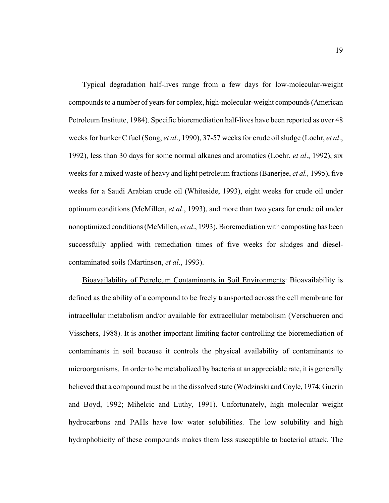Typical degradation half-lives range from a few days for low-molecular-weight compounds to a number of years for complex, high-molecular-weight compounds (American Petroleum Institute, 1984). Specific bioremediation half-lives have been reported as over 48 weeks for bunker C fuel (Song, *et al*., 1990), 37-57 weeks for crude oil sludge (Loehr, *et al*., 1992), less than 30 days for some normal alkanes and aromatics (Loehr, *et al*., 1992), six weeks for a mixed waste of heavy and light petroleum fractions (Banerjee, *et al.,* 1995), five weeks for a Saudi Arabian crude oil (Whiteside, 1993), eight weeks for crude oil under optimum conditions (McMillen, *et al*., 1993), and more than two years for crude oil under nonoptimized conditions (McMillen, *et al*., 1993). Bioremediation with composting has been successfully applied with remediation times of five weeks for sludges and dieselcontaminated soils (Martinson, *et al*., 1993).

Bioavailability of Petroleum Contaminants in Soil Environments: Bioavailability is defined as the ability of a compound to be freely transported across the cell membrane for intracellular metabolism and/or available for extracellular metabolism (Verschueren and Visschers, 1988). It is another important limiting factor controlling the bioremediation of contaminants in soil because it controls the physical availability of contaminants to microorganisms. In order to be metabolized by bacteria at an appreciable rate, it is generally believed that a compound must be in the dissolved state (Wodzinski and Coyle, 1974; Guerin and Boyd, 1992; Mihelcic and Luthy, 1991). Unfortunately, high molecular weight hydrocarbons and PAHs have low water solubilities. The low solubility and high hydrophobicity of these compounds makes them less susceptible to bacterial attack. The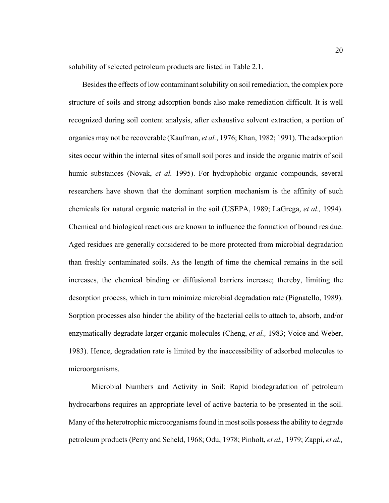solubility of selected petroleum products are listed in Table 2.1.

Besides the effects of low contaminant solubility on soil remediation, the complex pore structure of soils and strong adsorption bonds also make remediation difficult. It is well recognized during soil content analysis, after exhaustive solvent extraction, a portion of organics may not be recoverable (Kaufman, *et al.*, 1976; Khan, 1982; 1991). The adsorption sites occur within the internal sites of small soil pores and inside the organic matrix of soil humic substances (Novak, *et al.* 1995). For hydrophobic organic compounds, several researchers have shown that the dominant sorption mechanism is the affinity of such chemicals for natural organic material in the soil (USEPA, 1989; LaGrega, *et al.,* 1994). Chemical and biological reactions are known to influence the formation of bound residue. Aged residues are generally considered to be more protected from microbial degradation than freshly contaminated soils. As the length of time the chemical remains in the soil increases, the chemical binding or diffusional barriers increase; thereby, limiting the desorption process, which in turn minimize microbial degradation rate (Pignatello, 1989). Sorption processes also hinder the ability of the bacterial cells to attach to, absorb, and/or enzymatically degradate larger organic molecules (Cheng, *et al.,* 1983; Voice and Weber, 1983). Hence, degradation rate is limited by the inaccessibility of adsorbed molecules to microorganisms.

Microbial Numbers and Activity in Soil: Rapid biodegradation of petroleum hydrocarbons requires an appropriate level of active bacteria to be presented in the soil. Many of the heterotrophic microorganisms found in most soils possess the ability to degrade petroleum products (Perry and Scheld, 1968; Odu, 1978; Pinholt, *et al.,* 1979; Zappi, *et al.,*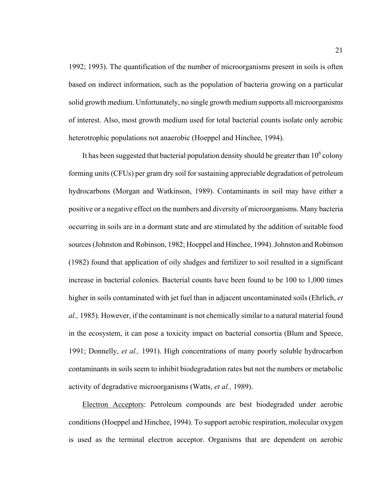1992; 1993). The quantification of the number of microorganisms present in soils is often based on indirect information, such as the population of bacteria growing on a particular solid growth medium. Unfortunately, no single growth medium supports all microorganisms of interest. Also, most growth medium used for total bacterial counts isolate only aerobic heterotrophic populations not anaerobic (Hoeppel and Hinchee, 1994).

It has been suggested that bacterial population density should be greater than  $10^6$  colony forming units (CFUs) per gram dry soil for sustaining appreciable degradation of petroleum hydrocarbons (Morgan and Watkinson, 1989). Contaminants in soil may have either a positive or a negative effect on the numbers and diversity of microorganisms. Many bacteria occurring in soils are in a dormant state and are stimulated by the addition of suitable food sources (Johnston and Robinson, 1982; Hoeppel and Hinchee, 1994). Johnston and Robinson (1982) found that application of oily sludges and fertilizer to soil resulted in a significant increase in bacterial colonies. Bacterial counts have been found to be 100 to 1,000 times higher in soils contaminated with jet fuel than in adjacent uncontaminated soils (Ehrlich, *et al.,* 1985). However, if the contaminant is not chemically similar to a natural material found in the ecosystem, it can pose a toxicity impact on bacterial consortia (Blum and Speece, 1991; Donnelly, *et al.,* 1991). High concentrations of many poorly soluble hydrocarbon contaminants in soils seem to inhibit biodegradation rates but not the numbers or metabolic activity of degradative microorganisms (Watts, *et al.,* 1989).

Electron Acceptors: Petroleum compounds are best biodegraded under aerobic conditions (Hoeppel and Hinchee, 1994). To support aerobic respiration, molecular oxygen is used as the terminal electron acceptor. Organisms that are dependent on aerobic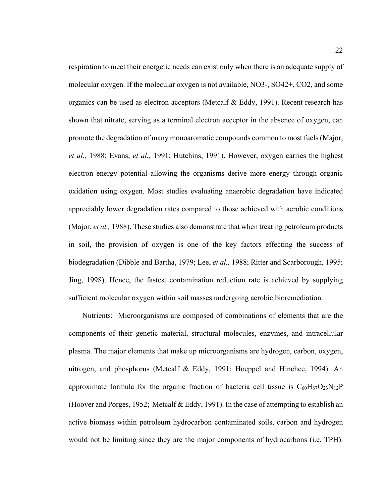respiration to meet their energetic needs can exist only when there is an adequate supply of molecular oxygen. If the molecular oxygen is not available, NO3-, SO42+, CO2, and some organics can be used as electron acceptors (Metcalf & Eddy, 1991). Recent research has shown that nitrate, serving as a terminal electron acceptor in the absence of oxygen, can promote the degradation of many monoaromatic compounds common to most fuels (Major, *et al.,* 1988; Evans, *et al.,* 1991; Hutchins, 1991). However, oxygen carries the highest electron energy potential allowing the organisms derive more energy through organic oxidation using oxygen. Most studies evaluating anaerobic degradation have indicated appreciably lower degradation rates compared to those achieved with aerobic conditions (Major, *et al.,* 1988). These studies also demonstrate that when treating petroleum products in soil, the provision of oxygen is one of the key factors effecting the success of biodegradation (Dibble and Bartha, 1979; Lee, *et al.,* 1988; Ritter and Scarborough, 1995; Jing, 1998). Hence, the fastest contamination reduction rate is achieved by supplying sufficient molecular oxygen within soil masses undergoing aerobic bioremediation.

Nutrients: Microorganisms are composed of combinations of elements that are the components of their genetic material, structural molecules, enzymes, and intracellular plasma. The major elements that make up microorganisms are hydrogen, carbon, oxygen, nitrogen, and phosphorus (Metcalf & Eddy, 1991; Hoeppel and Hinchee, 1994). An approximate formula for the organic fraction of bacteria cell tissue is  $C_{60}H_{87}O_{23}N_{12}P$ (Hoover and Porges, 1952; Metcalf & Eddy, 1991). In the case of attempting to establish an active biomass within petroleum hydrocarbon contaminated soils, carbon and hydrogen would not be limiting since they are the major components of hydrocarbons (i.e. TPH).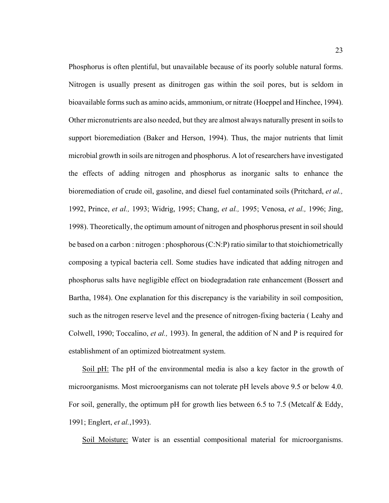Phosphorus is often plentiful, but unavailable because of its poorly soluble natural forms. Nitrogen is usually present as dinitrogen gas within the soil pores, but is seldom in bioavailable forms such as amino acids, ammonium, or nitrate (Hoeppel and Hinchee, 1994). Other micronutrients are also needed, but they are almost always naturally present in soils to support bioremediation (Baker and Herson, 1994). Thus, the major nutrients that limit microbial growth in soils are nitrogen and phosphorus. A lot of researchers have investigated the effects of adding nitrogen and phosphorus as inorganic salts to enhance the bioremediation of crude oil, gasoline, and diesel fuel contaminated soils (Pritchard, *et al.,* 1992, Prince, *et al.,* 1993; Widrig, 1995; Chang, *et al.,* 1995; Venosa, *et al.,* 1996; Jing, 1998). Theoretically, the optimum amount of nitrogen and phosphorus present in soil should be based on a carbon : nitrogen : phosphorous (C:N:P) ratio similar to that stoichiometrically composing a typical bacteria cell. Some studies have indicated that adding nitrogen and phosphorus salts have negligible effect on biodegradation rate enhancement (Bossert and Bartha, 1984). One explanation for this discrepancy is the variability in soil composition, such as the nitrogen reserve level and the presence of nitrogen-fixing bacteria ( Leahy and Colwell, 1990; Toccalino, *et al.,* 1993). In general, the addition of N and P is required for establishment of an optimized biotreatment system.

Soil pH: The pH of the environmental media is also a key factor in the growth of microorganisms. Most microorganisms can not tolerate pH levels above 9.5 or below 4.0. For soil, generally, the optimum pH for growth lies between 6.5 to 7.5 (Metcalf & Eddy, 1991; Englert, *et al.*,1993).

Soil Moisture: Water is an essential compositional material for microorganisms.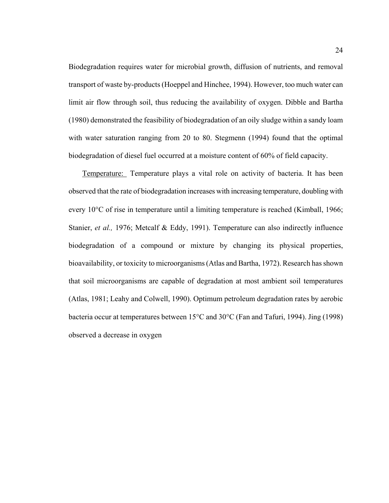Biodegradation requires water for microbial growth, diffusion of nutrients, and removal transport of waste by-products (Hoeppel and Hinchee, 1994). However, too much water can limit air flow through soil, thus reducing the availability of oxygen. Dibble and Bartha (1980) demonstrated the feasibility of biodegradation of an oily sludge within a sandy loam with water saturation ranging from 20 to 80. Stegmenn (1994) found that the optimal biodegradation of diesel fuel occurred at a moisture content of 60% of field capacity.

Temperature: Temperature plays a vital role on activity of bacteria. It has been observed that the rate of biodegradation increases with increasing temperature, doubling with every 10°C of rise in temperature until a limiting temperature is reached (Kimball, 1966; Stanier, *et al.*, 1976; Metcalf & Eddy, 1991). Temperature can also indirectly influence biodegradation of a compound or mixture by changing its physical properties, bioavailability, or toxicity to microorganisms (Atlas and Bartha, 1972). Research has shown that soil microorganisms are capable of degradation at most ambient soil temperatures (Atlas, 1981; Leahy and Colwell, 1990). Optimum petroleum degradation rates by aerobic bacteria occur at temperatures between 15°C and 30°C (Fan and Tafuri, 1994). Jing (1998) observed a decrease in oxygen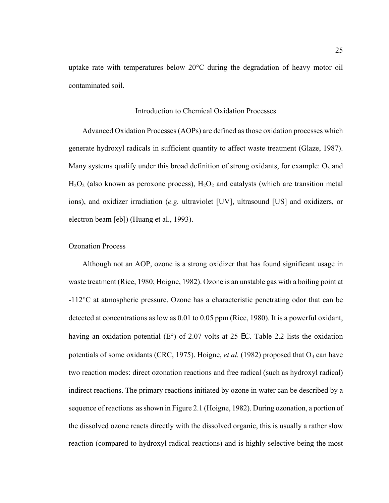uptake rate with temperatures below 20°C during the degradation of heavy motor oil contaminated soil.

#### Introduction to Chemical Oxidation Processes

Advanced Oxidation Processes (AOPs) are defined as those oxidation processes which generate hydroxyl radicals in sufficient quantity to affect waste treatment (Glaze, 1987). Many systems qualify under this broad definition of strong oxidants, for example:  $O_3$  and  $H_2O_2$  (also known as peroxone process),  $H_2O_2$  and catalysts (which are transition metal ions), and oxidizer irradiation (*e.g.* ultraviolet [UV], ultrasound [US] and oxidizers, or electron beam [eb]) (Huang et al., 1993).

#### Ozonation Process

Although not an AOP, ozone is a strong oxidizer that has found significant usage in waste treatment (Rice, 1980; Hoigne, 1982). Ozone is an unstable gas with a boiling point at -112°C at atmospheric pressure. Ozone has a characteristic penetrating odor that can be detected at concentrations as low as 0.01 to 0.05 ppm (Rice, 1980). It is a powerful oxidant, having an oxidation potential (E°) of 2.07 volts at 25 EC. Table 2.2 lists the oxidation potentials of some oxidants (CRC, 1975). Hoigne, *et al.* (1982) proposed that  $O_3$  can have two reaction modes: direct ozonation reactions and free radical (such as hydroxyl radical) indirect reactions. The primary reactions initiated by ozone in water can be described by a sequence of reactions as shown in Figure 2.1 (Hoigne, 1982). During ozonation, a portion of the dissolved ozone reacts directly with the dissolved organic, this is usually a rather slow reaction (compared to hydroxyl radical reactions) and is highly selective being the most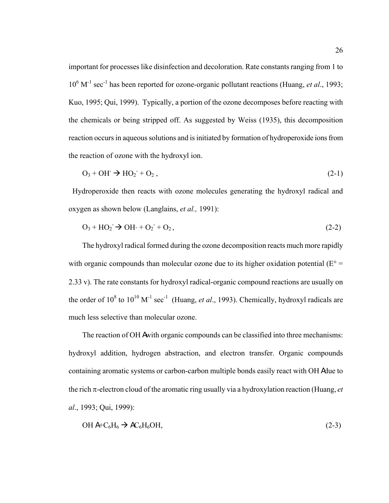important for processes like disinfection and decoloration. Rate constants ranging from 1 to 10<sup>6</sup> M<sup>-1</sup> sec<sup>-1</sup> has been reported for ozone-organic pollutant reactions (Huang, *et al.*, 1993; Kuo, 1995; Qui, 1999). Typically, a portion of the ozone decomposes before reacting with the chemicals or being stripped off. As suggested by Weiss (1935), this decomposition reaction occurs in aqueous solutions and is initiated by formation of hydroperoxide ions from the reaction of ozone with the hydroxyl ion.

$$
O_3 + OH \rightarrow HO_2 + O_2, \qquad (2-1)
$$

 Hydroperoxide then reacts with ozone molecules generating the hydroxyl radical and oxygen as shown below (Langlains, *et al.,* 1991):

$$
O_3 + HO_2 \rightarrow OH \cdot + O_2 + O_2, \tag{2-2}
$$

The hydroxyl radical formed during the ozone decomposition reacts much more rapidly with organic compounds than molecular ozone due to its higher oxidation potential ( $E^{\circ}$  = 2.33 v). The rate constants for hydroxyl radical-organic compound reactions are usually on the order of  $10^8$  to  $10^{10}$  M<sup>-1</sup> sec<sup>-1</sup> (Huang, *et al.*, 1993). Chemically, hydroxyl radicals are much less selective than molecular ozone.

The reaction of OH A with organic compounds can be classified into three mechanisms: hydroxyl addition, hydrogen abstraction, and electron transfer. Organic compounds containing aromatic systems or carbon-carbon multiple bonds easily react with OH A due to the rich π-electron cloud of the aromatic ring usually via a hydroxylation reaction (Huang, *et al*., 1993; Qui, 1999):

$$
OH A+C6H6 \rightarrow AC6H6OH,
$$
\n(2-3)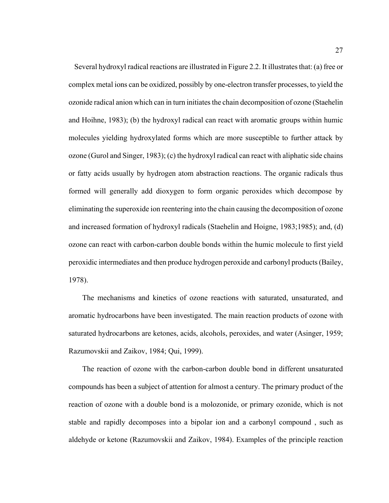Several hydroxyl radical reactions are illustrated in Figure 2.2. It illustrates that: (a) free or complex metal ions can be oxidized, possibly by one-electron transfer processes, to yield the ozonide radical anion which can in turn initiates the chain decomposition of ozone (Staehelin and Hoihne, 1983); (b) the hydroxyl radical can react with aromatic groups within humic molecules yielding hydroxylated forms which are more susceptible to further attack by ozone (Gurol and Singer, 1983); (c) the hydroxyl radical can react with aliphatic side chains or fatty acids usually by hydrogen atom abstraction reactions. The organic radicals thus formed will generally add dioxygen to form organic peroxides which decompose by eliminating the superoxide ion reentering into the chain causing the decomposition of ozone and increased formation of hydroxyl radicals (Staehelin and Hoigne, 1983;1985); and, (d) ozone can react with carbon-carbon double bonds within the humic molecule to first yield peroxidic intermediates and then produce hydrogen peroxide and carbonyl products (Bailey, 1978).

The mechanisms and kinetics of ozone reactions with saturated, unsaturated, and aromatic hydrocarbons have been investigated. The main reaction products of ozone with saturated hydrocarbons are ketones, acids, alcohols, peroxides, and water (Asinger, 1959; Razumovskii and Zaikov, 1984; Qui, 1999).

The reaction of ozone with the carbon-carbon double bond in different unsaturated compounds has been a subject of attention for almost a century. The primary product of the reaction of ozone with a double bond is a molozonide, or primary ozonide, which is not stable and rapidly decomposes into a bipolar ion and a carbonyl compound , such as aldehyde or ketone (Razumovskii and Zaikov, 1984). Examples of the principle reaction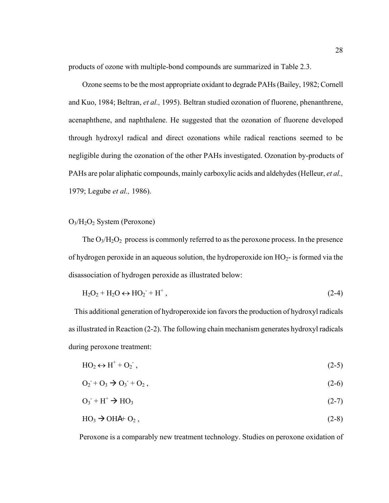products of ozone with multiple-bond compounds are summarized in Table 2.3.

Ozone seems to be the most appropriate oxidant to degrade PAHs (Bailey, 1982; Cornell and Kuo, 1984; Beltran, *et al.,* 1995). Beltran studied ozonation of fluorene, phenanthrene, acenaphthene, and naphthalene. He suggested that the ozonation of fluorene developed through hydroxyl radical and direct ozonations while radical reactions seemed to be negligible during the ozonation of the other PAHs investigated. Ozonation by-products of PAHs are polar aliphatic compounds, mainly carboxylic acids and aldehydes (Helleur, *et al.,*  1979; Legube *et al.,* 1986).

O3/H2O2 System (Peroxone)

The  $O_3/H_2O_2$  process is commonly referred to as the peroxone process. In the presence of hydrogen peroxide in an aqueous solution, the hydroperoxide ion  $HO<sub>2</sub>$ - is formed via the disassociation of hydrogen peroxide as illustrated below:

$$
H_2O_2 + H_2O \leftrightarrow HO_2^- + H^+, \qquad (2-4)
$$

 This additional generation of hydroperoxide ion favors the production of hydroxyl radicals as illustrated in Reaction (2-2). The following chain mechanism generates hydroxyl radicals during peroxone treatment:

$$
HO_2 \leftrightarrow H^+ + O_2 \tag{2-5}
$$

$$
O_2 + O_3 \to O_3 + O_2, \tag{2-6}
$$

$$
O_3 + H^+ \rightarrow HO_3 \tag{2-7}
$$

$$
HO_3 \rightarrow OHA + O_2, \tag{2-8}
$$

Peroxone is a comparably new treatment technology. Studies on peroxone oxidation of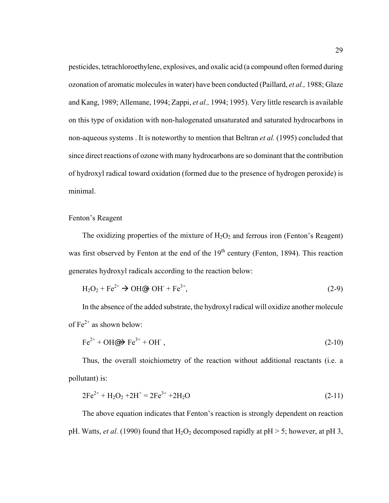pesticides, tetrachloroethylene, explosives, and oxalic acid (a compound often formed during ozonation of aromatic molecules in water) have been conducted (Paillard, *et al.,* 1988; Glaze and Kang, 1989; Allemane, 1994; Zappi, *et al.,* 1994; 1995). Very little research is available on this type of oxidation with non-halogenated unsaturated and saturated hydrocarbons in non-aqueous systems . It is noteworthy to mention that Beltran *et al.* (1995) concluded that since direct reactions of ozone with many hydrocarbons are so dominant that the contribution of hydroxyl radical toward oxidation (formed due to the presence of hydrogen peroxide) is minimal.

### Fenton's Reagent

The oxidizing properties of the mixture of  $H_2O_2$  and ferrous iron (Fenton's Reagent) was first observed by Fenton at the end of the 19<sup>th</sup> century (Fenton, 1894). This reaction generates hydroxyl radicals according to the reaction below:

$$
H_2O_2 + Fe^{2+} \rightarrow OH\omega + OH + Fe^{3+},\tag{2-9}
$$

In the absence of the added substrate, the hydroxyl radical will oxidize another molecule of  $Fe^{2+}$  as shown below:

$$
\text{Fe}^{2+} + \text{OH} \textcircled{\rightarrow} \text{Fe}^{3+} + \text{OH}^-, \tag{2-10}
$$

Thus, the overall stoichiometry of the reaction without additional reactants (i.e. a pollutant) is:

$$
2Fe^{2+} + H_2O_2 + 2H^+ = 2Fe^{3+} + 2H_2O
$$
\n(2-11)

The above equation indicates that Fenton's reaction is strongly dependent on reaction pH. Watts, *et al.* (1990) found that  $H_2O_2$  decomposed rapidly at pH  $>$  5; however, at pH 3,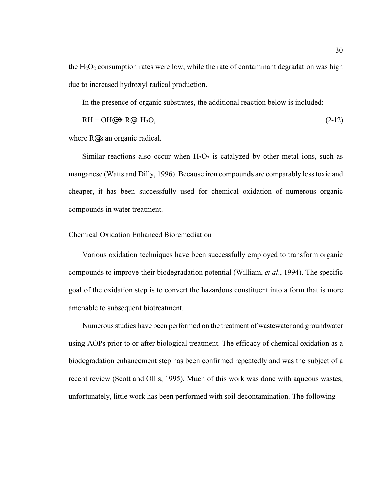the  $H_2O_2$  consumption rates were low, while the rate of contaminant degradation was high due to increased hydroxyl radical production.

In the presence of organic substrates, the additional reaction below is included:

$$
RH + OH@\rightarrow R@H_2O, \tag{2-12}
$$

where R@s an organic radical.

Similar reactions also occur when  $H_2O_2$  is catalyzed by other metal ions, such as manganese (Watts and Dilly, 1996). Because iron compounds are comparably less toxic and cheaper, it has been successfully used for chemical oxidation of numerous organic compounds in water treatment.

#### Chemical Oxidation Enhanced Bioremediation

Various oxidation techniques have been successfully employed to transform organic compounds to improve their biodegradation potential (William, *et al*., 1994). The specific goal of the oxidation step is to convert the hazardous constituent into a form that is more amenable to subsequent biotreatment.

Numerous studies have been performed on the treatment of wastewater and groundwater using AOPs prior to or after biological treatment. The efficacy of chemical oxidation as a biodegradation enhancement step has been confirmed repeatedly and was the subject of a recent review (Scott and Ollis, 1995). Much of this work was done with aqueous wastes, unfortunately, little work has been performed with soil decontamination. The following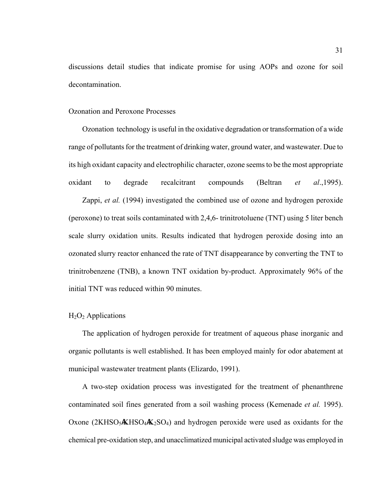discussions detail studies that indicate promise for using AOPs and ozone for soil decontamination.

#### Ozonation and Peroxone Processes

Ozonation technology is useful in the oxidative degradation or transformation of a wide range of pollutants for the treatment of drinking water, ground water, and wastewater. Due to its high oxidant capacity and electrophilic character, ozone seems to be the most appropriate oxidant to degrade recalcitrant compounds (Beltran *et al*.,1995).

Zappi, *et al.* (1994) investigated the combined use of ozone and hydrogen peroxide (peroxone) to treat soils contaminated with 2,4,6- trinitrotoluene (TNT) using 5 liter bench scale slurry oxidation units. Results indicated that hydrogen peroxide dosing into an ozonated slurry reactor enhanced the rate of TNT disappearance by converting the TNT to trinitrobenzene (TNB), a known TNT oxidation by-product. Approximately 96% of the initial TNT was reduced within 90 minutes.

## $H<sub>2</sub>O<sub>2</sub>$  Applications

The application of hydrogen peroxide for treatment of aqueous phase inorganic and organic pollutants is well established. It has been employed mainly for odor abatement at municipal wastewater treatment plants (Elizardo, 1991).

A two-step oxidation process was investigated for the treatment of phenanthrene contaminated soil fines generated from a soil washing process (Kemenade *et al.* 1995). Oxone  $(2KHSO<sub>3</sub>/KHSO<sub>4</sub>/K<sub>2</sub>SO<sub>4</sub>)$  and hydrogen peroxide were used as oxidants for the chemical pre-oxidation step, and unacclimatized municipal activated sludge was employed in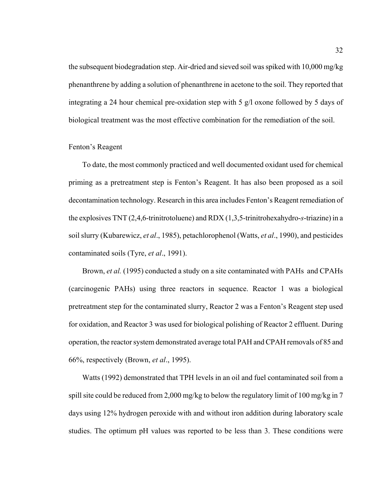the subsequent biodegradation step. Air-dried and sieved soil was spiked with 10,000 mg/kg phenanthrene by adding a solution of phenanthrene in acetone to the soil. They reported that integrating a 24 hour chemical pre-oxidation step with 5 g/l oxone followed by 5 days of biological treatment was the most effective combination for the remediation of the soil.

### Fenton's Reagent

To date, the most commonly practiced and well documented oxidant used for chemical priming as a pretreatment step is Fenton's Reagent. It has also been proposed as a soil decontamination technology. Research in this area includes Fenton's Reagent remediation of the explosives TNT (2,4,6-trinitrotoluene) and RDX (1,3,5-trinitrohexahydro-*s*-triazine) in a soil slurry (Kubarewicz, *et al*., 1985), petachlorophenol (Watts, *et al*., 1990), and pesticides contaminated soils (Tyre, *et al*., 1991).

Brown, *et al.* (1995) conducted a study on a site contaminated with PAHs and CPAHs (carcinogenic PAHs) using three reactors in sequence. Reactor 1 was a biological pretreatment step for the contaminated slurry, Reactor 2 was a Fenton's Reagent step used for oxidation, and Reactor 3 was used for biological polishing of Reactor 2 effluent. During operation, the reactor system demonstrated average total PAH and CPAH removals of 85 and 66%, respectively (Brown, *et al*., 1995).

Watts (1992) demonstrated that TPH levels in an oil and fuel contaminated soil from a spill site could be reduced from 2,000 mg/kg to below the regulatory limit of 100 mg/kg in 7 days using 12% hydrogen peroxide with and without iron addition during laboratory scale studies. The optimum pH values was reported to be less than 3. These conditions were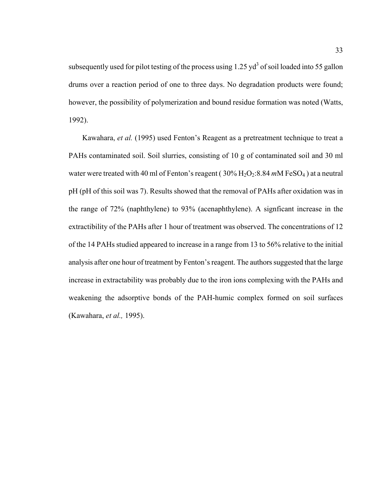subsequently used for pilot testing of the process using  $1.25 \text{ yd}^3$  of soil loaded into 55 gallon drums over a reaction period of one to three days. No degradation products were found; however, the possibility of polymerization and bound residue formation was noted (Watts, 1992).

Kawahara, *et al.* (1995) used Fenton's Reagent as a pretreatment technique to treat a PAHs contaminated soil. Soil slurries, consisting of 10 g of contaminated soil and 30 ml water were treated with 40 ml of Fenton's reagent (30% H<sub>2</sub>O<sub>2</sub>:8.84 *m*M FeSO<sub>4</sub>) at a neutral pH (pH of this soil was 7). Results showed that the removal of PAHs after oxidation was in the range of 72% (naphthylene) to 93% (acenaphthylene). A signficant increase in the extractibility of the PAHs after 1 hour of treatment was observed. The concentrations of 12 of the 14 PAHs studied appeared to increase in a range from 13 to 56% relative to the initial analysis after one hour of treatment by Fenton's reagent. The authors suggested that the large increase in extractability was probably due to the iron ions complexing with the PAHs and weakening the adsorptive bonds of the PAH-humic complex formed on soil surfaces (Kawahara, *et al.,* 1995).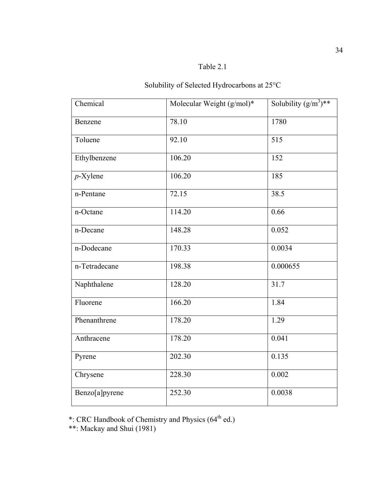# Table 2.1

# Solubility of Selected Hydrocarbons at 25°C

| Chemical       | Molecular Weight $(g/mol)^*$ | Solubility $(g/m^3)^{**}$ |
|----------------|------------------------------|---------------------------|
| Benzene        | 78.10                        | 1780                      |
| Toluene        | 92.10                        | 515                       |
| Ethylbenzene   | 106.20                       | 152                       |
| $p$ -Xylene    | 106.20                       | 185                       |
| n-Pentane      | 72.15                        | 38.5                      |
| n-Octane       | 114.20                       | 0.66                      |
| n-Decane       | 148.28                       | 0.052                     |
| n-Dodecane     | 170.33                       | 0.0034                    |
| n-Tetradecane  | 198.38                       | 0.000655                  |
| Naphthalene    | 128.20                       | 31.7                      |
| Fluorene       | 166.20                       | 1.84                      |
| Phenanthrene   | 178.20                       | 1.29                      |
| Anthracene     | 178.20                       | 0.041                     |
| Pyrene         | 202.30                       | 0.135                     |
| Chrysene       | 228.30                       | 0.002                     |
| Benzo[a]pyrene | 252.30                       | 0.0038                    |

\*: CRC Handbook of Chemistry and Physics (64<sup>th</sup> ed.)

\*\*: Mackay and Shui (1981)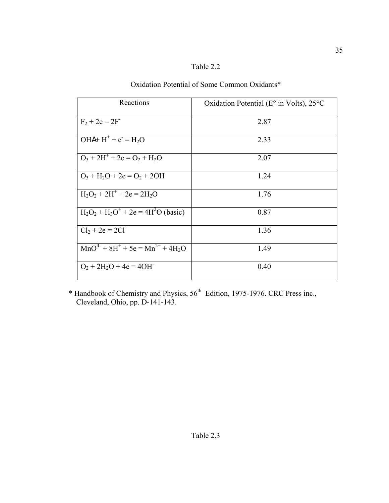| able ' |
|--------|
|--------|

| Reactions                                  | Oxidation Potential ( $E^{\circ}$ in Volts), 25 $^{\circ}$ C |
|--------------------------------------------|--------------------------------------------------------------|
| $F_2 + 2e = 2F$                            | 2.87                                                         |
| $OHA+ H^+ + e^- = H_2O$                    | 2.33                                                         |
| $O_3 + 2H^+ + 2e = O_2 + H_2O$             | 2.07                                                         |
| $O_3 + H_2O + 2e = O_2 + 2OH$              | 1.24                                                         |
| $H_2O_2 + 2H^+ + 2e = 2H_2O$               | 1.76                                                         |
| $H_2O_2 + H_3O^+ + 2e = 4H^2O$ (basic)     | 0.87                                                         |
| $Cl_2 + 2e = 2Cl$                          | 1.36                                                         |
| $MnO^{4-} + 8H^{+} + 5e = Mn^{2+} + 4H_2O$ | 1.49                                                         |
| $O_2 + 2H_2O + 4e = 4OH$                   | 0.40                                                         |

# Oxidation Potential of Some Common Oxidants\*

\* Handbook of Chemistry and Physics,  $56<sup>th</sup>$  Edition, 1975-1976. CRC Press inc., Cleveland, Ohio, pp. D-141-143.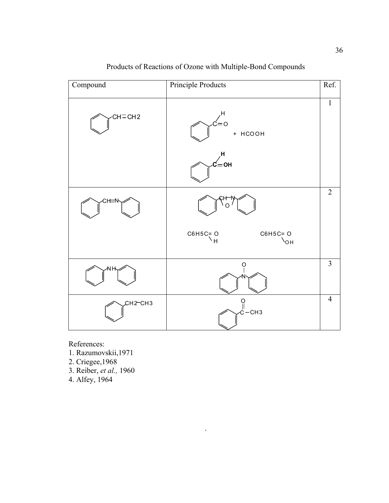

.

Products of Reactions of Ozone with Multiple-Bond Compounds

References:

- 1. Razumovskii,1971
- 2. Criegee,1968
- 3. Reiber, *et al.,* 1960
- 4. Alfey, 1964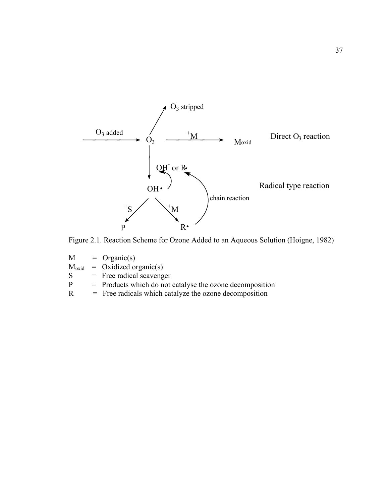

Figure 2.1. Reaction Scheme for Ozone Added to an Aqueous Solution (Hoigne, 1982)

 $M = \text{Organic}(s)$  $M_{\text{oxid}}$  = Oxidized organic(s)  $S = Free$  radical scavenger<br>  $P =$  Products which do not = Products which do not catalyse the ozone decomposition

 $R =$  Free radicals which catalyze the ozone decomposition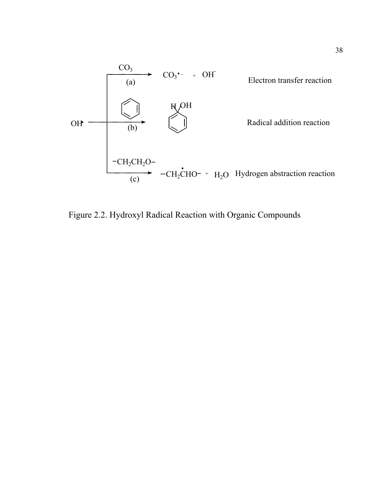

Figure 2.2. Hydroxyl Radical Reaction with Organic Compounds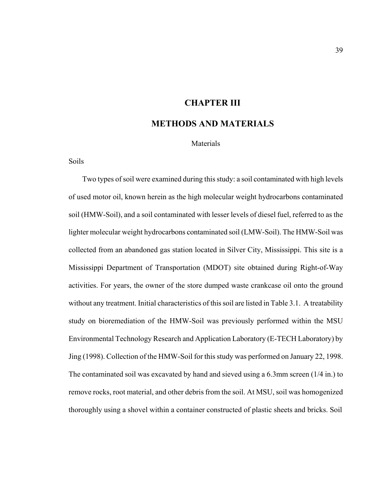## **CHAPTER III**

# **METHODS AND MATERIALS**

Materials

Soils

Two types of soil were examined during this study: a soil contaminated with high levels of used motor oil, known herein as the high molecular weight hydrocarbons contaminated soil (HMW-Soil), and a soil contaminated with lesser levels of diesel fuel, referred to as the lighter molecular weight hydrocarbons contaminated soil (LMW-Soil). The HMW-Soil was collected from an abandoned gas station located in Silver City, Mississippi. This site is a Mississippi Department of Transportation (MDOT) site obtained during Right-of-Way activities. For years, the owner of the store dumped waste crankcase oil onto the ground without any treatment. Initial characteristics of this soil are listed in Table 3.1. A treatability study on bioremediation of the HMW-Soil was previously performed within the MSU Environmental Technology Research and Application Laboratory (E-TECH Laboratory) by Jing (1998). Collection of the HMW-Soil for this study was performed on January 22, 1998. The contaminated soil was excavated by hand and sieved using a 6.3mm screen (1/4 in.) to remove rocks, root material, and other debris from the soil. At MSU, soil was homogenized thoroughly using a shovel within a container constructed of plastic sheets and bricks. Soil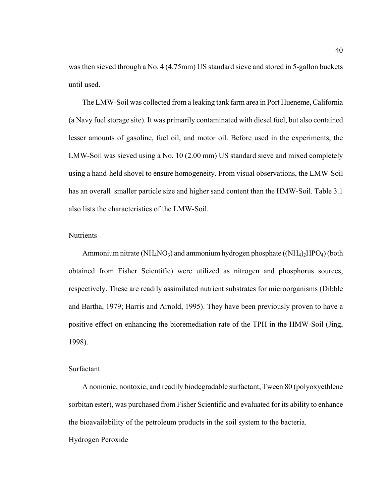was then sieved through a No. 4 (4.75mm) US standard sieve and stored in 5-gallon buckets until used.

The LMW-Soil was collected from a leaking tank farm area in Port Hueneme, California (a Navy fuel storage site). It was primarily contaminated with diesel fuel, but also contained lesser amounts of gasoline, fuel oil, and motor oil. Before used in the experiments, the LMW-Soil was sieved using a No. 10 (2.00 mm) US standard sieve and mixed completely using a hand-held shovel to ensure homogeneity. From visual observations, the LMW-Soil has an overall smaller particle size and higher sand content than the HMW-Soil. Table 3.1 also lists the characteristics of the LMW-Soil.

### Nutrients

Ammonium nitrate ( $NH<sub>4</sub>NO<sub>3</sub>$ ) and ammonium hydrogen phosphate ( $(NH<sub>4</sub>)<sub>2</sub>HPO<sub>4</sub>$ ) (both obtained from Fisher Scientific) were utilized as nitrogen and phosphorus sources, respectively. These are readily assimilated nutrient substrates for microorganisms (Dibble and Bartha, 1979; Harris and Arnold, 1995). They have been previously proven to have a positive effect on enhancing the bioremediation rate of the TPH in the HMW-Soil (Jing, 1998).

#### Surfactant

A nonionic, nontoxic, and readily biodegradable surfactant, Tween 80 (polyoxyethlene sorbitan ester), was purchased from Fisher Scientific and evaluated for its ability to enhance the bioavailability of the petroleum products in the soil system to the bacteria. Hydrogen Peroxide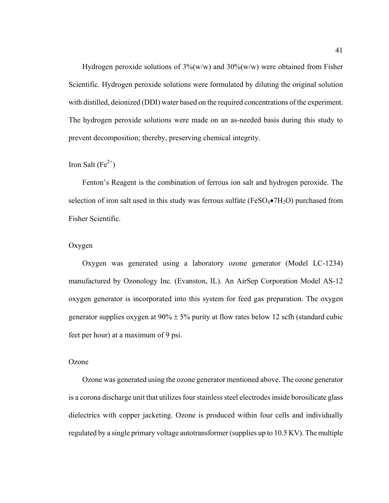Hydrogen peroxide solutions of  $3\frac{N}{W}$  and  $30\frac{N}{W}$  were obtained from Fisher Scientific. Hydrogen peroxide solutions were formulated by diluting the original solution with distilled, deionized (DDI) water based on the required concentrations of the experiment. The hydrogen peroxide solutions were made on an as-needed basis during this study to prevent decomposition; thereby, preserving chemical integrity.

## Iron Salt (Fe<sup>2+</sup>)

Fenton's Reagent is the combination of ferrous ion salt and hydrogen peroxide. The selection of iron salt used in this study was ferrous sulfate (FeSO $_4\bullet$ 7H<sub>2</sub>O) purchased from Fisher Scientific.

## Oxygen

Oxygen was generated using a laboratory ozone generator (Model LC-1234) manufactured by Ozonology Inc. (Evanston, IL). An AirSep Corporation Model AS-12 oxygen generator is incorporated into this system for feed gas preparation. The oxygen generator supplies oxygen at  $90\% \pm 5\%$  purity at flow rates below 12 scfh (standard cubic feet per hour) at a maximum of 9 psi.

#### Ozone

Ozone was generated using the ozone generator mentioned above. The ozone generator is a corona discharge unit that utilizes four stainless steel electrodes inside borosilicate glass dielectrics with copper jacketing. Ozone is produced within four cells and individually regulated by a single primary voltage autotransformer (supplies up to 10.5 KV). The multiple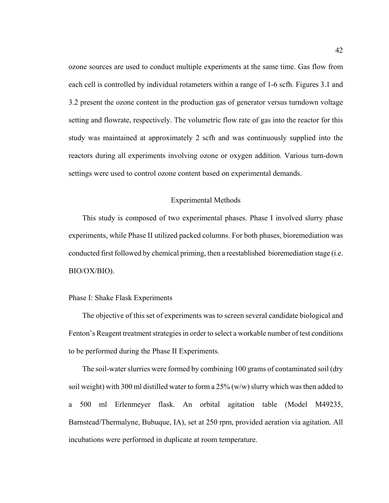ozone sources are used to conduct multiple experiments at the same time. Gas flow from each cell is controlled by individual rotameters within a range of 1-6 scfh. Figures 3.1 and 3.2 present the ozone content in the production gas of generator versus turndown voltage setting and flowrate, respectively. The volumetric flow rate of gas into the reactor for this study was maintained at approximately 2 scfh and was continuously supplied into the reactors during all experiments involving ozone or oxygen addition. Various turn-down settings were used to control ozone content based on experimental demands.

### Experimental Methods

This study is composed of two experimental phases. Phase I involved slurry phase experiments, while Phase II utilized packed columns. For both phases, bioremediation was conducted first followed by chemical priming, then a reestablished bioremediation stage (i.e. BIO/OX/BIO).

#### Phase I: Shake Flask Experiments

The objective of this set of experiments was to screen several candidate biological and Fenton's Reagent treatment strategies in order to select a workable number of test conditions to be performed during the Phase II Experiments.

The soil-water slurries were formed by combining 100 grams of contaminated soil (dry soil weight) with 300 ml distilled water to form a  $25\%$  (w/w) slurry which was then added to a 500 ml Erlenmeyer flask. An orbital agitation table (Model M49235, Barnstead/Thermalyne, Bubuque, IA), set at 250 rpm, provided aeration via agitation. All incubations were performed in duplicate at room temperature.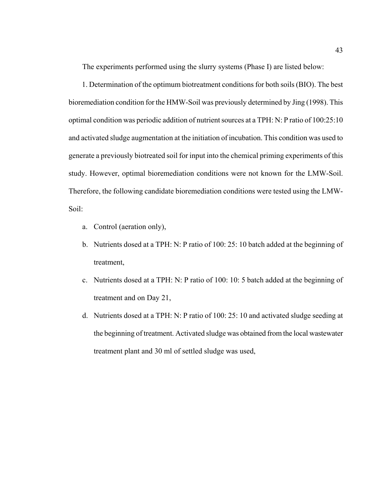The experiments performed using the slurry systems (Phase I) are listed below:

 1. Determination of the optimum biotreatment conditions for both soils (BIO). The best bioremediation condition for the HMW-Soil was previously determined by Jing (1998). This optimal condition was periodic addition of nutrient sources at a TPH: N: P ratio of 100:25:10 and activated sludge augmentation at the initiation of incubation. This condition was used to generate a previously biotreated soil for input into the chemical priming experiments of this study. However, optimal bioremediation conditions were not known for the LMW-Soil. Therefore, the following candidate bioremediation conditions were tested using the LMW-Soil:

- a. Control (aeration only),
- b. Nutrients dosed at a TPH: N: P ratio of 100: 25: 10 batch added at the beginning of treatment,
- c. Nutrients dosed at a TPH: N: P ratio of 100: 10: 5 batch added at the beginning of treatment and on Day 21,
- d. Nutrients dosed at a TPH: N: P ratio of 100: 25: 10 and activated sludge seeding at the beginning of treatment. Activated sludge was obtained from the local wastewater treatment plant and 30 ml of settled sludge was used,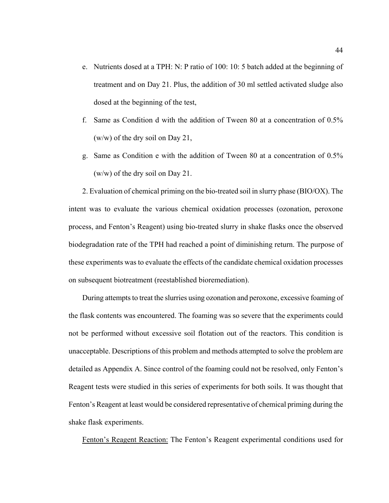- e. Nutrients dosed at a TPH: N: P ratio of 100: 10: 5 batch added at the beginning of treatment and on Day 21. Plus, the addition of 30 ml settled activated sludge also dosed at the beginning of the test,
- f. Same as Condition d with the addition of Tween 80 at a concentration of 0.5% (w/w) of the dry soil on Day 21,
- g. Same as Condition e with the addition of Tween 80 at a concentration of 0.5% (w/w) of the dry soil on Day 21.

2. Evaluation of chemical priming on the bio-treated soil in slurry phase (BIO/OX). The intent was to evaluate the various chemical oxidation processes (ozonation, peroxone process, and Fenton's Reagent) using bio-treated slurry in shake flasks once the observed biodegradation rate of the TPH had reached a point of diminishing return. The purpose of these experiments was to evaluate the effects of the candidate chemical oxidation processes on subsequent biotreatment (reestablished bioremediation).

During attempts to treat the slurries using ozonation and peroxone, excessive foaming of the flask contents was encountered. The foaming was so severe that the experiments could not be performed without excessive soil flotation out of the reactors. This condition is unacceptable. Descriptions of this problem and methods attempted to solve the problem are detailed as Appendix A. Since control of the foaming could not be resolved, only Fenton's Reagent tests were studied in this series of experiments for both soils. It was thought that Fenton's Reagent at least would be considered representative of chemical priming during the shake flask experiments.

Fenton's Reagent Reaction: The Fenton's Reagent experimental conditions used for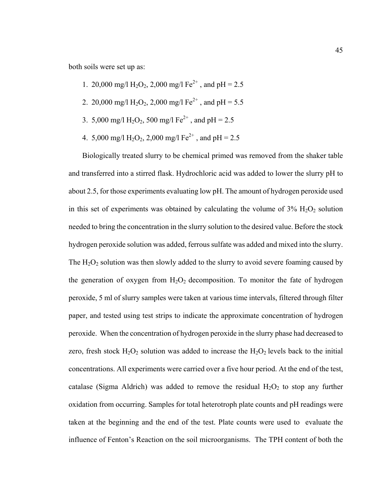both soils were set up as:

- 1. 20,000 mg/l H<sub>2</sub>O<sub>2</sub>, 2,000 mg/l Fe<sup>2+</sup>, and pH = 2.5
- 2. 20,000 mg/l H<sub>2</sub>O<sub>2</sub>, 2,000 mg/l Fe<sup>2+</sup>, and pH = 5.5
- 3. 5,000 mg/l H<sub>2</sub>O<sub>2</sub>, 500 mg/l Fe<sup>2+</sup>, and pH = 2.5
- 4. 5,000 mg/l H<sub>2</sub>O<sub>2</sub>, 2,000 mg/l Fe<sup>2+</sup>, and pH = 2.5

Biologically treated slurry to be chemical primed was removed from the shaker table and transferred into a stirred flask. Hydrochloric acid was added to lower the slurry pH to about 2.5, for those experiments evaluating low pH. The amount of hydrogen peroxide used in this set of experiments was obtained by calculating the volume of  $3\%$  H<sub>2</sub>O<sub>2</sub> solution needed to bring the concentration in the slurry solution to the desired value. Before the stock hydrogen peroxide solution was added, ferrous sulfate was added and mixed into the slurry. The  $H_2O_2$  solution was then slowly added to the slurry to avoid severe foaming caused by the generation of oxygen from  $H_2O_2$  decomposition. To monitor the fate of hydrogen peroxide, 5 ml of slurry samples were taken at various time intervals, filtered through filter paper, and tested using test strips to indicate the approximate concentration of hydrogen peroxide. When the concentration of hydrogen peroxide in the slurry phase had decreased to zero, fresh stock  $H_2O_2$  solution was added to increase the  $H_2O_2$  levels back to the initial concentrations. All experiments were carried over a five hour period. At the end of the test, catalase (Sigma Aldrich) was added to remove the residual  $H_2O_2$  to stop any further oxidation from occurring. Samples for total heterotroph plate counts and pH readings were taken at the beginning and the end of the test. Plate counts were used to evaluate the influence of Fenton's Reaction on the soil microorganisms. The TPH content of both the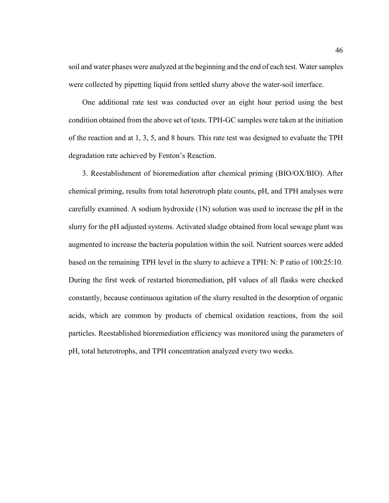soil and water phases were analyzed at the beginning and the end of each test. Water samples were collected by pipetting liquid from settled slurry above the water-soil interface.

One additional rate test was conducted over an eight hour period using the best condition obtained from the above set of tests. TPH-GC samples were taken at the initiation of the reaction and at 1, 3, 5, and 8 hours. This rate test was designed to evaluate the TPH degradation rate achieved by Fenton's Reaction.

3. Reestablishment of bioremediation after chemical priming (BIO/OX/BIO). After chemical priming, results from total heterotroph plate counts, pH, and TPH analyses were carefully examined. A sodium hydroxide (1N) solution was used to increase the pH in the slurry for the pH adjusted systems. Activated sludge obtained from local sewage plant was augmented to increase the bacteria population within the soil. Nutrient sources were added based on the remaining TPH level in the slurry to achieve a TPH: N: P ratio of 100:25:10. During the first week of restarted bioremediation, pH values of all flasks were checked constantly, because continuous agitation of the slurry resulted in the desorption of organic acids, which are common by products of chemical oxidation reactions, from the soil particles. Reestablished bioremediation efficiency was monitored using the parameters of pH, total heterotrophs, and TPH concentration analyzed every two weeks.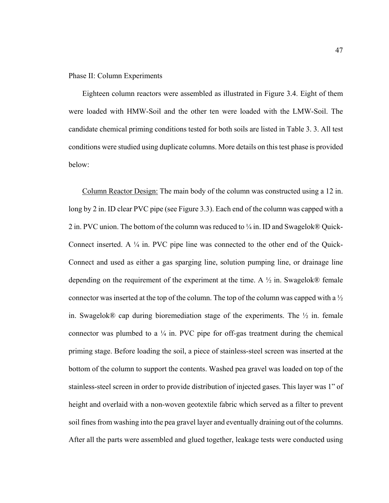#### Phase II: Column Experiments

Eighteen column reactors were assembled as illustrated in Figure 3.4. Eight of them were loaded with HMW-Soil and the other ten were loaded with the LMW-Soil. The candidate chemical priming conditions tested for both soils are listed in Table 3. 3. All test conditions were studied using duplicate columns. More details on this test phase is provided below:

Column Reactor Design: The main body of the column was constructed using a 12 in. long by 2 in. ID clear PVC pipe (see Figure 3.3). Each end of the column was capped with a 2 in. PVC union. The bottom of the column was reduced to  $\frac{1}{4}$  in. ID and Swagelok® Quick-Connect inserted. A ¼ in. PVC pipe line was connected to the other end of the Quick-Connect and used as either a gas sparging line, solution pumping line, or drainage line depending on the requirement of the experiment at the time. A  $\frac{1}{2}$  in. Swagelok<sup>®</sup> female connector was inserted at the top of the column. The top of the column was capped with a ½ in. Swagelok<sup>®</sup> cap during bioremediation stage of the experiments. The  $\frac{1}{2}$  in. female connector was plumbed to a  $\frac{1}{4}$  in. PVC pipe for off-gas treatment during the chemical priming stage. Before loading the soil, a piece of stainless-steel screen was inserted at the bottom of the column to support the contents. Washed pea gravel was loaded on top of the stainless-steel screen in order to provide distribution of injected gases. This layer was 1" of height and overlaid with a non-woven geotextile fabric which served as a filter to prevent soil fines from washing into the pea gravel layer and eventually draining out of the columns. After all the parts were assembled and glued together, leakage tests were conducted using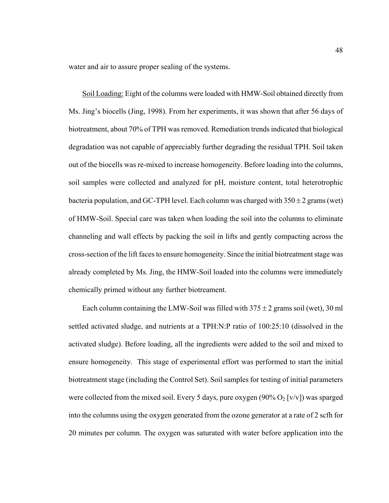water and air to assure proper sealing of the systems.

Soil Loading: Eight of the columns were loaded with HMW-Soil obtained directly from Ms. Jing's biocells (Jing, 1998). From her experiments, it was shown that after 56 days of biotreatment, about 70% of TPH was removed. Remediation trends indicated that biological degradation was not capable of appreciably further degrading the residual TPH. Soil taken out of the biocells was re-mixed to increase homogeneity. Before loading into the columns, soil samples were collected and analyzed for pH, moisture content, total heterotrophic bacteria population, and GC-TPH level. Each column was charged with  $350 \pm 2$  grams (wet) of HMW-Soil. Special care was taken when loading the soil into the columns to eliminate channeling and wall effects by packing the soil in lifts and gently compacting across the cross-section of the lift faces to ensure homogeneity. Since the initial biotreatment stage was already completed by Ms. Jing, the HMW-Soil loaded into the columns were immediately chemically primed without any further biotreament.

Each column containing the LMW-Soil was filled with  $375 \pm 2$  grams soil (wet), 30 ml settled activated sludge, and nutrients at a TPH:N:P ratio of 100:25:10 (dissolved in the activated sludge). Before loading, all the ingredients were added to the soil and mixed to ensure homogeneity. This stage of experimental effort was performed to start the initial biotreatment stage (including the Control Set). Soil samples for testing of initial parameters were collected from the mixed soil. Every 5 days, pure oxygen  $(90\% O_2 \,[\mathrm{v/v}])$  was sparged into the columns using the oxygen generated from the ozone generator at a rate of 2 scfh for 20 minutes per column. The oxygen was saturated with water before application into the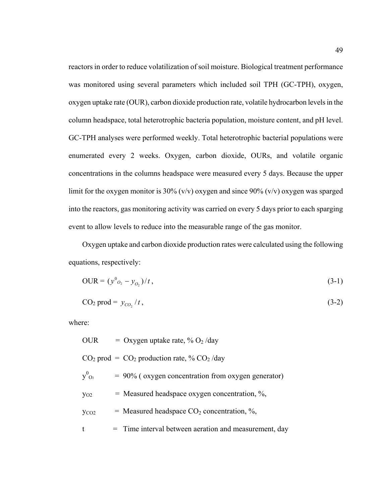reactors in order to reduce volatilization of soil moisture. Biological treatment performance was monitored using several parameters which included soil TPH (GC-TPH), oxygen, oxygen uptake rate (OUR), carbon dioxide production rate, volatile hydrocarbon levels in the column headspace, total heterotrophic bacteria population, moisture content, and pH level. GC-TPH analyses were performed weekly. Total heterotrophic bacterial populations were enumerated every 2 weeks. Oxygen, carbon dioxide, OURs, and volatile organic concentrations in the columns headspace were measured every 5 days. Because the upper limit for the oxygen monitor is 30% (v/v) oxygen and since 90% (v/v) oxygen was sparged into the reactors, gas monitoring activity was carried on every 5 days prior to each sparging event to allow levels to reduce into the measurable range of the gas monitor.

Oxygen uptake and carbon dioxide production rates were calculated using the following equations, respectively:

$$
OUR = (y^{0}_{o_2} - y_{o_2})/t, \tag{3-1}
$$

$$
CO2 prod = yCO2/t, \qquad (3-2)
$$

where:

| OUR              | = Oxygen uptake rate, $\%$ O <sub>2</sub> /day          |
|------------------|---------------------------------------------------------|
|                  | $CO2$ prod = $CO2$ production rate, % $CO2$ /day        |
| $V^0_{Q_2}$      | $= 90\%$ (oxygen concentration from oxygen generator)   |
| $y_{O2}$         | $=$ Measured headspace oxygen concentration, %,         |
| y <sub>co2</sub> | = Measured headspace $CO2$ concentration, %,            |
| t                | $=$ Time interval between aeration and measurement, day |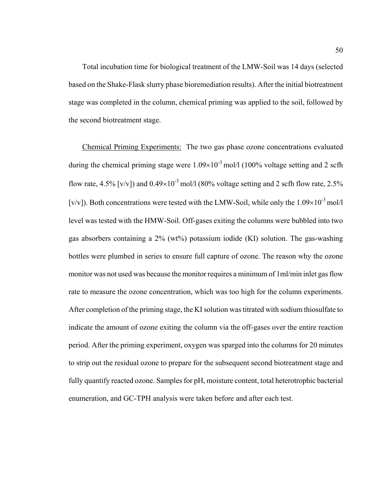Total incubation time for biological treatment of the LMW-Soil was 14 days (selected based on the Shake-Flask slurry phase bioremediation results). After the initial biotreatment stage was completed in the column, chemical priming was applied to the soil, followed by the second biotreatment stage.

Chemical Priming Experiments: The two gas phase ozone concentrations evaluated during the chemical priming stage were  $1.09\times10^{-3}$  mol/l (100% voltage setting and 2 scfh flow rate, 4.5% [v/v]) and  $0.49\times10^{-3}$  mol/l (80% voltage setting and 2 scfh flow rate, 2.5% [v/v]). Both concentrations were tested with the LMW-Soil, while only the  $1.09\times10^{-3}$  mol/l level was tested with the HMW-Soil. Off-gases exiting the columns were bubbled into two gas absorbers containing a  $2\%$  (wt%) potassium iodide (KI) solution. The gas-washing bottles were plumbed in series to ensure full capture of ozone. The reason why the ozone monitor was not used was because the monitor requires a minimum of 1ml/min inlet gas flow rate to measure the ozone concentration, which was too high for the column experiments. After completion of the priming stage, the KI solution was titrated with sodium thiosulfate to indicate the amount of ozone exiting the column via the off-gases over the entire reaction period. After the priming experiment, oxygen was sparged into the columns for 20 minutes to strip out the residual ozone to prepare for the subsequent second biotreatment stage and fully quantify reacted ozone. Samples for pH, moisture content, total heterotrophic bacterial enumeration, and GC-TPH analysis were taken before and after each test.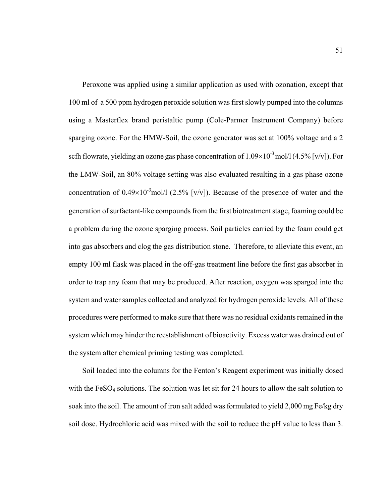Peroxone was applied using a similar application as used with ozonation, except that 100 ml of a 500 ppm hydrogen peroxide solution was first slowly pumped into the columns using a Masterflex brand peristaltic pump (Cole-Parmer Instrument Company) before sparging ozone. For the HMW-Soil, the ozone generator was set at 100% voltage and a 2 scfh flowrate, yielding an ozone gas phase concentration of  $1.09\times10^{-3}$  mol/l (4.5% [v/v]). For the LMW-Soil, an 80% voltage setting was also evaluated resulting in a gas phase ozone concentration of  $0.49 \times 10^{-3}$  mol/l (2.5% [v/v]). Because of the presence of water and the generation of surfactant-like compounds from the first biotreatment stage, foaming could be a problem during the ozone sparging process. Soil particles carried by the foam could get into gas absorbers and clog the gas distribution stone. Therefore, to alleviate this event, an empty 100 ml flask was placed in the off-gas treatment line before the first gas absorber in order to trap any foam that may be produced. After reaction, oxygen was sparged into the system and water samples collected and analyzed for hydrogen peroxide levels. All of these procedures were performed to make sure that there was no residual oxidants remained in the system which may hinder the reestablishment of bioactivity. Excess water was drained out of the system after chemical priming testing was completed.

Soil loaded into the columns for the Fenton's Reagent experiment was initially dosed with the FeSO<sub>4</sub> solutions. The solution was let sit for 24 hours to allow the salt solution to soak into the soil. The amount of iron salt added was formulated to yield 2,000 mg Fe/kg dry soil dose. Hydrochloric acid was mixed with the soil to reduce the pH value to less than 3.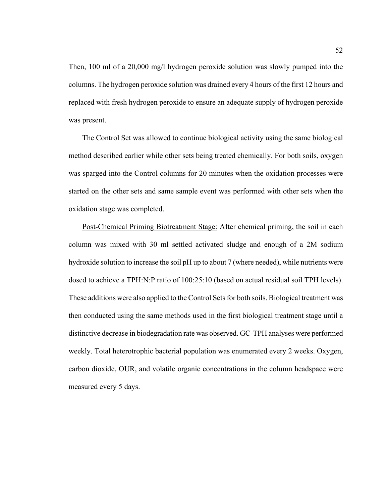Then, 100 ml of a 20,000 mg/l hydrogen peroxide solution was slowly pumped into the columns. The hydrogen peroxide solution was drained every 4 hours of the first 12 hours and replaced with fresh hydrogen peroxide to ensure an adequate supply of hydrogen peroxide was present.

The Control Set was allowed to continue biological activity using the same biological method described earlier while other sets being treated chemically. For both soils, oxygen was sparged into the Control columns for 20 minutes when the oxidation processes were started on the other sets and same sample event was performed with other sets when the oxidation stage was completed.

Post-Chemical Priming Biotreatment Stage: After chemical priming, the soil in each column was mixed with 30 ml settled activated sludge and enough of a 2M sodium hydroxide solution to increase the soil pH up to about 7 (where needed), while nutrients were dosed to achieve a TPH:N:P ratio of 100:25:10 (based on actual residual soil TPH levels). These additions were also applied to the Control Sets for both soils. Biological treatment was then conducted using the same methods used in the first biological treatment stage until a distinctive decrease in biodegradation rate was observed. GC-TPH analyses were performed weekly. Total heterotrophic bacterial population was enumerated every 2 weeks. Oxygen, carbon dioxide, OUR, and volatile organic concentrations in the column headspace were measured every 5 days.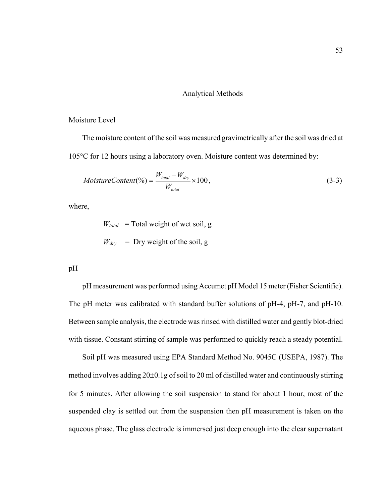#### Analytical Methods

## Moisture Level

The moisture content of the soil was measured gravimetrically after the soil was dried at 105°C for 12 hours using a laboratory oven. Moisture content was determined by:

$$
MoistureContent(\%) = \frac{W_{total} - W_{dry}}{W_{total}} \times 100, \tag{3-3}
$$

where,

 $W_{total}$  = Total weight of wet soil, g  $W_{\text{dry}}$  = Dry weight of the soil, g

pH

pH measurement was performed using Accumet pH Model 15 meter (Fisher Scientific). The pH meter was calibrated with standard buffer solutions of pH-4, pH-7, and pH-10. Between sample analysis, the electrode was rinsed with distilled water and gently blot-dried with tissue. Constant stirring of sample was performed to quickly reach a steady potential.

Soil pH was measured using EPA Standard Method No. 9045C (USEPA, 1987). The method involves adding 20±0.1g of soil to 20 ml of distilled water and continuously stirring for 5 minutes. After allowing the soil suspension to stand for about 1 hour, most of the suspended clay is settled out from the suspension then pH measurement is taken on the aqueous phase. The glass electrode is immersed just deep enough into the clear supernatant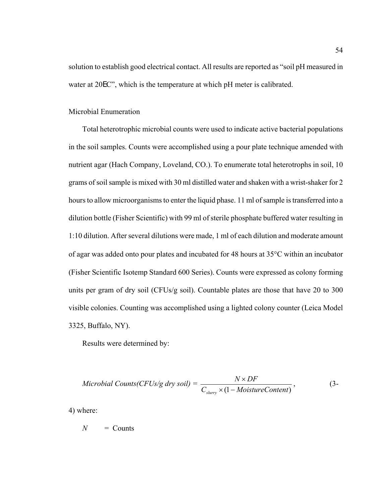solution to establish good electrical contact. All results are reported as "soil pH measured in water at 20EC", which is the temperature at which pH meter is calibrated.

## Microbial Enumeration

Total heterotrophic microbial counts were used to indicate active bacterial populations in the soil samples. Counts were accomplished using a pour plate technique amended with nutrient agar (Hach Company, Loveland, CO.). To enumerate total heterotrophs in soil, 10 grams of soil sample is mixed with 30 ml distilled water and shaken with a wrist-shaker for 2 hours to allow microorganisms to enter the liquid phase. 11 ml of sample is transferred into a dilution bottle (Fisher Scientific) with 99 ml of sterile phosphate buffered water resulting in 1:10 dilution. After several dilutions were made, 1 ml of each dilution and moderate amount of agar was added onto pour plates and incubated for 48 hours at 35°C within an incubator (Fisher Scientific Isotemp Standard 600 Series). Counts were expressed as colony forming units per gram of dry soil (CFUs/g soil). Countable plates are those that have 20 to 300 visible colonies. Counting was accomplished using a lighted colony counter (Leica Model 3325, Buffalo, NY).

Results were determined by:

$$
Microbial\;Counts(CFUs/g\;dry\; soil) = \frac{N \times DF}{C_{slury} \times (1 - MoistureContent)},
$$
\n(3-

4) where:

 $N =$  Counts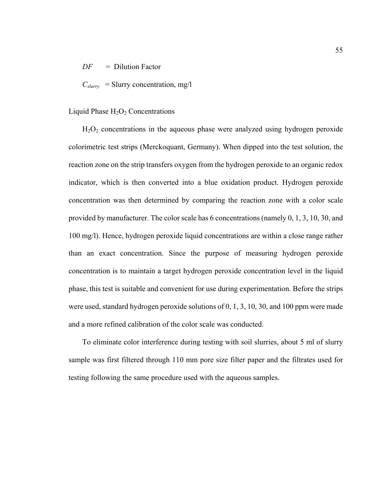*DF* = Dilution Factor

 $C_{slurv}$  = Slurry concentration, mg/l

#### Liquid Phase  $H_2O_2$  Concentrations

 $H<sub>2</sub>O<sub>2</sub>$  concentrations in the aqueous phase were analyzed using hydrogen peroxide colorimetric test strips (Merckoquant, Germany). When dipped into the test solution, the reaction zone on the strip transfers oxygen from the hydrogen peroxide to an organic redox indicator, which is then converted into a blue oxidation product. Hydrogen peroxide concentration was then determined by comparing the reaction zone with a color scale provided by manufacturer. The color scale has 6 concentrations (namely 0, 1, 3, 10, 30, and 100 mg/l). Hence, hydrogen peroxide liquid concentrations are within a close range rather than an exact concentration. Since the purpose of measuring hydrogen peroxide concentration is to maintain a target hydrogen peroxide concentration level in the liquid phase, this test is suitable and convenient for use during experimentation. Before the strips were used, standard hydrogen peroxide solutions of 0, 1, 3, 10, 30, and 100 ppm were made and a more refined calibration of the color scale was conducted.

To eliminate color interference during testing with soil slurries, about 5 ml of slurry sample was first filtered through 110 mm pore size filter paper and the filtrates used for testing following the same procedure used with the aqueous samples.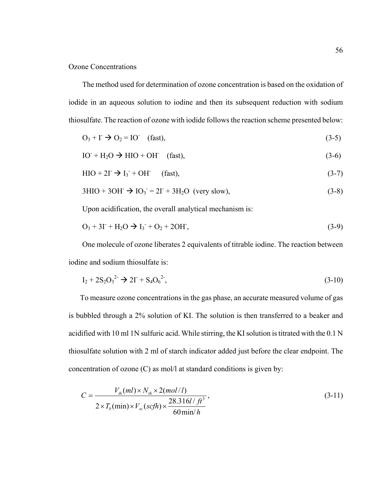## Ozone Concentrations

The method used for determination of ozone concentration is based on the oxidation of iodide in an aqueous solution to iodine and then its subsequent reduction with sodium thiosulfate. The reaction of ozone with iodide follows the reaction scheme presented below:

$$
O_3 + \Gamma \to O_2 = \text{IO} \quad \text{(fast)},\tag{3-5}
$$

$$
IO+ H2O \to HIO + OH- (fast),
$$
\n(3-6)

$$
HIO + 2I \rightarrow I_3 + OH \qquad (fast),
$$
\n
$$
(3-7)
$$

$$
3\text{HIO} + 3\text{OH}^- \rightarrow \text{IO}_3 = 2\text{I}^+ + 3\text{H}_2\text{O} \text{ (very slow)},\tag{3-8}
$$

Upon acidification, the overall analytical mechanism is:

$$
O_3 + 3I^{\cdot} + H_2O \to I_3^{\cdot} + O_2 + 2OH^{\cdot}, \tag{3-9}
$$

One molecule of ozone liberates 2 equivalents of titrable iodine. The reaction between iodine and sodium thiosulfate is:

$$
I_2 + 2S_2O_3^{2-} \to 2I^+ + S_4O_6^{2-},\tag{3-10}
$$

To measure ozone concentrations in the gas phase, an accurate measured volume of gas is bubbled through a 2% solution of KI. The solution is then transferred to a beaker and acidified with 10 ml 1N sulfuric acid. While stirring, the KI solution is titrated with the 0.1 N thiosulfate solution with 2 ml of starch indicator added just before the clear endpoint. The concentration of ozone (C) as mol/l at standard conditions is given by:

$$
C = \frac{V_{th}(ml) \times N_{th} \times 2(mol/l)}{2 \times T_b(min) \times V_{sc}(scfh) \times \frac{28.316l/ft^3}{60\min/h}},
$$
\n(3-11)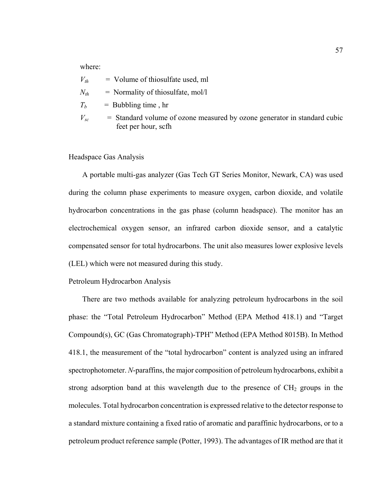where:

| $V_{th}$ | $=$ Volume of thiosulfate used, ml                                                                |
|----------|---------------------------------------------------------------------------------------------------|
| $N_{th}$ | $=$ Normality of thiosulfate, mol/l                                                               |
| $T_h$    | $=$ Bubbling time, hr                                                                             |
| $V_{sc}$ | $=$ Standard volume of ozone measured by ozone generator in standard cubic<br>feet per hour, scfh |

## Headspace Gas Analysis

A portable multi-gas analyzer (Gas Tech GT Series Monitor, Newark, CA) was used during the column phase experiments to measure oxygen, carbon dioxide, and volatile hydrocarbon concentrations in the gas phase (column headspace). The monitor has an electrochemical oxygen sensor, an infrared carbon dioxide sensor, and a catalytic compensated sensor for total hydrocarbons. The unit also measures lower explosive levels (LEL) which were not measured during this study.

#### Petroleum Hydrocarbon Analysis

There are two methods available for analyzing petroleum hydrocarbons in the soil phase: the "Total Petroleum Hydrocarbon" Method (EPA Method 418.1) and "Target Compound(s), GC (Gas Chromatograph)-TPH" Method (EPA Method 8015B). In Method 418.1, the measurement of the "total hydrocarbon" content is analyzed using an infrared spectrophotometer. *N*-paraffins, the major composition of petroleum hydrocarbons, exhibit a strong adsorption band at this wavelength due to the presence of  $CH<sub>2</sub>$  groups in the molecules. Total hydrocarbon concentration is expressed relative to the detector response to a standard mixture containing a fixed ratio of aromatic and paraffinic hydrocarbons, or to a petroleum product reference sample (Potter, 1993). The advantages of IR method are that it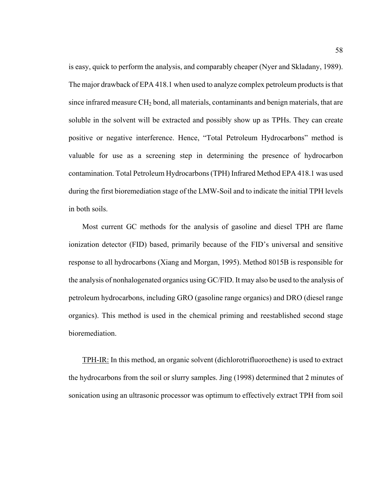is easy, quick to perform the analysis, and comparably cheaper (Nyer and Skladany, 1989). The major drawback of EPA 418.1 when used to analyze complex petroleum products is that since infrared measure CH<sub>2</sub> bond, all materials, contaminants and benign materials, that are soluble in the solvent will be extracted and possibly show up as TPHs. They can create positive or negative interference. Hence, "Total Petroleum Hydrocarbons" method is valuable for use as a screening step in determining the presence of hydrocarbon contamination. Total Petroleum Hydrocarbons (TPH) Infrared Method EPA 418.1 was used during the first bioremediation stage of the LMW-Soil and to indicate the initial TPH levels in both soils.

Most current GC methods for the analysis of gasoline and diesel TPH are flame ionization detector (FID) based, primarily because of the FID's universal and sensitive response to all hydrocarbons (Xiang and Morgan, 1995). Method 8015B is responsible for the analysis of nonhalogenated organics using GC/FID. It may also be used to the analysis of petroleum hydrocarbons, including GRO (gasoline range organics) and DRO (diesel range organics). This method is used in the chemical priming and reestablished second stage bioremediation.

TPH-IR: In this method, an organic solvent (dichlorotrifluoroethene) is used to extract the hydrocarbons from the soil or slurry samples. Jing (1998) determined that 2 minutes of sonication using an ultrasonic processor was optimum to effectively extract TPH from soil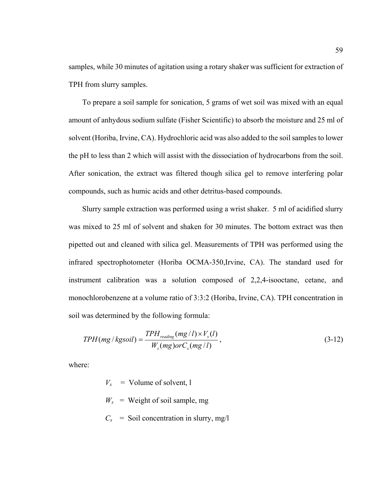samples, while 30 minutes of agitation using a rotary shaker was sufficient for extraction of TPH from slurry samples.

To prepare a soil sample for sonication, 5 grams of wet soil was mixed with an equal amount of anhydous sodium sulfate (Fisher Scientific) to absorb the moisture and 25 ml of solvent (Horiba, Irvine, CA). Hydrochloric acid was also added to the soil samples to lower the pH to less than 2 which will assist with the dissociation of hydrocarbons from the soil. After sonication, the extract was filtered though silica gel to remove interfering polar compounds, such as humic acids and other detritus-based compounds.

Slurry sample extraction was performed using a wrist shaker. 5 ml of acidified slurry was mixed to 25 ml of solvent and shaken for 30 minutes. The bottom extract was then pipetted out and cleaned with silica gel. Measurements of TPH was performed using the infrared spectrophotometer (Horiba OCMA-350,Irvine, CA). The standard used for instrument calibration was a solution composed of 2,2,4-isooctane, cetane, and monochlorobenzene at a volume ratio of 3:3:2 (Horiba, Irvine, CA). TPH concentration in soil was determined by the following formula:

$$
TPH(mg/kg soil) = \frac{TPH_{reading}(mg/l) \times V_s(l)}{W_s(mg) or C_s(mg/l)},
$$
\n(3-12)

where:

- $V_s$  = Volume of solvent, 1
- $W_s$  = Weight of soil sample, mg
- $C_s$  = Soil concentration in slurry, mg/l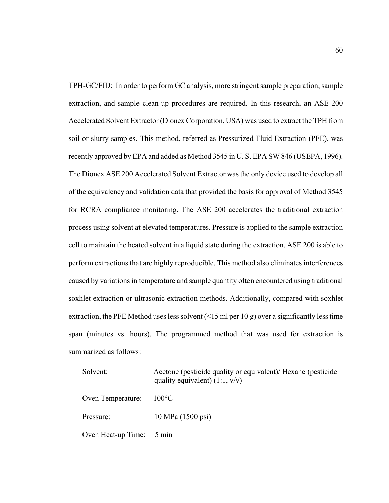TPH-GC/FID: In order to perform GC analysis, more stringent sample preparation, sample extraction, and sample clean-up procedures are required. In this research, an ASE 200 Accelerated Solvent Extractor (Dionex Corporation, USA) was used to extract the TPH from soil or slurry samples. This method, referred as Pressurized Fluid Extraction (PFE), was recently approved by EPA and added as Method 3545 in U. S. EPA SW 846 (USEPA, 1996). The Dionex ASE 200 Accelerated Solvent Extractor was the only device used to develop all of the equivalency and validation data that provided the basis for approval of Method 3545 for RCRA compliance monitoring. The ASE 200 accelerates the traditional extraction process using solvent at elevated temperatures. Pressure is applied to the sample extraction cell to maintain the heated solvent in a liquid state during the extraction. ASE 200 is able to perform extractions that are highly reproducible. This method also eliminates interferences caused by variations in temperature and sample quantity often encountered using traditional soxhlet extraction or ultrasonic extraction methods. Additionally, compared with soxhlet extraction, the PFE Method uses less solvent  $($  < 15 ml per 10 g) over a significantly less time span (minutes vs. hours). The programmed method that was used for extraction is summarized as follows:

| Solvent:           | Acetone (pesticide quality or equivalent)/ Hexane (pesticide<br>quality equivalent) $(1:1, v/v)$ |
|--------------------|--------------------------------------------------------------------------------------------------|
| Oven Temperature:  | $-100\degree C$                                                                                  |
| Pressure:          | 10 MPa (1500 psi)                                                                                |
| Oven Heat-up Time: | $5 \text{ min}$                                                                                  |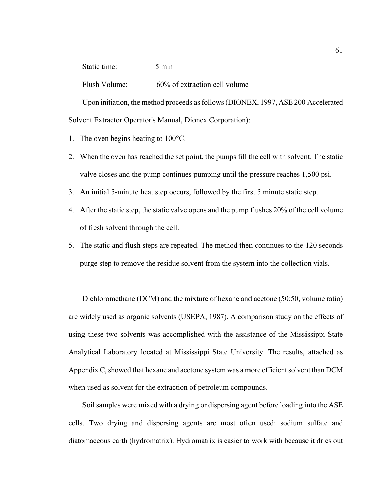Static time: 5 min

Flush Volume: 60% of extraction cell volume

Upon initiation, the method proceeds as follows (DIONEX, 1997, ASE 200 Accelerated Solvent Extractor Operator's Manual, Dionex Corporation):

- 1. The oven begins heating to 100°C.
- 2. When the oven has reached the set point, the pumps fill the cell with solvent. The static valve closes and the pump continues pumping until the pressure reaches 1,500 psi.
- 3. An initial 5-minute heat step occurs, followed by the first 5 minute static step.
- 4. After the static step, the static valve opens and the pump flushes 20% of the cell volume of fresh solvent through the cell.
- 5. The static and flush steps are repeated. The method then continues to the 120 seconds purge step to remove the residue solvent from the system into the collection vials.

Dichloromethane (DCM) and the mixture of hexane and acetone (50:50, volume ratio) are widely used as organic solvents (USEPA, 1987). A comparison study on the effects of using these two solvents was accomplished with the assistance of the Mississippi State Analytical Laboratory located at Mississippi State University. The results, attached as Appendix C, showed that hexane and acetone system was a more efficient solvent than DCM when used as solvent for the extraction of petroleum compounds.

Soil samples were mixed with a drying or dispersing agent before loading into the ASE cells. Two drying and dispersing agents are most often used: sodium sulfate and diatomaceous earth (hydromatrix). Hydromatrix is easier to work with because it dries out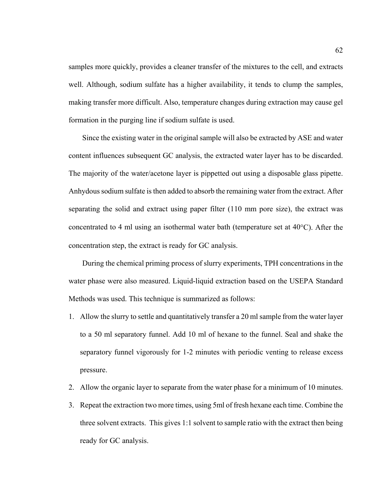samples more quickly, provides a cleaner transfer of the mixtures to the cell, and extracts well. Although, sodium sulfate has a higher availability, it tends to clump the samples, making transfer more difficult. Also, temperature changes during extraction may cause gel formation in the purging line if sodium sulfate is used.

Since the existing water in the original sample will also be extracted by ASE and water content influences subsequent GC analysis, the extracted water layer has to be discarded. The majority of the water/acetone layer is pippetted out using a disposable glass pipette. Anhydous sodium sulfate is then added to absorb the remaining water from the extract. After separating the solid and extract using paper filter (110 mm pore size), the extract was concentrated to 4 ml using an isothermal water bath (temperature set at 40°C). After the concentration step, the extract is ready for GC analysis.

During the chemical priming process of slurry experiments, TPH concentrations in the water phase were also measured. Liquid-liquid extraction based on the USEPA Standard Methods was used. This technique is summarized as follows:

- 1. Allow the slurry to settle and quantitatively transfer a 20 ml sample from the water layer to a 50 ml separatory funnel. Add 10 ml of hexane to the funnel. Seal and shake the separatory funnel vigorously for 1-2 minutes with periodic venting to release excess pressure.
- 2. Allow the organic layer to separate from the water phase for a minimum of 10 minutes.
- 3. Repeat the extraction two more times, using 5ml of fresh hexane each time. Combine the three solvent extracts. This gives 1:1 solvent to sample ratio with the extract then being ready for GC analysis.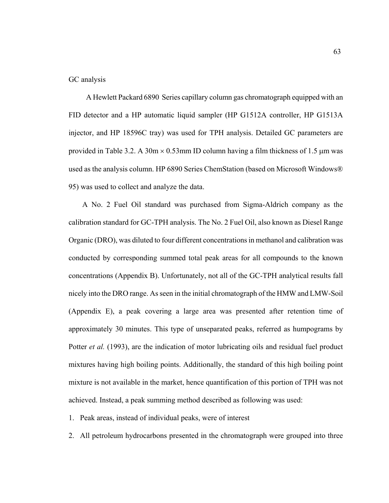#### GC analysis

 A Hewlett Packard 6890 Series capillary column gas chromatograph equipped with an FID detector and a HP automatic liquid sampler (HP G1512A controller, HP G1513A injector, and HP 18596C tray) was used for TPH analysis. Detailed GC parameters are provided in Table 3.2. A 30m  $\times$  0.53mm ID column having a film thickness of 1.5 µm was used as the analysis column. HP 6890 Series ChemStation (based on Microsoft Windows® 95) was used to collect and analyze the data.

A No. 2 Fuel Oil standard was purchased from Sigma-Aldrich company as the calibration standard for GC-TPH analysis. The No. 2 Fuel Oil, also known as Diesel Range Organic (DRO), was diluted to four different concentrations in methanol and calibration was conducted by corresponding summed total peak areas for all compounds to the known concentrations (Appendix B). Unfortunately, not all of the GC-TPH analytical results fall nicely into the DRO range. As seen in the initial chromatograph of the HMW and LMW-Soil (Appendix E), a peak covering a large area was presented after retention time of approximately 30 minutes. This type of unseparated peaks, referred as humpograms by Potter *et al.* (1993), are the indication of motor lubricating oils and residual fuel product mixtures having high boiling points. Additionally, the standard of this high boiling point mixture is not available in the market, hence quantification of this portion of TPH was not achieved. Instead, a peak summing method described as following was used:

1. Peak areas, instead of individual peaks, were of interest

2. All petroleum hydrocarbons presented in the chromatograph were grouped into three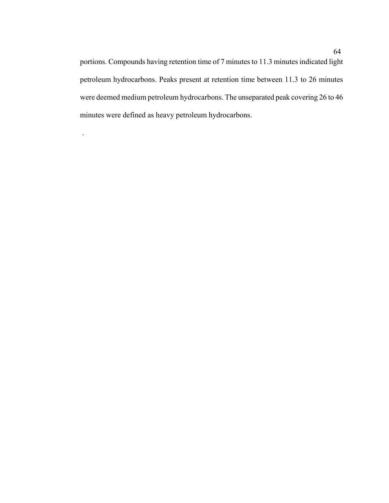portions. Compounds having retention time of 7 minutes to 11.3 minutes indicated light petroleum hydrocarbons. Peaks present at retention time between 11.3 to 26 minutes were deemed medium petroleum hydrocarbons. The unseparated peak covering 26 to 46 minutes were defined as heavy petroleum hydrocarbons.

.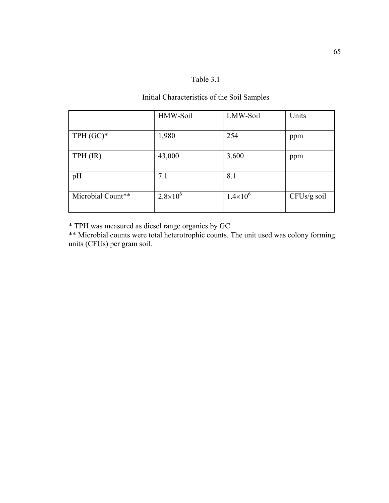## Table 3.1

## Initial Characteristics of the Soil Samples

|                   | HMW-Soil            | LMW-Soil            | Units       |
|-------------------|---------------------|---------------------|-------------|
| $TPH (GC)*$       | 1,980               | 254                 | ppm         |
| $TPH$ (IR)        | 43,000              | 3,600               | ppm         |
| pH                | 7.1                 | 8.1                 |             |
| Microbial Count** | $2.8 \times 10^{6}$ | $1.4 \times 10^{6}$ | CFUs/g soil |

\* TPH was measured as diesel range organics by GC

\*\* Microbial counts were total heterotrophic counts. The unit used was colony forming units (CFUs) per gram soil.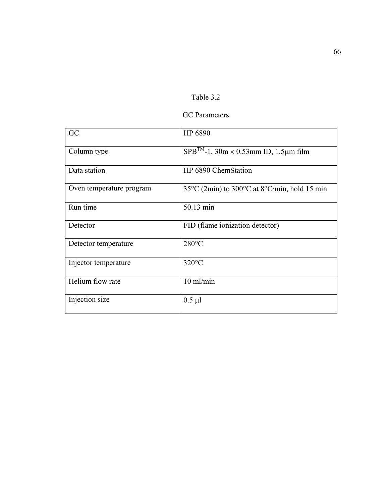| Fable 3 |  |  |
|---------|--|--|
|         |  |  |

## GC Parameters

| GC                       | HP 6890                                                                    |
|--------------------------|----------------------------------------------------------------------------|
| Column type              | $SPB^{TM}$ -1, 30m × 0.53mm ID, 1.5µm film                                 |
| Data station             | HP 6890 ChemStation                                                        |
| Oven temperature program | $35^{\circ}$ C (2min) to $300^{\circ}$ C at $8^{\circ}$ C/min, hold 15 min |
| Run time                 | 50.13 min                                                                  |
| Detector                 | FID (flame ionization detector)                                            |
| Detector temperature     | $280^{\circ}$ C                                                            |
| Injector temperature     | $320^{\circ}$ C                                                            |
| Helium flow rate         | $10$ ml/min                                                                |
| Injection size           | $0.5 \mu l$                                                                |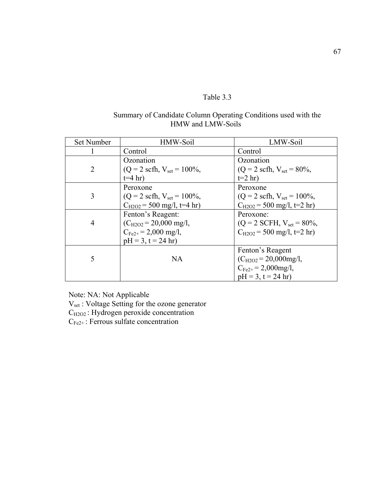# Table 3.3

# Summary of Candidate Column Operating Conditions used with the HMW and LMW-Soils

| Set Number     | HMW-Soil                                       | LMW-Soil                                      |
|----------------|------------------------------------------------|-----------------------------------------------|
|                | Control                                        | Control                                       |
|                | Ozonation                                      | Ozonation                                     |
| $\overline{2}$ | $(Q = 2 \text{ scfh}, V_{\text{set}} = 100\%,$ | $(Q = 2 \text{ scfh}, V_{\text{set}} = 80\%,$ |
|                | $t=4$ hr)                                      | $t=2$ hr)                                     |
|                | Peroxone                                       | Peroxone                                      |
| 3              | $(Q = 2 \text{ scfh}, V_{\text{set}} = 100\%,$ | $(Q = 2 \text{ scfh}, V_{set} = 100\%,$       |
|                | $C_{H2O2}$ = 500 mg/l, t=4 hr)                 | $C_{H2O2}$ = 500 mg/l, t=2 hr)                |
|                | Fenton's Reagent:                              | Peroxone:                                     |
| 4              | $(C_{H2O2} = 20,000$ mg/l,                     | $(Q = 2$ SCFH, $V_{set} = 80\%,$              |
|                | $C_{Fe2+} = 2,000$ mg/l,                       | $C_{H2O2}$ = 500 mg/l, t=2 hr)                |
|                | $pH = 3$ , $t = 24$ hr)                        |                                               |
|                |                                                | Fenton's Reagent                              |
| 5              | <b>NA</b>                                      | $(C_{H2O2} = 20,000$ mg/l,                    |
|                |                                                | $C_{Fe2+} = 2,000$ mg/l,                      |
|                |                                                | $pH = 3$ , $t = 24$ hr)                       |

Note: NA: Not Applicable

V<sub>set</sub> : Voltage Setting for the ozone generator

 $C_{H2O2}$ : Hydrogen peroxide concentration

 $C_{Fe2+}$ : Ferrous sulfate concentration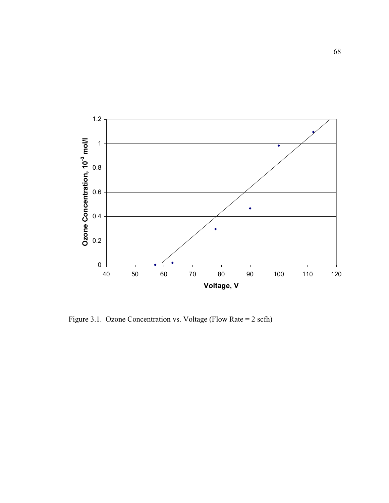

Figure 3.1. Ozone Concentration vs. Voltage (Flow Rate = 2 scfh)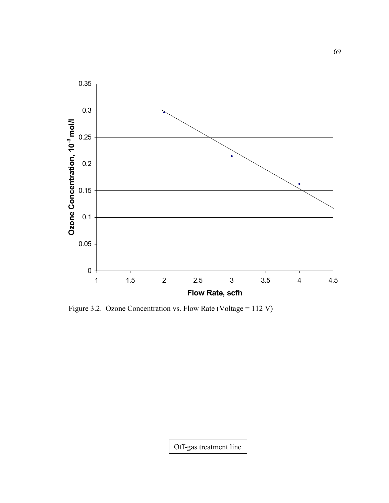

Figure 3.2. Ozone Concentration vs. Flow Rate (Voltage = 112 V)

Off-gas treatment line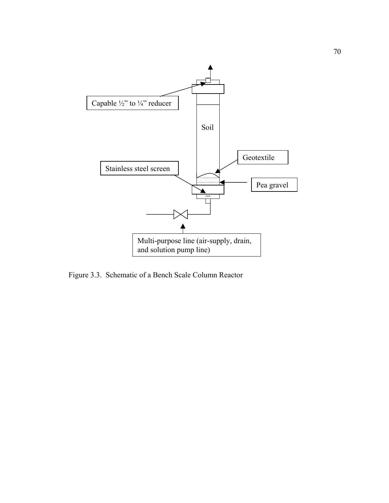

Figure 3.3. Schematic of a Bench Scale Column Reactor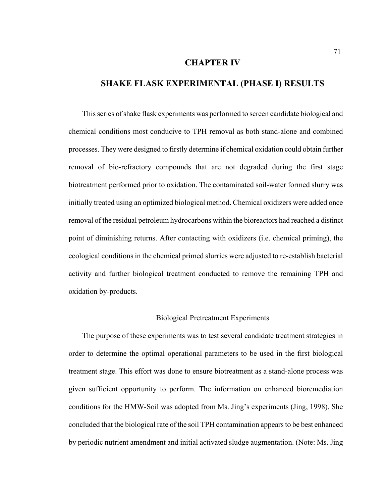### **CHAPTER IV**

## **SHAKE FLASK EXPERIMENTAL (PHASE I) RESULTS**

This series of shake flask experiments was performed to screen candidate biological and chemical conditions most conducive to TPH removal as both stand-alone and combined processes. They were designed to firstly determine if chemical oxidation could obtain further removal of bio-refractory compounds that are not degraded during the first stage biotreatment performed prior to oxidation. The contaminated soil-water formed slurry was initially treated using an optimized biological method. Chemical oxidizers were added once removal of the residual petroleum hydrocarbons within the bioreactors had reached a distinct point of diminishing returns. After contacting with oxidizers (i.e. chemical priming), the ecological conditions in the chemical primed slurries were adjusted to re-establish bacterial activity and further biological treatment conducted to remove the remaining TPH and oxidation by-products.

### Biological Pretreatment Experiments

The purpose of these experiments was to test several candidate treatment strategies in order to determine the optimal operational parameters to be used in the first biological treatment stage. This effort was done to ensure biotreatment as a stand-alone process was given sufficient opportunity to perform. The information on enhanced bioremediation conditions for the HMW-Soil was adopted from Ms. Jing's experiments (Jing, 1998). She concluded that the biological rate of the soil TPH contamination appears to be best enhanced by periodic nutrient amendment and initial activated sludge augmentation. (Note: Ms. Jing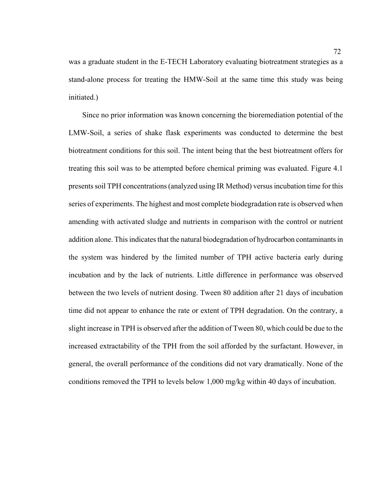was a graduate student in the E-TECH Laboratory evaluating biotreatment strategies as a stand-alone process for treating the HMW-Soil at the same time this study was being initiated.)

Since no prior information was known concerning the bioremediation potential of the LMW-Soil, a series of shake flask experiments was conducted to determine the best biotreatment conditions for this soil. The intent being that the best biotreatment offers for treating this soil was to be attempted before chemical priming was evaluated. Figure 4.1 presents soil TPH concentrations (analyzed using IR Method) versus incubation time for this series of experiments. The highest and most complete biodegradation rate is observed when amending with activated sludge and nutrients in comparison with the control or nutrient addition alone. This indicates that the natural biodegradation of hydrocarbon contaminants in the system was hindered by the limited number of TPH active bacteria early during incubation and by the lack of nutrients. Little difference in performance was observed between the two levels of nutrient dosing. Tween 80 addition after 21 days of incubation time did not appear to enhance the rate or extent of TPH degradation. On the contrary, a slight increase in TPH is observed after the addition of Tween 80, which could be due to the increased extractability of the TPH from the soil afforded by the surfactant. However, in general, the overall performance of the conditions did not vary dramatically. None of the conditions removed the TPH to levels below 1,000 mg/kg within 40 days of incubation.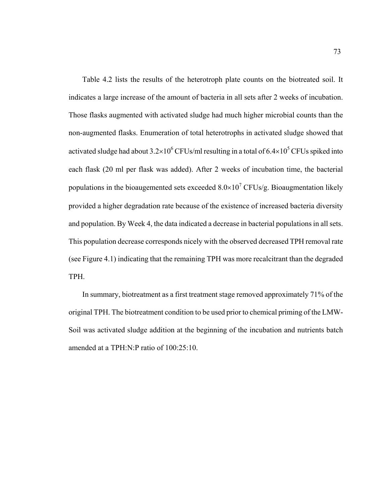Table 4.2 lists the results of the heterotroph plate counts on the biotreated soil. It indicates a large increase of the amount of bacteria in all sets after 2 weeks of incubation. Those flasks augmented with activated sludge had much higher microbial counts than the non-augmented flasks. Enumeration of total heterotrophs in activated sludge showed that activated sludge had about  $3.2 \times 10^6$  CFUs/ml resulting in a total of  $6.4 \times 10^5$  CFUs spiked into each flask (20 ml per flask was added). After 2 weeks of incubation time, the bacterial populations in the bioaugemented sets exceeded  $8.0 \times 10^7$  CFUs/g. Bioaugmentation likely provided a higher degradation rate because of the existence of increased bacteria diversity and population. By Week 4, the data indicated a decrease in bacterial populations in all sets. This population decrease corresponds nicely with the observed decreased TPH removal rate (see Figure 4.1) indicating that the remaining TPH was more recalcitrant than the degraded TPH.

In summary, biotreatment as a first treatment stage removed approximately 71% of the original TPH. The biotreatment condition to be used prior to chemical priming of the LMW-Soil was activated sludge addition at the beginning of the incubation and nutrients batch amended at a TPH:N:P ratio of 100:25:10.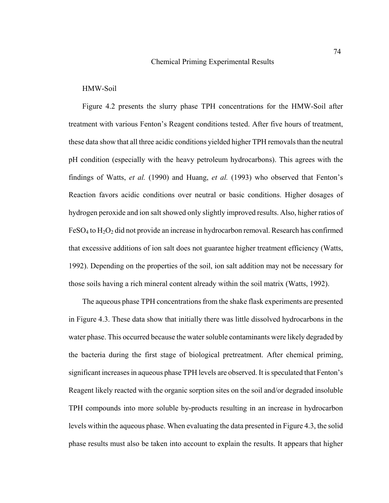### HMW-Soil

Figure 4.2 presents the slurry phase TPH concentrations for the HMW-Soil after treatment with various Fenton's Reagent conditions tested. After five hours of treatment, these data show that all three acidic conditions yielded higher TPH removals than the neutral pH condition (especially with the heavy petroleum hydrocarbons). This agrees with the findings of Watts, *et al.* (1990) and Huang, *et al.* (1993) who observed that Fenton's Reaction favors acidic conditions over neutral or basic conditions. Higher dosages of hydrogen peroxide and ion salt showed only slightly improved results. Also, higher ratios of  $FeSO<sub>4</sub>$  to  $H<sub>2</sub>O<sub>2</sub>$  did not provide an increase in hydrocarbon removal. Research has confirmed that excessive additions of ion salt does not guarantee higher treatment efficiency (Watts, 1992). Depending on the properties of the soil, ion salt addition may not be necessary for those soils having a rich mineral content already within the soil matrix (Watts, 1992).

The aqueous phase TPH concentrations from the shake flask experiments are presented in Figure 4.3. These data show that initially there was little dissolved hydrocarbons in the water phase. This occurred because the water soluble contaminants were likely degraded by the bacteria during the first stage of biological pretreatment. After chemical priming, significant increases in aqueous phase TPH levels are observed. It is speculated that Fenton's Reagent likely reacted with the organic sorption sites on the soil and/or degraded insoluble TPH compounds into more soluble by-products resulting in an increase in hydrocarbon levels within the aqueous phase. When evaluating the data presented in Figure 4.3, the solid phase results must also be taken into account to explain the results. It appears that higher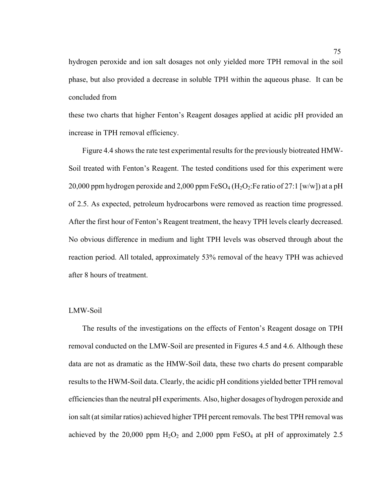hydrogen peroxide and ion salt dosages not only yielded more TPH removal in the soil phase, but also provided a decrease in soluble TPH within the aqueous phase. It can be concluded from

these two charts that higher Fenton's Reagent dosages applied at acidic pH provided an increase in TPH removal efficiency.

Figure 4.4 shows the rate test experimental results for the previously biotreated HMW-Soil treated with Fenton's Reagent. The tested conditions used for this experiment were 20,000 ppm hydrogen peroxide and 2,000 ppm  $FeSO<sub>4</sub> (H<sub>2</sub>O<sub>2</sub>:Fe ratio of 27:1 [w/w])$  at a pH of 2.5. As expected, petroleum hydrocarbons were removed as reaction time progressed. After the first hour of Fenton's Reagent treatment, the heavy TPH levels clearly decreased. No obvious difference in medium and light TPH levels was observed through about the reaction period. All totaled, approximately 53% removal of the heavy TPH was achieved after 8 hours of treatment.

### LMW-Soil

The results of the investigations on the effects of Fenton's Reagent dosage on TPH removal conducted on the LMW-Soil are presented in Figures 4.5 and 4.6. Although these data are not as dramatic as the HMW-Soil data, these two charts do present comparable results to the HWM-Soil data. Clearly, the acidic pH conditions yielded better TPH removal efficiencies than the neutral pH experiments. Also, higher dosages of hydrogen peroxide and ion salt (at similar ratios) achieved higher TPH percent removals. The best TPH removal was achieved by the 20,000 ppm  $H_2O_2$  and 2,000 ppm FeSO<sub>4</sub> at pH of approximately 2.5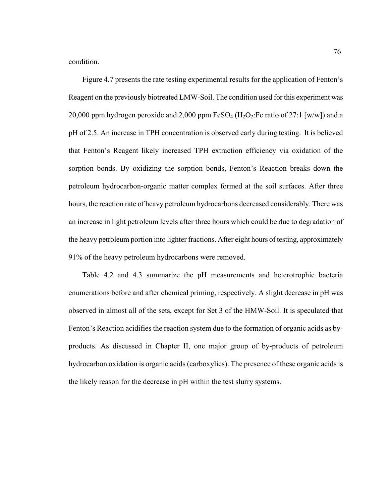condition.

Figure 4.7 presents the rate testing experimental results for the application of Fenton's Reagent on the previously biotreated LMW-Soil. The condition used for this experiment was 20,000 ppm hydrogen peroxide and 2,000 ppm  $FeSO<sub>4</sub> (H<sub>2</sub>O<sub>2</sub>:Fe ratio of 27:1 [w/w])$  and a pH of 2.5. An increase in TPH concentration is observed early during testing. It is believed that Fenton's Reagent likely increased TPH extraction efficiency via oxidation of the sorption bonds. By oxidizing the sorption bonds, Fenton's Reaction breaks down the petroleum hydrocarbon-organic matter complex formed at the soil surfaces. After three hours, the reaction rate of heavy petroleum hydrocarbons decreased considerably. There was an increase in light petroleum levels after three hours which could be due to degradation of the heavy petroleum portion into lighter fractions. After eight hours of testing, approximately 91% of the heavy petroleum hydrocarbons were removed.

Table 4.2 and 4.3 summarize the pH measurements and heterotrophic bacteria enumerations before and after chemical priming, respectively. A slight decrease in pH was observed in almost all of the sets, except for Set 3 of the HMW-Soil. It is speculated that Fenton's Reaction acidifies the reaction system due to the formation of organic acids as byproducts. As discussed in Chapter II, one major group of by-products of petroleum hydrocarbon oxidation is organic acids (carboxylics). The presence of these organic acids is the likely reason for the decrease in pH within the test slurry systems.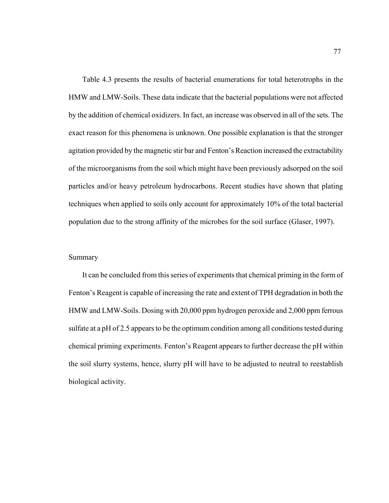Table 4.3 presents the results of bacterial enumerations for total heterotrophs in the HMW and LMW-Soils. These data indicate that the bacterial populations were not affected by the addition of chemical oxidizers. In fact, an increase was observed in all of the sets. The exact reason for this phenomena is unknown. One possible explanation is that the stronger agitation provided by the magnetic stir bar and Fenton's Reaction increased the extractability of the microorganisms from the soil which might have been previously adsorped on the soil particles and/or heavy petroleum hydrocarbons. Recent studies have shown that plating techniques when applied to soils only account for approximately 10% of the total bacterial population due to the strong affinity of the microbes for the soil surface (Glaser, 1997).

### Summary

It can be concluded from this series of experiments that chemical priming in the form of Fenton's Reagent is capable of increasing the rate and extent of TPH degradation in both the HMW and LMW-Soils. Dosing with 20,000 ppm hydrogen peroxide and 2,000 ppm ferrous sulfate at a pH of 2.5 appears to be the optimum condition among all conditions tested during chemical priming experiments. Fenton's Reagent appears to further decrease the pH within the soil slurry systems, hence, slurry pH will have to be adjusted to neutral to reestablish biological activity.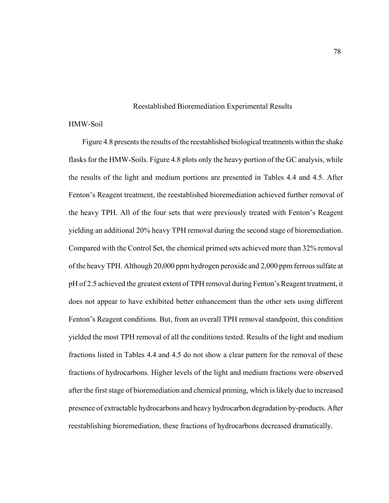### Reestablished Bioremediation Experimental Results

### HMW-Soil

Figure 4.8 presents the results of the reestablished biological treatments within the shake flasks for the HMW-Soils. Figure 4.8 plots only the heavy portion of the GC analysis, while the results of the light and medium portions are presented in Tables 4.4 and 4.5. After Fenton's Reagent treatment, the reestablished bioremediation achieved further removal of the heavy TPH. All of the four sets that were previously treated with Fenton's Reagent yielding an additional 20% heavy TPH removal during the second stage of bioremediation. Compared with the Control Set, the chemical primed sets achieved more than 32% removal of the heavy TPH. Although 20,000 ppm hydrogen peroxide and 2,000 ppm ferrous sulfate at pH of 2.5 achieved the greatest extent of TPH removal during Fenton's Reagent treatment, it does not appear to have exhibited better enhancement than the other sets using different Fenton's Reagent conditions. But, from an overall TPH removal standpoint, this condition yielded the most TPH removal of all the conditions tested. Results of the light and medium fractions listed in Tables 4.4 and 4.5 do not show a clear pattern for the removal of these fractions of hydrocarbons. Higher levels of the light and medium fractions were observed after the first stage of bioremediation and chemical priming, which is likely due to increased presence of extractable hydrocarbons and heavy hydrocarbon degradation by-products. After reestablishing bioremediation, these fractions of hydrocarbons decreased dramatically.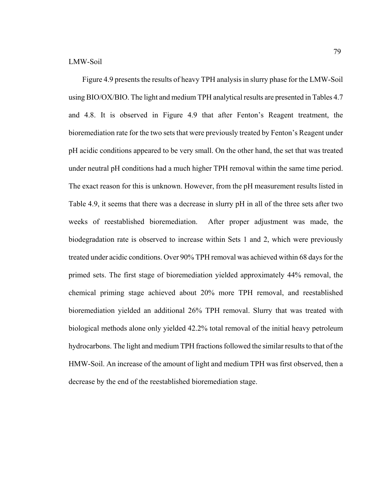Figure 4.9 presents the results of heavy TPH analysis in slurry phase for the LMW-Soil using BIO/OX/BIO. The light and medium TPH analytical results are presented in Tables 4.7 and 4.8. It is observed in Figure 4.9 that after Fenton's Reagent treatment, the bioremediation rate for the two sets that were previously treated by Fenton's Reagent under pH acidic conditions appeared to be very small. On the other hand, the set that was treated under neutral pH conditions had a much higher TPH removal within the same time period. The exact reason for this is unknown. However, from the pH measurement results listed in Table 4.9, it seems that there was a decrease in slurry pH in all of the three sets after two weeks of reestablished bioremediation. After proper adjustment was made, the biodegradation rate is observed to increase within Sets 1 and 2, which were previously treated under acidic conditions. Over 90% TPH removal was achieved within 68 days for the primed sets. The first stage of bioremediation yielded approximately 44% removal, the chemical priming stage achieved about 20% more TPH removal, and reestablished bioremediation yielded an additional 26% TPH removal. Slurry that was treated with biological methods alone only yielded 42.2% total removal of the initial heavy petroleum hydrocarbons. The light and medium TPH fractions followed the similar results to that of the HMW-Soil. An increase of the amount of light and medium TPH was first observed, then a decrease by the end of the reestablished bioremediation stage.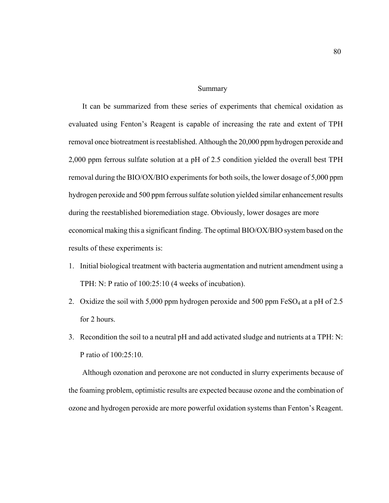Summary

It can be summarized from these series of experiments that chemical oxidation as evaluated using Fenton's Reagent is capable of increasing the rate and extent of TPH removal once biotreatment is reestablished. Although the 20,000 ppm hydrogen peroxide and 2,000 ppm ferrous sulfate solution at a pH of 2.5 condition yielded the overall best TPH removal during the BIO/OX/BIO experiments for both soils, the lower dosage of 5,000 ppm hydrogen peroxide and 500 ppm ferrous sulfate solution yielded similar enhancement results during the reestablished bioremediation stage. Obviously, lower dosages are more economical making this a significant finding. The optimal BIO/OX/BIO system based on the results of these experiments is:

- 1. Initial biological treatment with bacteria augmentation and nutrient amendment using a TPH: N: P ratio of 100:25:10 (4 weeks of incubation).
- 2. Oxidize the soil with 5,000 ppm hydrogen peroxide and 500 ppm  $FeSO<sub>4</sub>$  at a pH of 2.5 for 2 hours.
- 3. Recondition the soil to a neutral pH and add activated sludge and nutrients at a TPH: N: P ratio of 100:25:10.

Although ozonation and peroxone are not conducted in slurry experiments because of the foaming problem, optimistic results are expected because ozone and the combination of ozone and hydrogen peroxide are more powerful oxidation systems than Fenton's Reagent.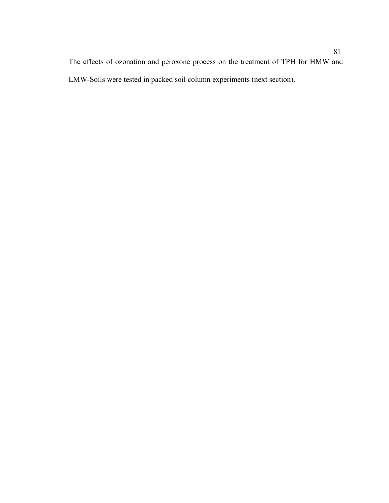The effects of ozonation and peroxone process on the treatment of TPH for HMW and LMW-Soils were tested in packed soil column experiments (next section).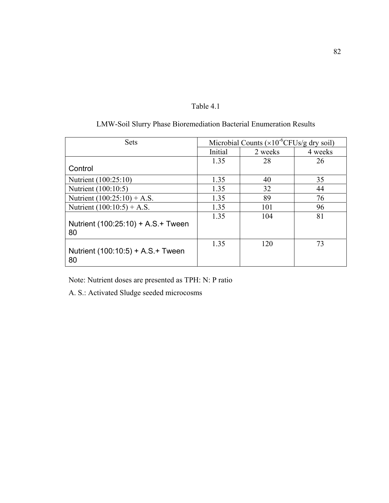|  | Table - |  |
|--|---------|--|
|--|---------|--|

| <b>Sets</b>                               | Microbial Counts $(x10^6$ CFUs/g dry soil) |         |         |
|-------------------------------------------|--------------------------------------------|---------|---------|
|                                           | Initial                                    | 2 weeks | 4 weeks |
|                                           | 1.35                                       | 28      | 26      |
| Control                                   |                                            |         |         |
| Nutrient (100:25:10)                      | 1.35                                       | 40      | 35      |
| Nutrient (100:10:5)                       | 1.35                                       | 32      | 44      |
| Nutrient $(100:25:10) + A.S.$             | 1.35                                       | 89      | 76      |
| Nutrient $(100:10:5) + A.S.$              | 1.35                                       | 101     | 96      |
| Nutrient (100:25:10) + A.S. + Tween<br>80 | 1.35                                       | 104     | 81      |
| Nutrient (100:10:5) + A.S. + Tween<br>80  | 1.35                                       | 120     | 73      |

# LMW-Soil Slurry Phase Bioremediation Bacterial Enumeration Results

Note: Nutrient doses are presented as TPH: N: P ratio

A. S.: Activated Sludge seeded microcosms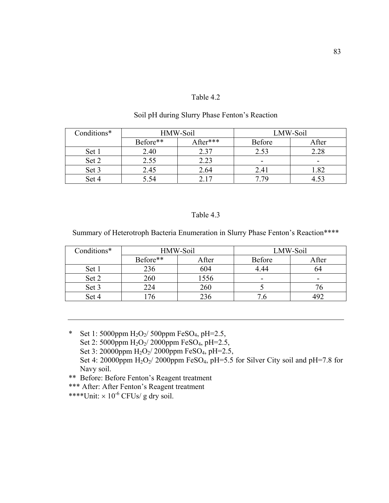## Table 4.2

| Soil pH during Slurry Phase Fenton's Reaction |  |
|-----------------------------------------------|--|
|-----------------------------------------------|--|

| Conditions* | HMW-Soil |          |                          | LMW-Soil |
|-------------|----------|----------|--------------------------|----------|
|             | Before** | After*** | <b>Before</b>            | After    |
| Set 1       | 2.40     | 2.37     | 2.53                     | 2.28     |
| Set 2       | 2.55     | 2.23     | $\overline{\phantom{0}}$ | -        |
| Set 3       | 2.45     | 2.64     | 2.41                     | 1.82     |
| Set 4       | 5.54     |          | 7 79                     |          |

## Table 4.3

Summary of Heterotroph Bacteria Enumeration in Slurry Phase Fenton's Reaction\*\*\*\*

| Conditions* | HMW-Soil |       | LMW-Soil      |       |
|-------------|----------|-------|---------------|-------|
|             | Before** | After | <b>Before</b> | After |
| Set 1       | 236      | 604   | 4.44          | 24    |
| Set 2       | 260      | 1556  | -             | -     |
| Set 3       | 224      | 260   |               |       |
| Set 4       | 76       | 236   |               |       |

\* Set 1: 5000ppm  $H_2O_2/$  500ppm FeSO<sub>4</sub>, pH=2.5, Set 2: 5000ppm  $H_2O_2/2000$ ppm FeSO<sub>4</sub>, pH=2.5, Set 3: 20000ppm H<sub>2</sub>O<sub>2</sub>/ 2000ppm FeSO<sub>4</sub>, pH=2.5, Set 4: 20000ppm  $H_2O_2/$  2000ppm FeSO<sub>4</sub>, pH=5.5 for Silver City soil and pH=7.8 for Navy soil.

\*\* Before: Before Fenton's Reagent treatment

\*\*\* After: After Fenton's Reagent treatment

\*\*\*\*Unit:  $\times$  10<sup>-6</sup> CFUs/ g dry soil.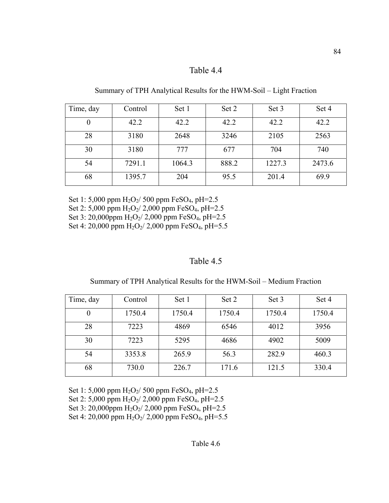## Table 4.4

Time, day Control Set 1 Set 2 Set 3 Set 4  $0 \qquad \qquad | \qquad 42.2 \qquad | \qquad 42.2 \qquad | \qquad 42.2 \qquad | \qquad 42.2$ 28 | 3180 | 2648 | 3246 | 2105 | 2563 30 | 3180 | 777 | 677 | 704 | 740 54 | 7291.1 | 1064.3 | 888.2 | 1227.3 | 2473.6 68 1395.7 204 95.5 201.4 69.9

Summary of TPH Analytical Results for the HWM-Soil – Light Fraction

Set 1: 5,000 ppm  $H_2O_2/$  500 ppm FeSO<sub>4</sub>, pH=2.5 Set 2: 5,000 ppm H<sub>2</sub>O<sub>2</sub>/ 2,000 ppm FeSO<sub>4</sub>, pH=2.5 Set 3: 20,000ppm  $H_2O_2/2,000$  ppm FeSO<sub>4</sub>, pH=2.5 Set 4: 20,000 ppm  $H_2O_2/2,000$  ppm  $FeSO_4$ , pH=5.5

## Table 4.5

| Summary of TPH Analytical Results for the HWM-Soil – Medium Fraction |  |  |
|----------------------------------------------------------------------|--|--|
|                                                                      |  |  |

| Time, day | Control | Set 1  | Set 2  | Set 3  | Set 4  |
|-----------|---------|--------|--------|--------|--------|
|           | 1750.4  | 1750.4 | 1750.4 | 1750.4 | 1750.4 |
| 28        | 7223    | 4869   | 6546   | 4012   | 3956   |
| 30        | 7223    | 5295   | 4686   | 4902   | 5009   |
| 54        | 3353.8  | 265.9  | 56.3   | 282.9  | 460.3  |
| 68        | 730.0   | 226.7  | 171.6  | 121.5  | 330.4  |

Set 1: 5,000 ppm  $H_2O_2/$  500 ppm FeSO<sub>4</sub>, pH=2.5 Set 2: 5,000 ppm  $H_2O_2/2,000$  ppm FeSO<sub>4</sub>, pH=2.5 Set 3: 20,000ppm  $H_2O_2/2,000$  ppm FeSO<sub>4</sub>, pH=2.5 Set 4: 20,000 ppm  $H_2O_2/2,000$  ppm FeSO<sub>4</sub>, pH=5.5

### Table 4.6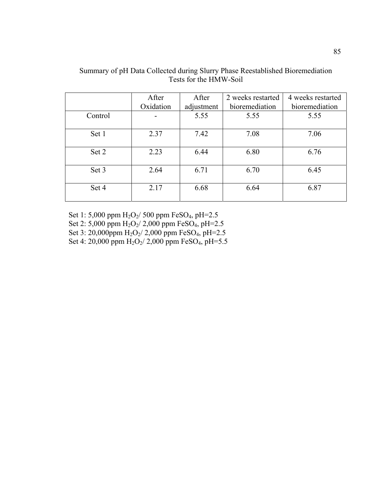|         | After     | After      | 2 weeks restarted | 4 weeks restarted |
|---------|-----------|------------|-------------------|-------------------|
|         | Oxidation | adjustment | bioremediation    | bioremediation    |
| Control |           | 5.55       | 5.55              | 5.55              |
| Set 1   | 2.37      | 7.42       | 7.08              | 7.06              |
| Set 2   | 2.23      | 6.44       | 6.80              | 6.76              |
| Set 3   | 2.64      | 6.71       | 6.70              | 6.45              |
| Set 4   | 2.17      | 6.68       | 6.64              | 6.87              |

Summary of pH Data Collected during Slurry Phase Reestablished Bioremediation Tests for the HMW-Soil

Set 1: 5,000 ppm H<sub>2</sub>O<sub>2</sub>/ 500 ppm FeSO<sub>4</sub>, pH=2.5

Set 2: 5,000 ppm  $H_2O_2/2,000$  ppm FeSO<sub>4</sub>, pH=2.5

Set 3: 20,000ppm H<sub>2</sub>O<sub>2</sub>/ 2,000 ppm FeSO<sub>4</sub>, pH=2.5

Set 4: 20,000 ppm  $H_2O_2/2,000$  ppm FeSO<sub>4</sub>, pH=5.5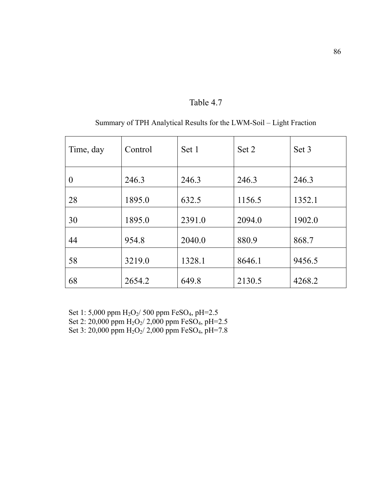| Time, day | Control | Set 1  | Set 2  | Set 3  |
|-----------|---------|--------|--------|--------|
| $\theta$  | 246.3   | 246.3  | 246.3  | 246.3  |
| 28        | 1895.0  | 632.5  | 1156.5 | 1352.1 |
| 30        | 1895.0  | 2391.0 | 2094.0 | 1902.0 |
| 44        | 954.8   | 2040.0 | 880.9  | 868.7  |
| 58        | 3219.0  | 1328.1 | 8646.1 | 9456.5 |
| 68        | 2654.2  | 649.8  | 2130.5 | 4268.2 |

Table 4.7

|  |  | Summary of TPH Analytical Results for the LWM-Soil – Light Fraction |
|--|--|---------------------------------------------------------------------|
|  |  |                                                                     |

Set 1: 5,000 ppm H2O2/ 500 ppm FeSO4, pH=2.5 Set 2: 20,000 ppm H<sub>2</sub>O<sub>2</sub>/ 2,000 ppm FeSO<sub>4</sub>, pH=2.5 Set 3: 20,000 ppm  $H_2O_2/2,000$  ppm FeSO<sub>4</sub>, pH=7.8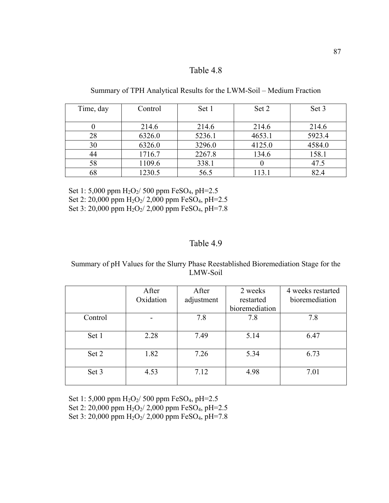# Table 4.8

Summary of TPH Analytical Results for the LWM-Soil – Medium Fraction

| Time, day | Control | Set 1  | Set 2  | Set 3  |
|-----------|---------|--------|--------|--------|
|           |         |        |        |        |
|           | 214.6   | 214.6  | 214.6  | 214.6  |
| 28        | 6326.0  | 5236.1 | 4653.1 | 5923.4 |
| 30        | 6326.0  | 3296.0 | 4125.0 | 4584.0 |
| 44        | 1716.7  | 2267.8 | 134.6  | 158.1  |
| 58        | 1109.6  | 338.1  |        | 47.5   |
| 68        | 1230.5  | 56.5   | 113.1  | 82.4   |

Set 1: 5,000 ppm H<sub>2</sub>O<sub>2</sub>/ 500 ppm FeSO<sub>4</sub>, pH=2.5 Set 2: 20,000 ppm H<sub>2</sub>O<sub>2</sub>/ 2,000 ppm FeSO<sub>4</sub>, pH=2.5 Set 3: 20,000 ppm H<sub>2</sub>O<sub>2</sub>/ 2,000 ppm FeSO<sub>4</sub>, pH=7.8

# Table 4.9

Summary of pH Values for the Slurry Phase Reestablished Bioremediation Stage for the LMW-Soil

|         | After     | After      | 2 weeks        | 4 weeks restarted |
|---------|-----------|------------|----------------|-------------------|
|         | Oxidation | adjustment | restarted      | bioremediation    |
|         |           |            | bioremediation |                   |
| Control |           | 7.8        | 7.8            | 7.8               |
|         |           |            |                |                   |
| Set 1   | 2.28      | 7.49       | 5.14           | 6.47              |
|         |           |            |                |                   |
| Set 2   | 1.82      | 7.26       | 5.34           | 6.73              |
|         |           |            |                |                   |
| Set 3   | 4.53      | 7.12       | 4.98           | 7.01              |
|         |           |            |                |                   |

Set 1: 5,000 ppm H<sub>2</sub>O<sub>2</sub>/ 500 ppm FeSO<sub>4</sub>, pH=2.5 Set 2: 20,000 ppm  $H_2O_2/2,000$  ppm FeSO<sub>4</sub>, pH=2.5 Set 3: 20,000 ppm  $H_2O_2/2,000$  ppm FeSO<sub>4</sub>, pH=7.8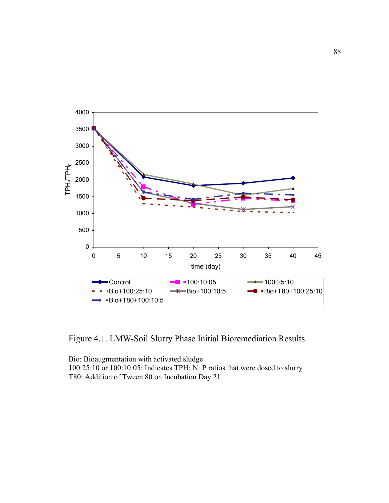

Figure 4.1. LMW-Soil Slurry Phase Initial Bioremediation Results

Bio: Bioaugmentation with activated sludge 100:25:10 or 100:10:05: Indicates TPH: N: P ratios that were dosed to slurry T80: Addition of Tween 80 on Incubation Day 21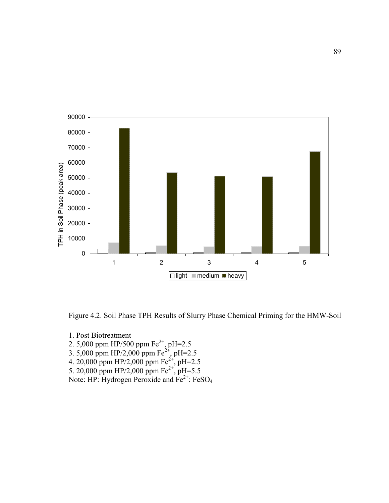

Figure 4.2. Soil Phase TPH Results of Slurry Phase Chemical Priming for the HMW-Soil

- 1. Post Biotreatment
- 2. 5,000 ppm HP/500 ppm  $Fe^{2+}$ , pH=2.5
- 3. 5,000 ppm HP/2,000 ppm Fe<sup>2+</sup>, pH=2.5
- 4. 20,000 ppm HP/2,000 ppm  $Fe^{2+}$ , pH=2.5
- 5. 20,000 ppm HP/2,000 ppm  $Fe^{2+}$ , pH=5.5
- Note: HP: Hydrogen Peroxide and  $Fe^{2+}$ : FeSO<sub>4</sub>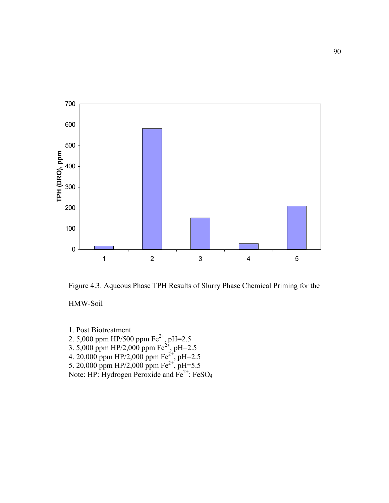

Figure 4.3. Aqueous Phase TPH Results of Slurry Phase Chemical Priming for the

HMW-Soil

1. Post Biotreatment 2. 5,000 ppm HP/500 ppm  $Fe^{2+}$ , pH=2.5 3. 5,000 ppm HP/2,000 ppm Fe<sup>2+</sup>, pH=2.5 4. 20,000 ppm HP/2,000 ppm  $Fe^{2+}$ , pH=2.5 5. 20,000 ppm HP/2,000 ppm  $Fe^{2+}$ , pH=5.5 Note: HP: Hydrogen Peroxide and  $Fe^{2+}$ : FeSO<sub>4</sub>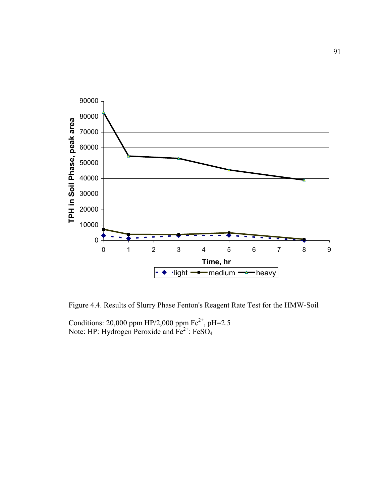

Figure 4.4. Results of Slurry Phase Fenton's Reagent Rate Test for the HMW-Soil

Conditions: 20,000 ppm HP/2,000 ppm  $Fe^{2+}$ , pH=2.5 Note: HP: Hydrogen Peroxide and  $Fe^{2+}$ : FeSO<sub>4</sub>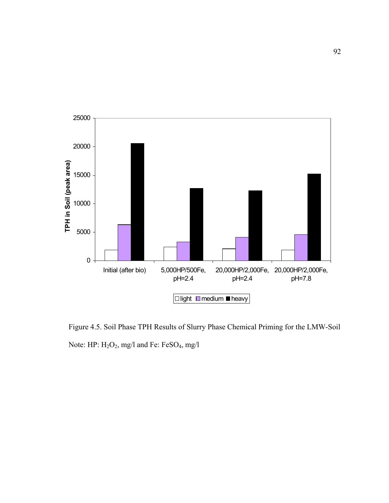

Figure 4.5. Soil Phase TPH Results of Slurry Phase Chemical Priming for the LMW-Soil Note: HP: H<sub>2</sub>O<sub>2</sub>, mg/l and Fe: FeSO<sub>4</sub>, mg/l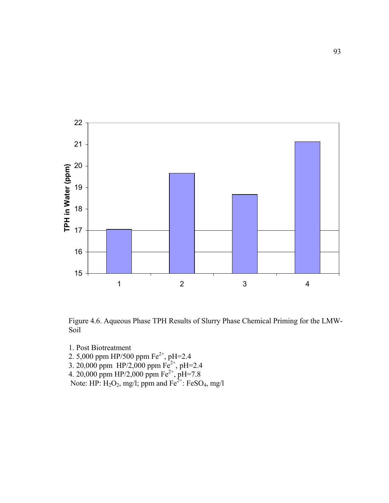

Figure 4.6. Aqueous Phase TPH Results of Slurry Phase Chemical Priming for the LMW-Soil

- 1. Post Biotreatment
- 2. 5,000 ppm HP/500 ppm  $Fe^{2+}$ , pH=2.4
- 3. 20,000 ppm  $HP/2,000$  ppm  $Fe^{2+}$ , pH=2.4
- 4. 20,000 ppm HP/2,000 ppm  $Fe^{2+}$ , pH=7.8
- Note: HP:  $H_2O_2$ , mg/l; ppm and  $Fe^{2+}$ : FeSO<sub>4</sub>, mg/l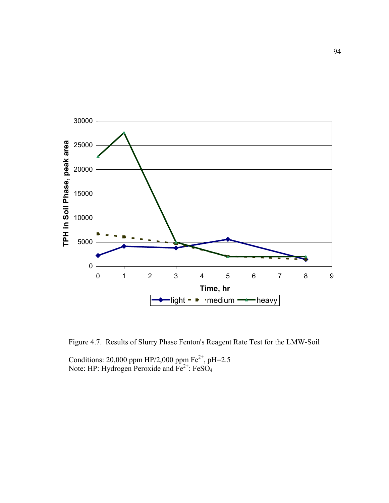

Figure 4.7. Results of Slurry Phase Fenton's Reagent Rate Test for the LMW-Soil

Conditions: 20,000 ppm HP/2,000 ppm  $Fe^{2+}$ , pH=2.5 Note: HP: Hydrogen Peroxide and  $Fe^{2+}$ : FeSO<sub>4</sub>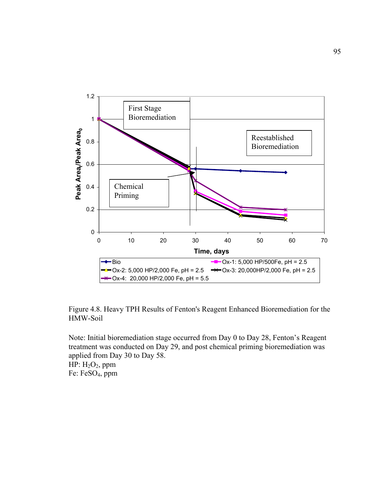

Figure 4.8. Heavy TPH Results of Fenton's Reagent Enhanced Bioremediation for the HMW-Soil

Note: Initial bioremediation stage occurred from Day 0 to Day 28, Fenton's Reagent treatment was conducted on Day 29, and post chemical priming bioremediation was applied from Day 30 to Day 58. HP:  $H_2O_2$ , ppm Fe: FeSO4, ppm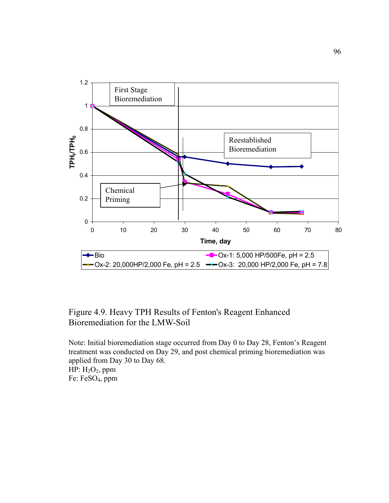

Figure 4.9. Heavy TPH Results of Fenton's Reagent Enhanced Bioremediation for the LMW-Soil

Note: Initial bioremediation stage occurred from Day 0 to Day 28, Fenton's Reagent treatment was conducted on Day 29, and post chemical priming bioremediation was applied from Day 30 to Day 68.  $HP: H<sub>2</sub>O<sub>2</sub>$ , ppm Fe: FeSO4, ppm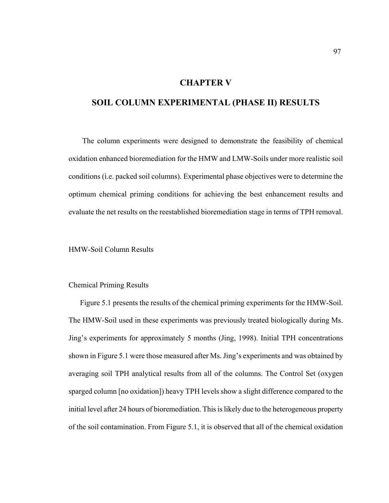## **CHAPTER V**

# **SOIL COLUMN EXPERIMENTAL (PHASE II) RESULTS**

The column experiments were designed to demonstrate the feasibility of chemical oxidation enhanced bioremediation for the HMW and LMW-Soils under more realistic soil conditions (i.e. packed soil columns). Experimental phase objectives were to determine the optimum chemical priming conditions for achieving the best enhancement results and evaluate the net results on the reestablished bioremediation stage in terms of TPH removal.

HMW-Soil Column Results

### Chemical Priming Results

Figure 5.1 presents the results of the chemical priming experiments for the HMW-Soil. The HMW-Soil used in these experiments was previously treated biologically during Ms. Jing's experiments for approximately 5 months (Jing, 1998). Initial TPH concentrations shown in Figure 5.1 were those measured after Ms. Jing's experiments and was obtained by averaging soil TPH analytical results from all of the columns. The Control Set (oxygen sparged column [no oxidation]) heavy TPH levels show a slight difference compared to the initial level after 24 hours of bioremediation. This is likely due to the heterogeneous property of the soil contamination. From Figure 5.1, it is observed that all of the chemical oxidation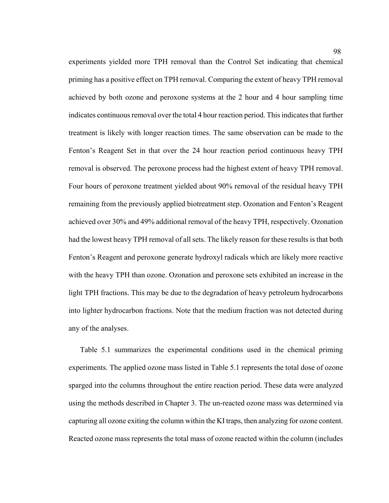experiments yielded more TPH removal than the Control Set indicating that chemical priming has a positive effect on TPH removal. Comparing the extent of heavy TPH removal achieved by both ozone and peroxone systems at the 2 hour and 4 hour sampling time indicates continuous removal over the total 4 hour reaction period. This indicates that further treatment is likely with longer reaction times. The same observation can be made to the Fenton's Reagent Set in that over the 24 hour reaction period continuous heavy TPH removal is observed. The peroxone process had the highest extent of heavy TPH removal. Four hours of peroxone treatment yielded about 90% removal of the residual heavy TPH remaining from the previously applied biotreatment step. Ozonation and Fenton's Reagent achieved over 30% and 49% additional removal of the heavy TPH, respectively. Ozonation had the lowest heavy TPH removal of all sets. The likely reason for these results is that both Fenton's Reagent and peroxone generate hydroxyl radicals which are likely more reactive with the heavy TPH than ozone. Ozonation and peroxone sets exhibited an increase in the light TPH fractions. This may be due to the degradation of heavy petroleum hydrocarbons into lighter hydrocarbon fractions. Note that the medium fraction was not detected during any of the analyses.

Table 5.1 summarizes the experimental conditions used in the chemical priming experiments. The applied ozone mass listed in Table 5.1 represents the total dose of ozone sparged into the columns throughout the entire reaction period. These data were analyzed using the methods described in Chapter 3. The un-reacted ozone mass was determined via capturing all ozone exiting the column within the KI traps, then analyzing for ozone content. Reacted ozone mass represents the total mass of ozone reacted within the column (includes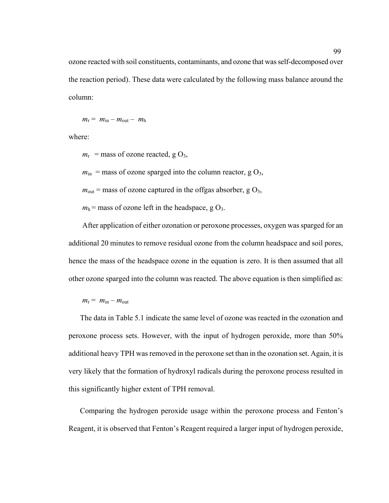ozone reacted with soil constituents, contaminants, and ozone that was self-decomposed over the reaction period). These data were calculated by the following mass balance around the column:

$$
m_{\rm r} = m_{\rm in} - m_{\rm out} - m_{\rm h}
$$

where:

 $m_r$  = mass of ozone reacted, g O<sub>3</sub>,

 $m_{\text{in}}$  = mass of ozone sparged into the column reactor, g O<sub>3</sub>,

 $m_{\text{out}}$  = mass of ozone captured in the offgas absorber, g O<sub>3</sub>,

 $m_h$  = mass of ozone left in the headspace, g  $O_3$ .

After application of either ozonation or peroxone processes, oxygen was sparged for an additional 20 minutes to remove residual ozone from the column headspace and soil pores, hence the mass of the headspace ozone in the equation is zero. It is then assumed that all other ozone sparged into the column was reacted. The above equation is then simplified as:

 $m_r = m_{in} - m_{out}$ 

The data in Table 5.1 indicate the same level of ozone was reacted in the ozonation and peroxone process sets. However, with the input of hydrogen peroxide, more than 50% additional heavy TPH was removed in the peroxone set than in the ozonation set. Again, it is very likely that the formation of hydroxyl radicals during the peroxone process resulted in this significantly higher extent of TPH removal.

Comparing the hydrogen peroxide usage within the peroxone process and Fenton's Reagent, it is observed that Fenton's Reagent required a larger input of hydrogen peroxide,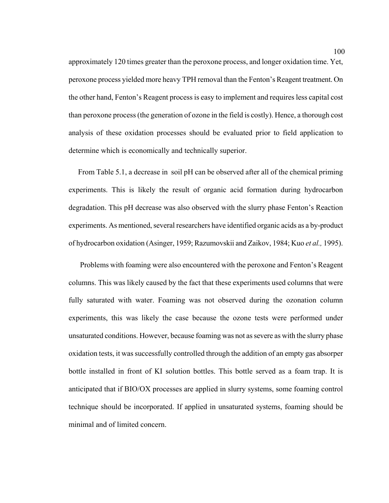approximately 120 times greater than the peroxone process, and longer oxidation time. Yet, peroxone process yielded more heavy TPH removal than the Fenton's Reagent treatment. On the other hand, Fenton's Reagent process is easy to implement and requires less capital cost than peroxone process (the generation of ozone in the field is costly). Hence, a thorough cost analysis of these oxidation processes should be evaluated prior to field application to determine which is economically and technically superior.

 From Table 5.1, a decrease in soil pH can be observed after all of the chemical priming experiments. This is likely the result of organic acid formation during hydrocarbon degradation. This pH decrease was also observed with the slurry phase Fenton's Reaction experiments. As mentioned, several researchers have identified organic acids as a by-product of hydrocarbon oxidation (Asinger, 1959; Razumovskii and Zaikov, 1984; Kuo *et al.,* 1995).

Problems with foaming were also encountered with the peroxone and Fenton's Reagent columns. This was likely caused by the fact that these experiments used columns that were fully saturated with water. Foaming was not observed during the ozonation column experiments, this was likely the case because the ozone tests were performed under unsaturated conditions. However, because foaming was not as severe as with the slurry phase oxidation tests, it was successfully controlled through the addition of an empty gas absorper bottle installed in front of KI solution bottles. This bottle served as a foam trap. It is anticipated that if BIO/OX processes are applied in slurry systems, some foaming control technique should be incorporated. If applied in unsaturated systems, foaming should be minimal and of limited concern.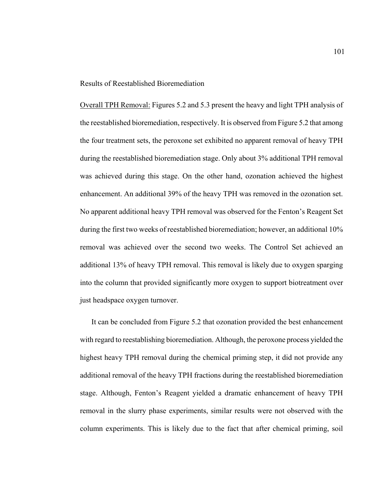#### Results of Reestablished Bioremediation

Overall TPH Removal: Figures 5.2 and 5.3 present the heavy and light TPH analysis of the reestablished bioremediation, respectively. It is observed from Figure 5.2 that among the four treatment sets, the peroxone set exhibited no apparent removal of heavy TPH during the reestablished bioremediation stage. Only about 3% additional TPH removal was achieved during this stage. On the other hand, ozonation achieved the highest enhancement. An additional 39% of the heavy TPH was removed in the ozonation set. No apparent additional heavy TPH removal was observed for the Fenton's Reagent Set during the first two weeks of reestablished bioremediation; however, an additional 10% removal was achieved over the second two weeks. The Control Set achieved an additional 13% of heavy TPH removal. This removal is likely due to oxygen sparging into the column that provided significantly more oxygen to support biotreatment over just headspace oxygen turnover.

It can be concluded from Figure 5.2 that ozonation provided the best enhancement with regard to reestablishing bioremediation. Although, the peroxone process yielded the highest heavy TPH removal during the chemical priming step, it did not provide any additional removal of the heavy TPH fractions during the reestablished bioremediation stage. Although, Fenton's Reagent yielded a dramatic enhancement of heavy TPH removal in the slurry phase experiments, similar results were not observed with the column experiments. This is likely due to the fact that after chemical priming, soil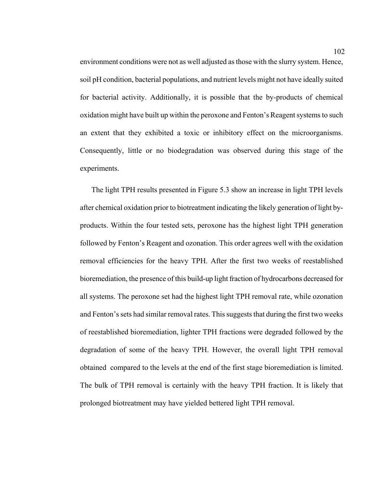environment conditions were not as well adjusted as those with the slurry system. Hence, soil pH condition, bacterial populations, and nutrient levels might not have ideally suited for bacterial activity. Additionally, it is possible that the by-products of chemical oxidation might have built up within the peroxone and Fenton's Reagent systems to such an extent that they exhibited a toxic or inhibitory effect on the microorganisms. Consequently, little or no biodegradation was observed during this stage of the experiments.

The light TPH results presented in Figure 5.3 show an increase in light TPH levels after chemical oxidation prior to biotreatment indicating the likely generation of light byproducts. Within the four tested sets, peroxone has the highest light TPH generation followed by Fenton's Reagent and ozonation. This order agrees well with the oxidation removal efficiencies for the heavy TPH. After the first two weeks of reestablished bioremediation, the presence of this build-up light fraction of hydrocarbons decreased for all systems. The peroxone set had the highest light TPH removal rate, while ozonation and Fenton's sets had similar removal rates. This suggests that during the first two weeks of reestablished bioremediation, lighter TPH fractions were degraded followed by the degradation of some of the heavy TPH. However, the overall light TPH removal obtained compared to the levels at the end of the first stage bioremediation is limited. The bulk of TPH removal is certainly with the heavy TPH fraction. It is likely that prolonged biotreatment may have yielded bettered light TPH removal.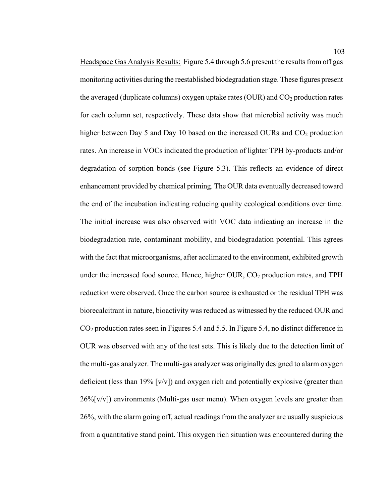Headspace Gas Analysis Results: Figure 5.4 through 5.6 present the results from off gas monitoring activities during the reestablished biodegradation stage. These figures present the averaged (duplicate columns) oxygen uptake rates (OUR) and  $CO<sub>2</sub>$  production rates for each column set, respectively. These data show that microbial activity was much higher between Day 5 and Day 10 based on the increased OURs and  $CO<sub>2</sub>$  production rates. An increase in VOCs indicated the production of lighter TPH by-products and/or degradation of sorption bonds (see Figure 5.3). This reflects an evidence of direct enhancement provided by chemical priming. The OUR data eventually decreased toward the end of the incubation indicating reducing quality ecological conditions over time. The initial increase was also observed with VOC data indicating an increase in the biodegradation rate, contaminant mobility, and biodegradation potential. This agrees with the fact that microorganisms, after acclimated to the environment, exhibited growth under the increased food source. Hence, higher OUR,  $CO<sub>2</sub>$  production rates, and TPH reduction were observed. Once the carbon source is exhausted or the residual TPH was biorecalcitrant in nature, bioactivity was reduced as witnessed by the reduced OUR and CO2 production rates seen in Figures 5.4 and 5.5. In Figure 5.4, no distinct difference in OUR was observed with any of the test sets. This is likely due to the detection limit of the multi-gas analyzer. The multi-gas analyzer was originally designed to alarm oxygen deficient (less than 19% [v/v]) and oxygen rich and potentially explosive (greater than  $26\%$ [v/v]) environments (Multi-gas user menu). When oxygen levels are greater than 26%, with the alarm going off, actual readings from the analyzer are usually suspicious from a quantitative stand point. This oxygen rich situation was encountered during the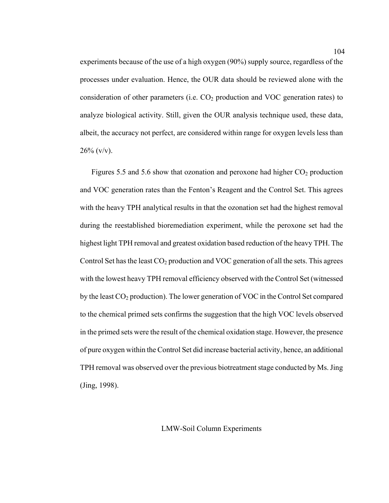experiments because of the use of a high oxygen (90%) supply source, regardless of the processes under evaluation. Hence, the OUR data should be reviewed alone with the consideration of other parameters (i.e.  $CO<sub>2</sub>$  production and VOC generation rates) to analyze biological activity. Still, given the OUR analysis technique used, these data, albeit, the accuracy not perfect, are considered within range for oxygen levels less than  $26\%$  (v/v).

Figures 5.5 and 5.6 show that ozonation and peroxone had higher  $CO<sub>2</sub>$  production and VOC generation rates than the Fenton's Reagent and the Control Set. This agrees with the heavy TPH analytical results in that the ozonation set had the highest removal during the reestablished bioremediation experiment, while the peroxone set had the highest light TPH removal and greatest oxidation based reduction of the heavy TPH. The Control Set has the least  $CO<sub>2</sub>$  production and VOC generation of all the sets. This agrees with the lowest heavy TPH removal efficiency observed with the Control Set (witnessed by the least  $CO_2$  production). The lower generation of VOC in the Control Set compared to the chemical primed sets confirms the suggestion that the high VOC levels observed in the primed sets were the result of the chemical oxidation stage. However, the presence of pure oxygen within the Control Set did increase bacterial activity, hence, an additional TPH removal was observed over the previous biotreatment stage conducted by Ms. Jing (Jing, 1998).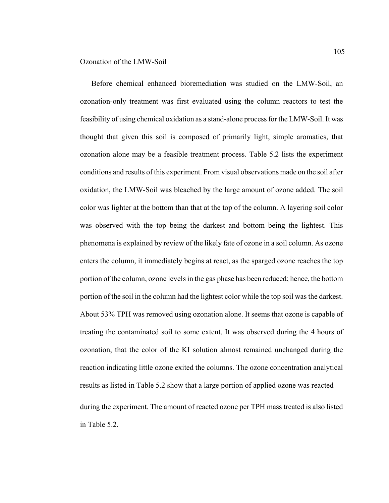Before chemical enhanced bioremediation was studied on the LMW-Soil, an ozonation-only treatment was first evaluated using the column reactors to test the feasibility of using chemical oxidation as a stand-alone process for the LMW-Soil. It was thought that given this soil is composed of primarily light, simple aromatics, that ozonation alone may be a feasible treatment process. Table 5.2 lists the experiment conditions and results of this experiment. From visual observations made on the soil after oxidation, the LMW-Soil was bleached by the large amount of ozone added. The soil color was lighter at the bottom than that at the top of the column. A layering soil color was observed with the top being the darkest and bottom being the lightest. This phenomena is explained by review of the likely fate of ozone in a soil column. As ozone enters the column, it immediately begins at react, as the sparged ozone reaches the top portion of the column, ozone levels in the gas phase has been reduced; hence, the bottom portion of the soil in the column had the lightest color while the top soil was the darkest. About 53% TPH was removed using ozonation alone. It seems that ozone is capable of treating the contaminated soil to some extent. It was observed during the 4 hours of ozonation, that the color of the KI solution almost remained unchanged during the reaction indicating little ozone exited the columns. The ozone concentration analytical results as listed in Table 5.2 show that a large portion of applied ozone was reacted during the experiment. The amount of reacted ozone per TPH mass treated is also listed in Table 5.2.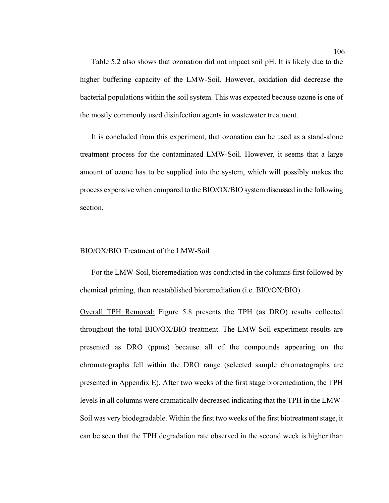Table 5.2 also shows that ozonation did not impact soil pH. It is likely due to the higher buffering capacity of the LMW-Soil. However, oxidation did decrease the bacterial populations within the soil system. This was expected because ozone is one of the mostly commonly used disinfection agents in wastewater treatment.

It is concluded from this experiment, that ozonation can be used as a stand-alone treatment process for the contaminated LMW-Soil. However, it seems that a large amount of ozone has to be supplied into the system, which will possibly makes the process expensive when compared to the BIO/OX/BIO system discussed in the following section.

#### BIO/OX/BIO Treatment of the LMW-Soil

For the LMW-Soil, bioremediation was conducted in the columns first followed by chemical priming, then reestablished bioremediation (i.e. BIO/OX/BIO).

Overall TPH Removal: Figure 5.8 presents the TPH (as DRO) results collected throughout the total BIO/OX/BIO treatment. The LMW-Soil experiment results are presented as DRO (ppms) because all of the compounds appearing on the chromatographs fell within the DRO range (selected sample chromatographs are presented in Appendix E). After two weeks of the first stage bioremediation, the TPH levels in all columns were dramatically decreased indicating that the TPH in the LMW-Soil was very biodegradable. Within the first two weeks of the first biotreatment stage, it can be seen that the TPH degradation rate observed in the second week is higher than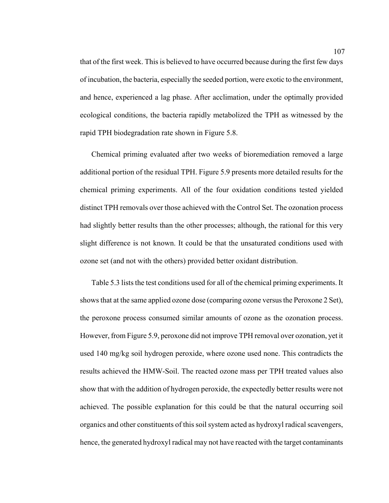that of the first week. This is believed to have occurred because during the first few days of incubation, the bacteria, especially the seeded portion, were exotic to the environment, and hence, experienced a lag phase. After acclimation, under the optimally provided ecological conditions, the bacteria rapidly metabolized the TPH as witnessed by the rapid TPH biodegradation rate shown in Figure 5.8.

Chemical priming evaluated after two weeks of bioremediation removed a large additional portion of the residual TPH. Figure 5.9 presents more detailed results for the chemical priming experiments. All of the four oxidation conditions tested yielded distinct TPH removals over those achieved with the Control Set. The ozonation process had slightly better results than the other processes; although, the rational for this very slight difference is not known. It could be that the unsaturated conditions used with ozone set (and not with the others) provided better oxidant distribution.

Table 5.3 lists the test conditions used for all of the chemical priming experiments. It shows that at the same applied ozone dose (comparing ozone versus the Peroxone 2 Set), the peroxone process consumed similar amounts of ozone as the ozonation process. However, from Figure 5.9, peroxone did not improve TPH removal over ozonation, yet it used 140 mg/kg soil hydrogen peroxide, where ozone used none. This contradicts the results achieved the HMW-Soil. The reacted ozone mass per TPH treated values also show that with the addition of hydrogen peroxide, the expectedly better results were not achieved. The possible explanation for this could be that the natural occurring soil organics and other constituents of this soil system acted as hydroxyl radical scavengers, hence, the generated hydroxyl radical may not have reacted with the target contaminants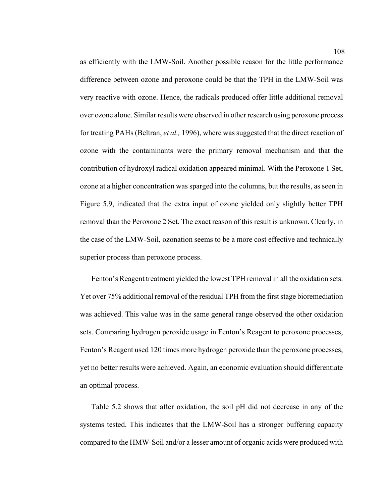as efficiently with the LMW-Soil. Another possible reason for the little performance difference between ozone and peroxone could be that the TPH in the LMW-Soil was very reactive with ozone. Hence, the radicals produced offer little additional removal over ozone alone. Similar results were observed in other research using peroxone process for treating PAHs (Beltran, *et al.,* 1996), where was suggested that the direct reaction of ozone with the contaminants were the primary removal mechanism and that the contribution of hydroxyl radical oxidation appeared minimal. With the Peroxone 1 Set, ozone at a higher concentration was sparged into the columns, but the results, as seen in Figure 5.9, indicated that the extra input of ozone yielded only slightly better TPH removal than the Peroxone 2 Set. The exact reason of this result is unknown. Clearly, in the case of the LMW-Soil, ozonation seems to be a more cost effective and technically superior process than peroxone process.

Fenton's Reagent treatment yielded the lowest TPH removal in all the oxidation sets. Yet over 75% additional removal of the residual TPH from the first stage bioremediation was achieved. This value was in the same general range observed the other oxidation sets. Comparing hydrogen peroxide usage in Fenton's Reagent to peroxone processes, Fenton's Reagent used 120 times more hydrogen peroxide than the peroxone processes, yet no better results were achieved. Again, an economic evaluation should differentiate an optimal process.

Table 5.2 shows that after oxidation, the soil pH did not decrease in any of the systems tested. This indicates that the LMW-Soil has a stronger buffering capacity compared to the HMW-Soil and/or a lesser amount of organic acids were produced with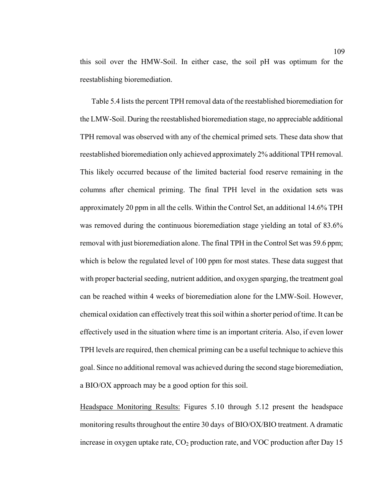this soil over the HMW-Soil. In either case, the soil pH was optimum for the reestablishing bioremediation.

Table 5.4 lists the percent TPH removal data of the reestablished bioremediation for the LMW-Soil. During the reestablished bioremediation stage, no appreciable additional TPH removal was observed with any of the chemical primed sets. These data show that reestablished bioremediation only achieved approximately 2% additional TPH removal. This likely occurred because of the limited bacterial food reserve remaining in the columns after chemical priming. The final TPH level in the oxidation sets was approximately 20 ppm in all the cells. Within the Control Set, an additional 14.6% TPH was removed during the continuous bioremediation stage yielding an total of 83.6% removal with just bioremediation alone. The final TPH in the Control Set was 59.6 ppm; which is below the regulated level of 100 ppm for most states. These data suggest that with proper bacterial seeding, nutrient addition, and oxygen sparging, the treatment goal can be reached within 4 weeks of bioremediation alone for the LMW-Soil. However, chemical oxidation can effectively treat this soil within a shorter period of time. It can be effectively used in the situation where time is an important criteria. Also, if even lower TPH levels are required, then chemical priming can be a useful technique to achieve this goal. Since no additional removal was achieved during the second stage bioremediation, a BIO/OX approach may be a good option for this soil.

Headspace Monitoring Results: Figures 5.10 through 5.12 present the headspace monitoring results throughout the entire 30 days of BIO/OX/BIO treatment. A dramatic increase in oxygen uptake rate,  $CO<sub>2</sub>$  production rate, and VOC production after Day 15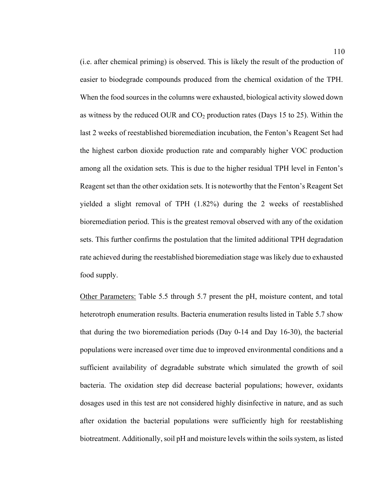(i.e. after chemical priming) is observed. This is likely the result of the production of easier to biodegrade compounds produced from the chemical oxidation of the TPH. When the food sources in the columns were exhausted, biological activity slowed down as witness by the reduced OUR and  $CO<sub>2</sub>$  production rates (Days 15 to 25). Within the last 2 weeks of reestablished bioremediation incubation, the Fenton's Reagent Set had the highest carbon dioxide production rate and comparably higher VOC production among all the oxidation sets. This is due to the higher residual TPH level in Fenton's Reagent set than the other oxidation sets. It is noteworthy that the Fenton's Reagent Set yielded a slight removal of TPH (1.82%) during the 2 weeks of reestablished bioremediation period. This is the greatest removal observed with any of the oxidation sets. This further confirms the postulation that the limited additional TPH degradation rate achieved during the reestablished bioremediation stage was likely due to exhausted food supply.

Other Parameters: Table 5.5 through 5.7 present the pH, moisture content, and total heterotroph enumeration results. Bacteria enumeration results listed in Table 5.7 show that during the two bioremediation periods (Day 0-14 and Day 16-30), the bacterial populations were increased over time due to improved environmental conditions and a sufficient availability of degradable substrate which simulated the growth of soil bacteria. The oxidation step did decrease bacterial populations; however, oxidants dosages used in this test are not considered highly disinfective in nature, and as such after oxidation the bacterial populations were sufficiently high for reestablishing biotreatment. Additionally, soil pH and moisture levels within the soils system, as listed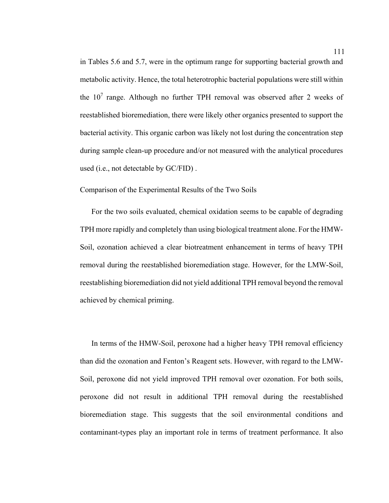in Tables 5.6 and 5.7, were in the optimum range for supporting bacterial growth and metabolic activity. Hence, the total heterotrophic bacterial populations were still within the  $10<sup>7</sup>$  range. Although no further TPH removal was observed after 2 weeks of reestablished bioremediation, there were likely other organics presented to support the bacterial activity. This organic carbon was likely not lost during the concentration step during sample clean-up procedure and/or not measured with the analytical procedures used (i.e., not detectable by GC/FID) .

Comparison of the Experimental Results of the Two Soils

For the two soils evaluated, chemical oxidation seems to be capable of degrading TPH more rapidly and completely than using biological treatment alone. For the HMW-Soil, ozonation achieved a clear biotreatment enhancement in terms of heavy TPH removal during the reestablished bioremediation stage. However, for the LMW-Soil, reestablishing bioremediation did not yield additional TPH removal beyond the removal achieved by chemical priming.

In terms of the HMW-Soil, peroxone had a higher heavy TPH removal efficiency than did the ozonation and Fenton's Reagent sets. However, with regard to the LMW-Soil, peroxone did not yield improved TPH removal over ozonation. For both soils, peroxone did not result in additional TPH removal during the reestablished bioremediation stage. This suggests that the soil environmental conditions and contaminant-types play an important role in terms of treatment performance. It also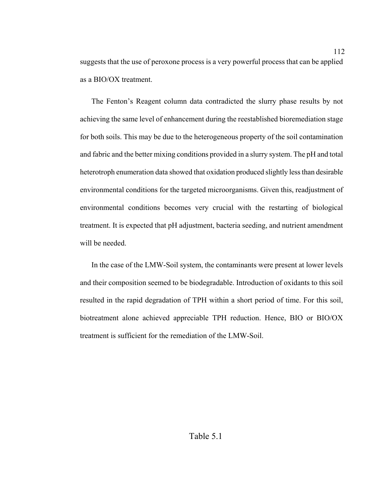suggests that the use of peroxone process is a very powerful process that can be applied as a BIO/OX treatment.

The Fenton's Reagent column data contradicted the slurry phase results by not achieving the same level of enhancement during the reestablished bioremediation stage for both soils. This may be due to the heterogeneous property of the soil contamination and fabric and the better mixing conditions provided in a slurry system. The pH and total heterotroph enumeration data showed that oxidation produced slightly less than desirable environmental conditions for the targeted microorganisms. Given this, readjustment of environmental conditions becomes very crucial with the restarting of biological treatment. It is expected that pH adjustment, bacteria seeding, and nutrient amendment will be needed.

In the case of the LMW-Soil system, the contaminants were present at lower levels and their composition seemed to be biodegradable. Introduction of oxidants to this soil resulted in the rapid degradation of TPH within a short period of time. For this soil, biotreatment alone achieved appreciable TPH reduction. Hence, BIO or BIO/OX treatment is sufficient for the remediation of the LMW-Soil.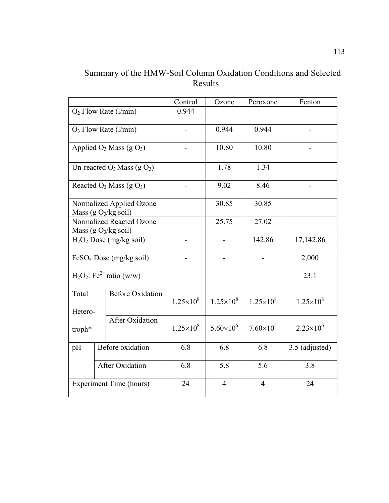Summary of the HMW-Soil Column Oxidation Conditions and Selected Results

|                                                                                 |                                                              | Control            | Ozone                    | Peroxone           | Fenton             |
|---------------------------------------------------------------------------------|--------------------------------------------------------------|--------------------|--------------------------|--------------------|--------------------|
| $O2$ Flow Rate (l/min)                                                          |                                                              | 0.944              |                          |                    |                    |
|                                                                                 | $O_3$ Flow Rate (l/min)                                      |                    | 0.944                    | 0.944              |                    |
|                                                                                 | Applied $O_3$ Mass (g $O_3$ )                                |                    | 10.80                    | 10.80              |                    |
|                                                                                 | Un-reacted $O_3$ Mass (g $O_3$ )                             |                    | 1.78                     | 1.34               |                    |
|                                                                                 | Reacted $O_3$ Mass (g $O_3$ )                                |                    | 9.02                     | 8.46               |                    |
|                                                                                 | Normalized Applied Ozone<br>Mass (g $O_3/kg$ soil)           |                    | 30.85                    | 30.85              |                    |
|                                                                                 | Normalized Reacted Ozone<br>Mass (g O <sub>3</sub> /kg soil) |                    | 25.75                    | 27.02              |                    |
|                                                                                 | $H2O2$ Dose (mg/kg soil)                                     |                    | $\overline{\phantom{a}}$ | 142.86             | 17,142.86          |
|                                                                                 | $FeSO4$ Dose (mg/kg soil)                                    |                    |                          |                    | 2,000              |
|                                                                                 | $H_2O_2$ : Fe <sup>2+</sup> ratio (w/w)                      |                    |                          |                    | 23:1               |
| <b>Before Oxidation</b><br>Total<br>Hetero-<br><b>After Oxidation</b><br>troph* |                                                              | $1.25 \times 10^8$ | $1.25\times10^{8}$       | $1.25 \times 10^8$ | $1.25 \times 10^8$ |
|                                                                                 |                                                              | $1.25 \times 10^8$ | $5.60\times10^{6}$       | $7.60\times10^{5}$ | $2.23\times10^{6}$ |
| Before oxidation<br>pH<br>After Oxidation                                       |                                                              | 6.8                | 6.8                      | 6.8                | 3.5 (adjusted)     |
|                                                                                 |                                                              | 6.8                | 5.8                      | 5.6                | 3.8                |
| <b>Experiment Time (hours)</b>                                                  |                                                              | 24                 | $\overline{4}$           | $\overline{4}$     | 24                 |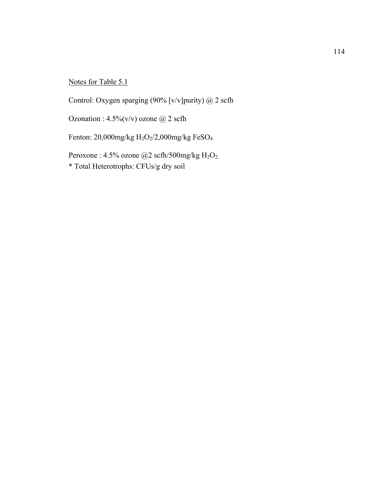# Notes for Table 5.1

Control: Oxygen sparging (90% [v/v]purity) @ 2 scfh

Ozonation :  $4.5\%$  (v/v) ozone  $@$  2 scfh

Fenton: 20,000mg/kg  $H_2O_2/2$ ,000mg/kg FeSO<sub>4</sub>

Peroxone : 4.5% ozone @2 scfh/500mg/kg  $H_2O_2$ . \* Total Heterotrophs: CFUs/g dry soil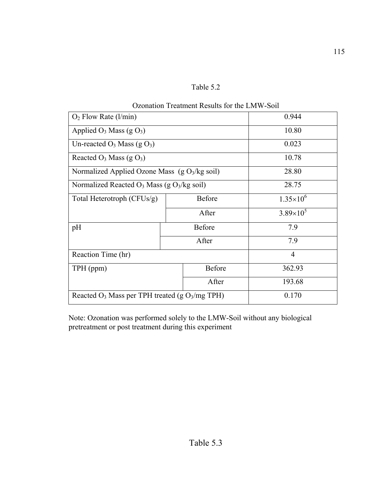| anle |  |
|------|--|
|------|--|

| Ozonation Treatment Results for the Livi w-Soil     |       |               |                    |  |  |  |  |
|-----------------------------------------------------|-------|---------------|--------------------|--|--|--|--|
| $O2$ Flow Rate (l/min)                              | 0.944 |               |                    |  |  |  |  |
| Applied $O_3$ Mass (g $O_3$ )                       | 10.80 |               |                    |  |  |  |  |
| Un-reacted $O_3$ Mass (g $O_3$ )                    | 0.023 |               |                    |  |  |  |  |
| Reacted $O_3$ Mass (g $O_3$ )                       | 10.78 |               |                    |  |  |  |  |
| Normalized Applied Ozone Mass $(g O3/kg soil)$      | 28.80 |               |                    |  |  |  |  |
| Normalized Reacted $O_3$ Mass (g $O_3$ /kg soil)    | 28.75 |               |                    |  |  |  |  |
| Total Heterotroph (CFUs/g)                          |       | <b>Before</b> | $1.35\times10^{6}$ |  |  |  |  |
|                                                     | After |               | $3.89\times10^{5}$ |  |  |  |  |
| pH                                                  |       | Before        | 7.9                |  |  |  |  |
|                                                     |       | After         | 7.9                |  |  |  |  |
| Reaction Time (hr)                                  |       |               | $\overline{4}$     |  |  |  |  |
| TPH (ppm)                                           |       | <b>Before</b> | 362.93             |  |  |  |  |
|                                                     |       | After         | 193.68             |  |  |  |  |
| Reacted $O_3$ Mass per TPH treated (g $O_3/mg$ TPH) |       |               | 0.170              |  |  |  |  |

Note: Ozonation was performed solely to the LMW-Soil without any biological pretreatment or post treatment during this experiment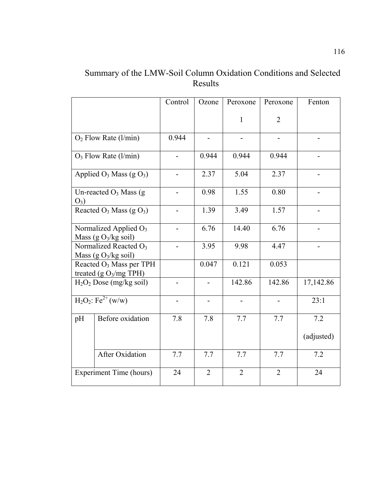# Summary of the LMW-Soil Column Oxidation Conditions and Selected Results

|                         |                                                                | Control                  | Ozone                    | Peroxone       | Peroxone       | Fenton     |
|-------------------------|----------------------------------------------------------------|--------------------------|--------------------------|----------------|----------------|------------|
|                         |                                                                |                          |                          | $\mathbf{1}$   | $\overline{2}$ |            |
| $O2$ Flow Rate (l/min)  |                                                                | 0.944                    |                          |                |                |            |
|                         | $O_3$ Flow Rate (l/min)                                        |                          | 0.944                    | 0.944          | 0.944          |            |
|                         | Applied $O_3$ Mass (g $O_3$ )                                  | $\overline{\phantom{a}}$ | 2.37                     | 5.04           | 2.37           |            |
| $O_3$ )                 | Un-reacted $O_3$ Mass (g)                                      |                          | 0.98                     | 1.55           | 0.80           |            |
|                         | Reacted $O_3$ Mass (g $O_3$ )                                  |                          | 1.39                     | 3.49           | 1.57           |            |
|                         | Normalized Applied O <sub>3</sub><br>Mass (g $O_3/kg$ soil)    | $\blacksquare$           | 6.76                     | 14.40          | 6.76           |            |
|                         | Normalized Reacted O <sub>3</sub><br>Mass (g $O_3/kg$ soil)    |                          | 3.95                     | 9.98           | 4.47           |            |
|                         | Reacted O <sub>3</sub> Mass per TPH<br>treated $(g O3/mg TPH)$ |                          | 0.047                    | 0.121          | 0.053          |            |
|                         | $H2O2$ Dose (mg/kg soil)                                       | $\overline{\phantom{a}}$ | $\overline{\phantom{a}}$ | 142.86         | 142.86         | 17,142.86  |
|                         | $H_2O_2$ : Fe <sup>2+</sup> (w/w)                              |                          |                          |                |                | 23:1       |
| pH                      | Before oxidation                                               | 7.8                      | 7.8                      | 7.7            | 7.7            | 7.2        |
|                         |                                                                |                          |                          |                |                | (adjusted) |
|                         | <b>After Oxidation</b>                                         | 7.7                      | 7.7                      | 7.7            | 7.7            | 7.2        |
| Experiment Time (hours) |                                                                | 24                       | $\overline{2}$           | $\overline{2}$ | $\overline{2}$ | 24         |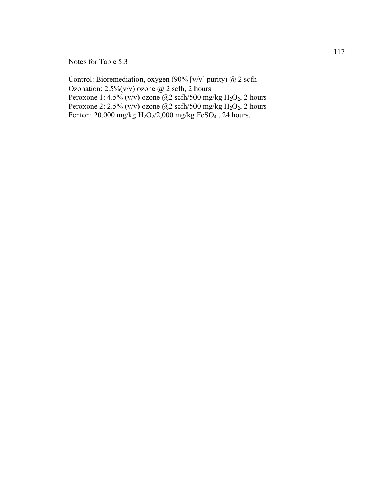# Notes for Table 5.3

Control: Bioremediation, oxygen (90% [v/v] purity) @ 2 scfh Ozonation:  $2.5\%$  (v/v) ozone @ 2 scfh, 2 hours Peroxone 1: 4.5% (v/v) ozone @2 scfh/500 mg/kg  $H_2O_2$ , 2 hours Peroxone 2: 2.5% (v/v) ozone  $\omega$  scfh/500 mg/kg H<sub>2</sub>O<sub>2</sub>, 2 hours Fenton: 20,000 mg/kg  $H_2O_2/2,000$  mg/kg FeSO<sub>4</sub>, 24 hours.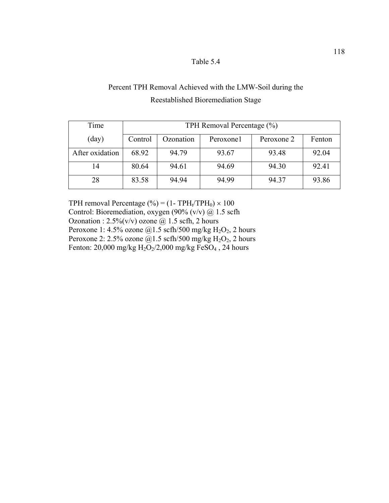# Percent TPH Removal Achieved with the LMW-Soil during the Reestablished Bioremediation Stage

| Time            | TPH Removal Percentage (%) |           |           |            |        |  |
|-----------------|----------------------------|-----------|-----------|------------|--------|--|
| (day)           | Control                    | Ozonation | Peroxone1 | Peroxone 2 | Fenton |  |
| After oxidation | 68.92                      | 94.79     | 93.67     | 93.48      | 92.04  |  |
| 14              | 80.64                      | 94.61     | 94.69     | 94.30      | 92.41  |  |
| 28              | 83.58                      | 94.94     | 94.99     | 94.37      | 93.86  |  |

TPH removal Percentage (%) =  $(1 - TPH_t/TPH_0) \times 100$ Control: Bioremediation, oxygen (90% (v/v)  $\omega$  1.5 scfh Ozonation :  $2.5\%$ (v/v) ozone @ 1.5 scfh, 2 hours Peroxone 1: 4.5% ozone  $@1.5$  scfh/500 mg/kg H<sub>2</sub>O<sub>2</sub>, 2 hours Peroxone 2: 2.5% ozone  $\dddot{\text{(a)}}$ 1.5 scfh/500 mg/kg H<sub>2</sub>O<sub>2</sub>, 2 hours Fenton: 20,000 mg/kg  $H_2O_2/2,000$  mg/kg FeSO<sub>4</sub>, 24 hours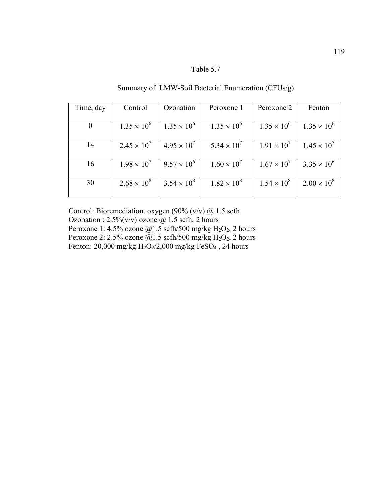Summary of LMW-Soil Bacterial Enumeration (CFUs/g)

| Time, day | Control              | Ozonation            | Peroxone 1           | Peroxone 2           | Fenton               |
|-----------|----------------------|----------------------|----------------------|----------------------|----------------------|
|           |                      |                      |                      |                      |                      |
| $\theta$  | $1.35 \times 10^{6}$ | $1.35 \times 10^{6}$ | $1.35 \times 10^{6}$ | $1.35 \times 10^{6}$ | $1.35 \times 10^{6}$ |
| 14        | $2.45 \times 10^{7}$ | $4.95 \times 10^{7}$ | $5.34 \times 10^{7}$ | $1.91 \times 10^{7}$ | $1.45 \times 10^{7}$ |
| 16        | $1.98 \times 10^{7}$ | $9.57 \times 10^{6}$ | $1.60 \times 10^{7}$ | $1.67 \times 10^{7}$ | $3.35 \times 10^{6}$ |
| 30        | $2.68 \times 10^8$   | $3.54 \times 10^{8}$ | $1.82 \times 10^{8}$ | $1.54 \times 10^{8}$ | $2.00 \times 10^8$   |

Control: Bioremediation, oxygen (90% (v/v) @ 1.5 scfh Ozonation :  $2.5\%$  (v/v) ozone @ 1.5 scfh, 2 hours Peroxone 1: 4.5% ozone  $@1.5$  scfh/500 mg/kg H<sub>2</sub>O<sub>2</sub>, 2 hours Peroxone 2: 2.5% ozone  $\ddot{\text{(Q)}}$ 1.5 scfh/500 mg/kg H<sub>2</sub>O<sub>2</sub>, 2 hours Fenton: 20,000 mg/kg  $H_2O_2/2,000$  mg/kg FeSO<sub>4</sub>, 24 hours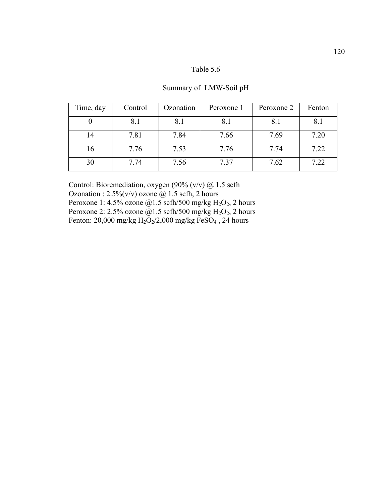## Summary of LMW-Soil pH

| Time, day | Control | Ozonation | Peroxone 1 | Peroxone 2 | Fenton |
|-----------|---------|-----------|------------|------------|--------|
|           | 8.1     | 8.1       | 8.1        | 8.1        | 8.1    |
| 14        | 7.81    | 7.84      | 7.66       | 7.69       | 7.20   |
| 16        | 7.76    | 7.53      | 7.76       | 7.74       | 7.22   |
| 30        | 7.74    | 7.56      | 7.37       | 7.62       | 7.22   |

Control: Bioremediation, oxygen (90% (v/v)  $@$  1.5 scfh Ozonation :  $2.5\%$ (v/v) ozone @ 1.5 scfh, 2 hours Peroxone 1: 4.5% ozone  $@1.5$  scfh/500 mg/kg H<sub>2</sub>O<sub>2</sub>, 2 hours Peroxone 2: 2.5% ozone  $\overset{\sim}{\omega}$ 1.5 scfh/500 mg/kg H<sub>2</sub>O<sub>2</sub>, 2 hours Fenton: 20,000 mg/kg  $H_2O_2/2,000$  mg/kg FeSO<sub>4</sub>, 24 hours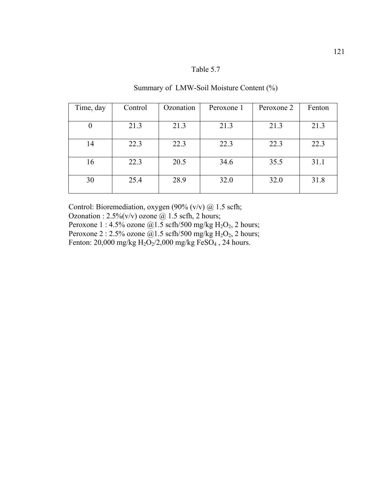| Time, day | Control | Ozonation | Peroxone 1 | Peroxone 2 | Fenton |
|-----------|---------|-----------|------------|------------|--------|
|           |         |           |            |            |        |
| 0         | 21.3    | 21.3      | 21.3       | 21.3       | 21.3   |
|           |         |           |            |            |        |
| 14        | 22.3    | 22.3      | 22.3       | 22.3       | 22.3   |
| 16        | 22.3    | 20.5      | 34.6       | 35.5       | 31.1   |
| 30        | 25.4    | 28.9      | 32.0       | 32.0       | 31.8   |

## Summary of LMW-Soil Moisture Content (%)

Control: Bioremediation, oxygen (90% (v/v) @ 1.5 scfh; Ozonation :  $2.5\%$  (v/v) ozone  $\omega$  1.5 scfh, 2 hours; Peroxone 1 : 4.5% ozone  $@1.5$  scfh/500 mg/kg H<sub>2</sub>O<sub>2</sub>, 2 hours; Peroxone 2 : 2.5% ozone  $\dddot{\text{Q}}$ 1.5 scfh/500 mg/kg H<sub>2</sub>O<sub>2</sub>, 2 hours; Fenton: 20,000 mg/kg  $H_2O_2/2,000$  mg/kg FeSO<sub>4</sub>, 24 hours.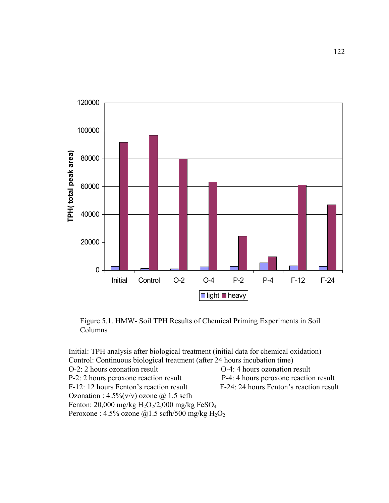

Figure 5.1. HMW- Soil TPH Results of Chemical Priming Experiments in Soil Columns

Initial: TPH analysis after biological treatment (initial data for chemical oxidation) Control: Continuous biological treatment (after 24 hours incubation time) O-2: 2 hours ozonation result O-4: 4 hours ozonation result P-2: 2 hours peroxone reaction result P-4: 4 hours peroxone reaction result F-12: 12 hours Fenton's reaction result F-24: 24 hours Fenton's reaction result Ozonation :  $4.5\%$  (v/v) ozone  $\omega$  1.5 scfh Fenton:  $20,000$  mg/kg  $H_2O_2/2,000$  mg/kg FeSO<sub>4</sub> Peroxone : 4.5% ozone  $@1.5$  scfh/500 mg/kg  $H_2O_2$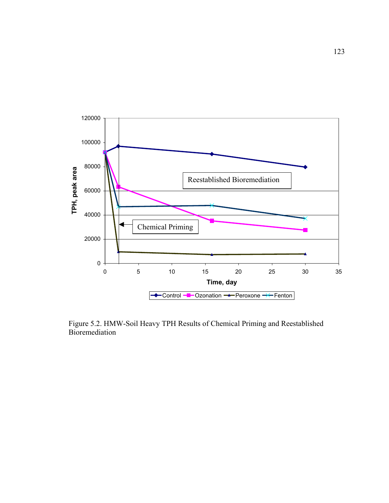

Figure 5.2. HMW-Soil Heavy TPH Results of Chemical Priming and Reestablished Bioremediation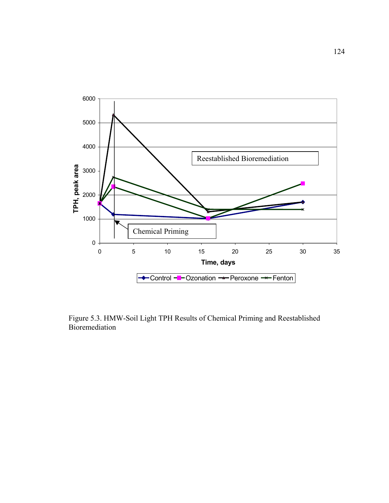

Figure 5.3. HMW-Soil Light TPH Results of Chemical Priming and Reestablished Bioremediation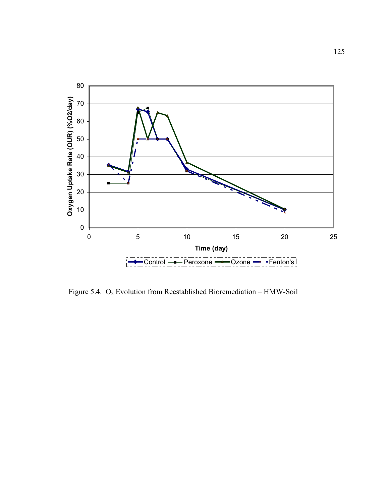

Figure 5.4. O2 Evolution from Reestablished Bioremediation – HMW-Soil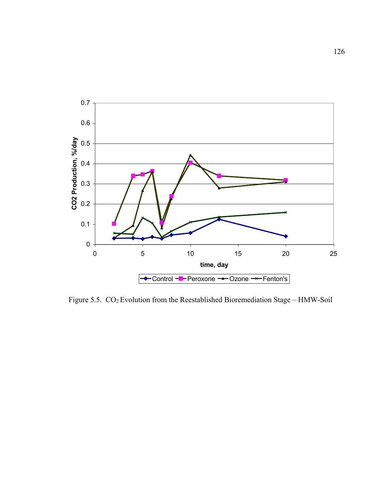

Figure 5.5. CO2 Evolution from the Reestablished Bioremediation Stage – HMW-Soil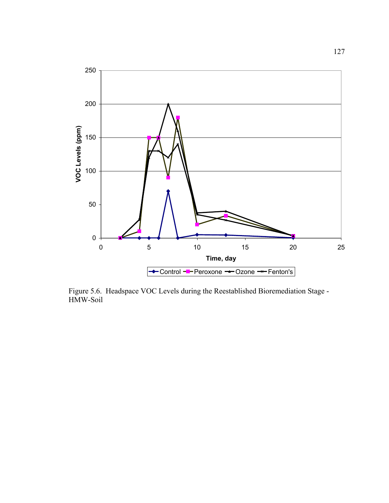

Figure 5.6. Headspace VOC Levels during the Reestablished Bioremediation Stage - HMW-Soil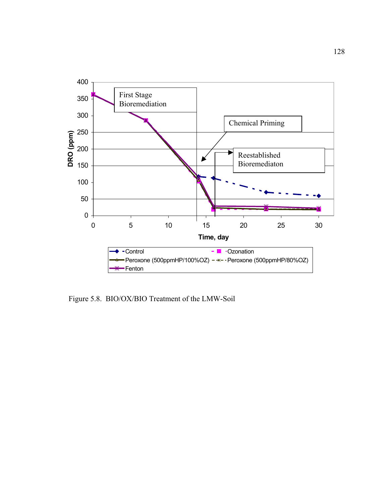

Figure 5.8. BIO/OX/BIO Treatment of the LMW-Soil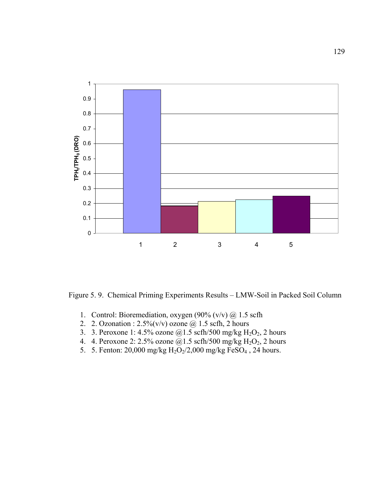

Figure 5. 9. Chemical Priming Experiments Results – LMW-Soil in Packed Soil Column

- 1. Control: Bioremediation, oxygen (90% (v/v) @ 1.5 scfh
- 2. 2. Ozonation :  $2.5\%$  (v/v) ozone  $\omega$  1.5 scfh, 2 hours
- 3. 3. Peroxone 1: 4.5% ozone  $@1.5$  scfh/500 mg/kg H<sub>2</sub>O<sub>2</sub>, 2 hours
- 4. 4. Peroxone 2: 2.5% ozone  $\dddot{\textomega}$ 1.5 scfh/500 mg/kg H<sub>2</sub>O<sub>2</sub>, 2 hours
- 5. 5. Fenton: 20,000 mg/kg  $H_2O_2/2,000$  mg/kg  $FeSO_4$ , 24 hours.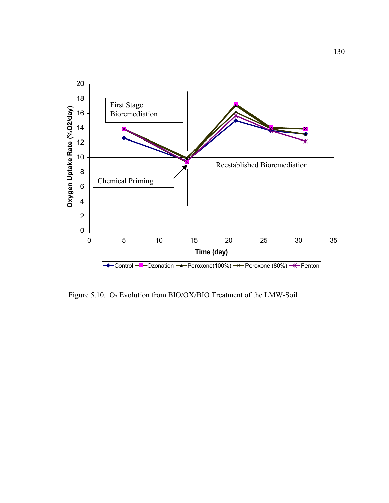

Figure 5.10. O2 Evolution from BIO/OX/BIO Treatment of the LMW-Soil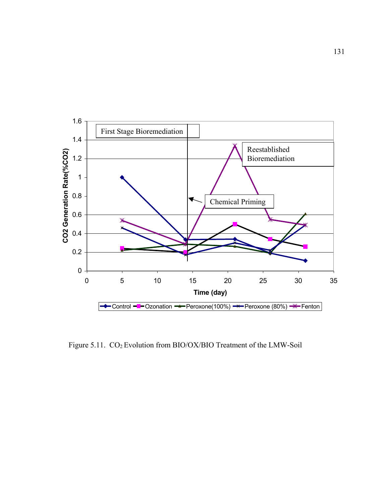

Figure 5.11. CO<sub>2</sub> Evolution from BIO/OX/BIO Treatment of the LMW-Soil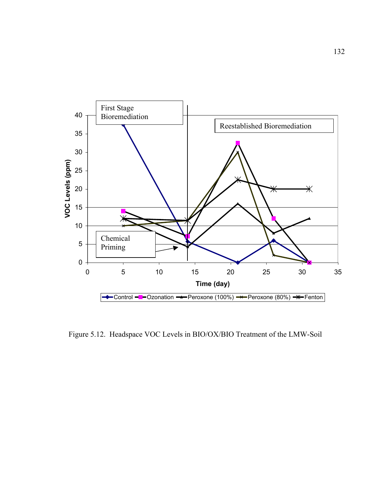

Figure 5.12. Headspace VOC Levels in BIO/OX/BIO Treatment of the LMW-Soil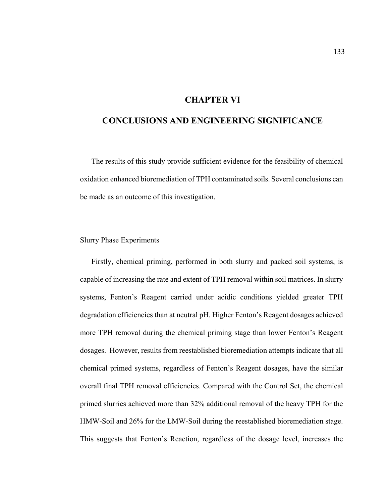## **CHAPTER VI**

## **CONCLUSIONS AND ENGINEERING SIGNIFICANCE**

The results of this study provide sufficient evidence for the feasibility of chemical oxidation enhanced bioremediation of TPH contaminated soils. Several conclusions can be made as an outcome of this investigation.

#### Slurry Phase Experiments

Firstly, chemical priming, performed in both slurry and packed soil systems, is capable of increasing the rate and extent of TPH removal within soil matrices. In slurry systems, Fenton's Reagent carried under acidic conditions yielded greater TPH degradation efficiencies than at neutral pH. Higher Fenton's Reagent dosages achieved more TPH removal during the chemical priming stage than lower Fenton's Reagent dosages. However, results from reestablished bioremediation attempts indicate that all chemical primed systems, regardless of Fenton's Reagent dosages, have the similar overall final TPH removal efficiencies. Compared with the Control Set, the chemical primed slurries achieved more than 32% additional removal of the heavy TPH for the HMW-Soil and 26% for the LMW-Soil during the reestablished bioremediation stage. This suggests that Fenton's Reaction, regardless of the dosage level, increases the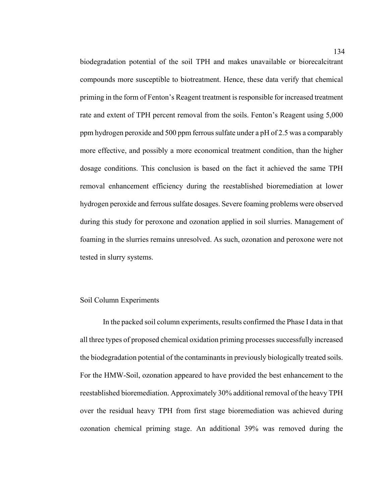biodegradation potential of the soil TPH and makes unavailable or biorecalcitrant compounds more susceptible to biotreatment. Hence, these data verify that chemical priming in the form of Fenton's Reagent treatment is responsible for increased treatment rate and extent of TPH percent removal from the soils. Fenton's Reagent using 5,000 ppm hydrogen peroxide and 500 ppm ferrous sulfate under a pH of 2.5 was a comparably more effective, and possibly a more economical treatment condition, than the higher dosage conditions. This conclusion is based on the fact it achieved the same TPH removal enhancement efficiency during the reestablished bioremediation at lower hydrogen peroxide and ferrous sulfate dosages. Severe foaming problems were observed during this study for peroxone and ozonation applied in soil slurries. Management of foaming in the slurries remains unresolved. As such, ozonation and peroxone were not tested in slurry systems.

#### Soil Column Experiments

In the packed soil column experiments, results confirmed the Phase I data in that all three types of proposed chemical oxidation priming processes successfully increased the biodegradation potential of the contaminants in previously biologically treated soils. For the HMW-Soil, ozonation appeared to have provided the best enhancement to the reestablished bioremediation. Approximately 30% additional removal of the heavy TPH over the residual heavy TPH from first stage bioremediation was achieved during ozonation chemical priming stage. An additional 39% was removed during the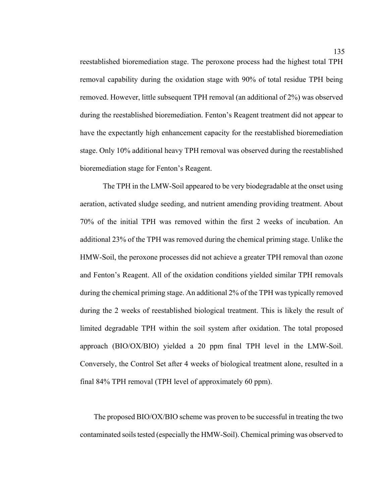reestablished bioremediation stage. The peroxone process had the highest total TPH removal capability during the oxidation stage with 90% of total residue TPH being removed. However, little subsequent TPH removal (an additional of 2%) was observed during the reestablished bioremediation. Fenton's Reagent treatment did not appear to have the expectantly high enhancement capacity for the reestablished bioremediation stage. Only 10% additional heavy TPH removal was observed during the reestablished bioremediation stage for Fenton's Reagent.

The TPH in the LMW-Soil appeared to be very biodegradable at the onset using aeration, activated sludge seeding, and nutrient amending providing treatment. About 70% of the initial TPH was removed within the first 2 weeks of incubation. An additional 23% of the TPH was removed during the chemical priming stage. Unlike the HMW-Soil, the peroxone processes did not achieve a greater TPH removal than ozone and Fenton's Reagent. All of the oxidation conditions yielded similar TPH removals during the chemical priming stage. An additional 2% of the TPH was typically removed during the 2 weeks of reestablished biological treatment. This is likely the result of limited degradable TPH within the soil system after oxidation. The total proposed approach (BIO/OX/BIO) yielded a 20 ppm final TPH level in the LMW-Soil. Conversely, the Control Set after 4 weeks of biological treatment alone, resulted in a final 84% TPH removal (TPH level of approximately 60 ppm).

The proposed BIO/OX/BIO scheme was proven to be successful in treating the two contaminated soils tested (especially the HMW-Soil). Chemical priming was observed to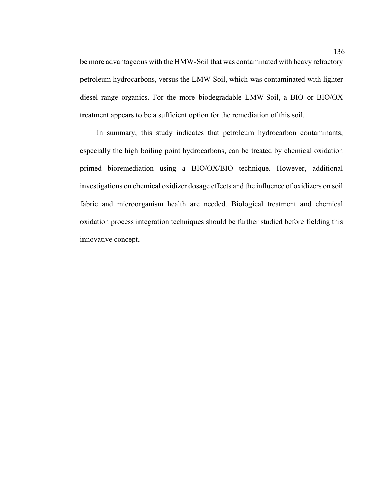be more advantageous with the HMW-Soil that was contaminated with heavy refractory petroleum hydrocarbons, versus the LMW-Soil, which was contaminated with lighter diesel range organics. For the more biodegradable LMW-Soil, a BIO or BIO/OX treatment appears to be a sufficient option for the remediation of this soil.

In summary, this study indicates that petroleum hydrocarbon contaminants, especially the high boiling point hydrocarbons, can be treated by chemical oxidation primed bioremediation using a BIO/OX/BIO technique. However, additional investigations on chemical oxidizer dosage effects and the influence of oxidizers on soil fabric and microorganism health are needed. Biological treatment and chemical oxidation process integration techniques should be further studied before fielding this innovative concept.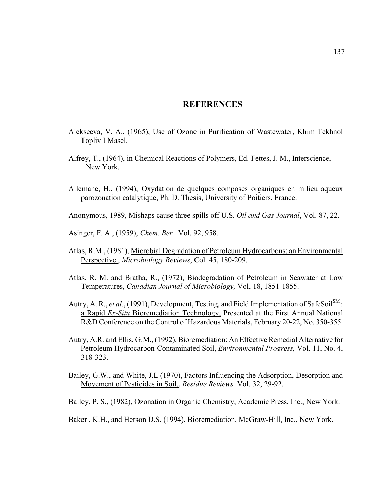## **REFERENCES**

- Alekseeva, V. A., (1965), Use of Ozone in Purification of Wastewater, Khim Tekhnol Topliv I Masel.
- Alfrey, T., (1964), in Chemical Reactions of Polymers, Ed. Fettes, J. M., Interscience, New York.
- Allemane, H., (1994), Oxydation de quelques composes organiques en milieu aqueux parozonation catalytique, Ph. D. Thesis, University of Poitiers, France.
- Anonymous, 1989, Mishaps cause three spills off U.S. *Oil and Gas Journal*, Vol. 87, 22.
- Asinger, F. A., (1959), *Chem. Ber.,* Vol. 92, 958.
- Atlas, R.M., (1981), Microbial Degradation of Petroleum Hydrocarbons: an Environmental Perspective., *Microbiology Reviews*, Col. 45, 180-209.
- Atlas, R. M. and Bratha, R., (1972), Biodegradation of Petroleum in Seawater at Low Temperatures, *Canadian Journal of Microbiology,* Vol. 18, 1851-1855.
- Autry, A. R., *et al.*, (1991), Development, Testing, and Field Implementation of SafeSoil<sup>SM</sup>: a Rapid *Ex-Situ* Bioremediation Technology, Presented at the First Annual National R&D Conference on the Control of Hazardous Materials, February 20-22, No. 350-355.
- Autry, A.R. and Ellis, G.M., (1992), Bioremediation: An Effective Remedial Alternative for Petroleum Hydrocarbon-Contaminated Soil, *Environmental Progress,* Vol. 11, No. 4, 318-323.
- Bailey, G.W., and White, J.L (1970), Factors Influencing the Adsorption, Desorption and Movement of Pesticides in Soil., *Residue Reviews,* Vol. 32, 29-92.
- Bailey, P. S., (1982), Ozonation in Organic Chemistry, Academic Press, Inc., New York.
- Baker , K.H., and Herson D.S. (1994), Bioremediation, McGraw-Hill, Inc., New York.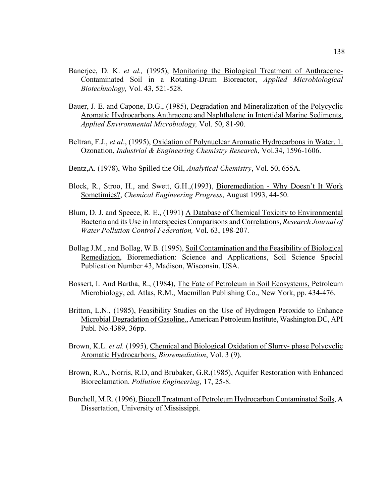- Banerjee, D. K. *et al.,* (1995), Monitoring the Biological Treatment of Anthracene-Contaminated Soil in a Rotating-Drum Bioreactor, *Applied Microbiological Biotechnology,* Vol. 43, 521-528.
- Bauer, J. E. and Capone, D.G., (1985), Degradation and Mineralization of the Polycyclic Aromatic Hydrocarbons Anthracene and Naphthalene in Intertidal Marine Sediments, *Applied Environmental Microbiology,* Vol. 50, 81-90.
- Beltran, F.J., *et al*., (1995), Oxidation of Polynuclear Aromatic Hydrocarbons in Water. 1. Ozonation, *Industrial & Engineering Chemistry Research*, Vol.34, 1596-1606.
- Bentz,A. (1978), Who Spilled the Oil, *Analytical Chemistry*, Vol. 50, 655A.
- Block, R., Stroo, H., and Swett, G.H.,(1993), Bioremediation Why Doesn't It Work Sometimies?, *Chemical Engineering Progress*, August 1993, 44-50.
- Blum, D. J. and Speece, R. E., (1991) A Database of Chemical Toxicity to Environmental Bacteria and its Use in Interspecies Comparisons and Correlations, *Research Journal of Water Pollution Control Federation,* Vol. 63, 198-207.
- Bollag J.M., and Bollag, W.B. (1995), Soil Contamination and the Feasibility of Biological Remediation, Bioremediation: Science and Applications, Soil Science Special Publication Number 43, Madison, Wisconsin, USA.
- Bossert, I. And Bartha, R., (1984), The Fate of Petroleum in Soil Ecosystems, Petroleum Microbiology, ed. Atlas, R.M., Macmillan Publishing Co., New York, pp. 434-476.
- Britton, L.N., (1985), Feasibility Studies on the Use of Hydrogen Peroxide to Enhance Microbial Degradation of Gasoline., American Petroleum Institute, Washington DC, API Publ. No.4389, 36pp.
- Brown, K.L. *et al.* (1995), Chemical and Biological Oxidation of Slurry- phase Polycyclic Aromatic Hydrocarbons, *Bioremediation*, Vol. 3 (9).
- Brown, R.A., Norris, R.D, and Brubaker, G.R.(1985), Aquifer Restoration with Enhanced Bioreclamation. *Pollution Engineering,* 17, 25-8.
- Burchell, M.R. (1996), Biocell Treatment of Petroleum Hydrocarbon Contaminated Soils, A Dissertation, University of Mississippi.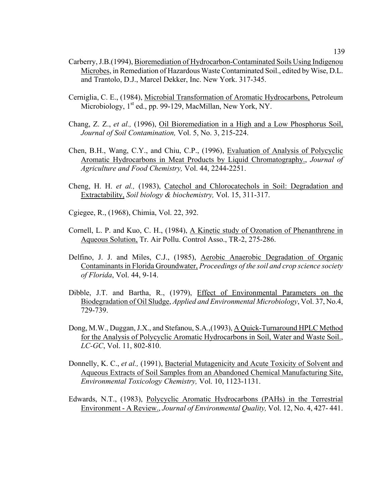- Carberry, J.B.(1994), Bioremediation of Hydrocarbon-Contaminated Soils Using Indigenou Microbes, in Remediation of Hazardous Waste Contaminated Soil., edited by Wise, D.L. and Trantolo, D.J., Marcel Dekker, Inc. New York. 317-345.
- Cerniglia, C. E., (1984), Microbial Transformation of Aromatic Hydrocarbons, Petroleum Microbiology, 1<sup>st</sup> ed., pp. 99-129, MacMillan, New York, NY.
- Chang, Z. Z., *et al.,* (1996), Oil Bioremediation in a High and a Low Phosphorus Soil, *Journal of Soil Contamination,* Vol. 5, No. 3, 215-224.
- Chen, B.H., Wang, C.Y., and Chiu, C.P., (1996), Evaluation of Analysis of Polycyclic Aromatic Hydrocarbons in Meat Products by Liquid Chromatography., *Journal of Agriculture and Food Chemistry,* Vol. 44, 2244-2251.
- Cheng, H. H. *et al.,* (1983), Catechol and Chlorocatechols in Soil: Degradation and Extractability, *Soil biology & biochemistry,* Vol. 15, 311-317.
- Cgiegee, R., (1968), Chimia, Vol. 22, 392.
- Cornell, L. P. and Kuo, C. H., (1984), A Kinetic study of Ozonation of Phenanthrene in Aqueous Solution, Tr. Air Pollu. Control Asso., TR-2, 275-286.
- Delfino, J. J. and Miles, C.J., (1985), Aerobic Anaerobic Degradation of Organic Contaminants in Florida Groundwater, *Proceedings of the soil and crop science society of Florida*, Vol. 44, 9-14.
- Dibble, J.T. and Bartha, R., (1979), Effect of Environmental Parameters on the Biodegradation of Oil Sludge, *Applied and Environmental Microbiology*, Vol. 37, No.4, 729-739.
- Dong, M.W., Duggan, J.X., and Stefanou, S.A.,(1993), A Quick-Turnaround HPLC Method for the Analysis of Polycyclic Aromatic Hydrocarbons in Soil, Water and Waste Soil., *LC-GC*, Vol. 11, 802-810.
- Donnelly, K. C., *et al.,* (1991), Bacterial Mutagenicity and Acute Toxicity of Solvent and Aqueous Extracts of Soil Samples from an Abandoned Chemical Manufacturing Site, *Environmental Toxicology Chemistry,* Vol. 10, 1123-1131.
- Edwards, N.T., (1983), Polycyclic Aromatic Hydrocarbons (PAHs) in the Terrestrial Environment - A Review., *Journal of Environmental Quality,* Vol. 12, No. 4, 427- 441.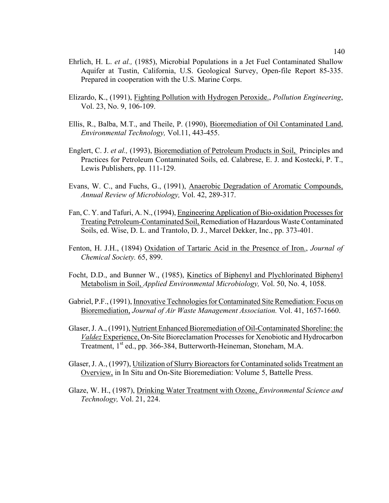- Ehrlich, H. L. *et al.,* (1985), Microbial Populations in a Jet Fuel Contaminated Shallow Aquifer at Tustin, California, U.S. Geological Survey, Open-file Report 85-335. Prepared in cooperation with the U.S. Marine Corps.
- Elizardo, K., (1991), Fighting Pollution with Hydrogen Peroxide., *Pollution Engineering*, Vol. 23, No. 9, 106-109.
- Ellis, R., Balba, M.T., and Theile, P. (1990), Bioremediation of Oil Contaminated Land, *Environmental Technology,* Vol.11, 443-455.
- Englert, C. J. *et al.,* (1993), Bioremediation of Petroleum Products in Soil, Principles and Practices for Petroleum Contaminated Soils, ed. Calabrese, E. J. and Kostecki, P. T., Lewis Publishers, pp. 111-129.
- Evans, W. C., and Fuchs, G., (1991), Anaerobic Degradation of Aromatic Compounds, *Annual Review of Microbiology,* Vol. 42, 289-317.
- Fan, C. Y. and Tafuri, A. N., (1994), Engineering Application of Bio-oxidation Processes for Treating Petroleum-Contaminated Soil, Remediation of Hazardous Waste Contaminated Soils, ed. Wise, D. L. and Trantolo, D. J., Marcel Dekker, Inc., pp. 373-401.
- Fenton, H. J.H., (1894) Oxidation of Tartaric Acid in the Presence of Iron., *Journal of Chemical Society.* 65, 899.
- Focht, D.D., and Bunner W., (1985), Kinetics of Biphenyl and Plychlorinated Biphenyl Metabolism in Soil, *Applied Environmental Microbiology,* Vol. 50, No. 4, 1058.
- Gabriel, P.F., (1991), Innovative Technologies for Contaminated Site Remediation: Focus on Bioremediation, *Journal of Air Waste Management Association.* Vol. 41, 1657-1660.
- Glaser, J. A., (1991), Nutrient Enhanced Bioremediation of Oil-Contaminated Shoreline: the *Valdez* Experience, On-Site Bioreclamation Processes for Xenobiotic and Hydrocarbon Treatment, 1<sup>st</sup> ed., pp. 366-384, Butterworth-Heineman, Stoneham, M.A.
- Glaser, J. A., (1997), Utilization of Slurry Bioreactors for Contaminated solids Treatment an Overview, in In Situ and On-Site Bioremediation: Volume 5, Battelle Press.
- Glaze, W. H., (1987), Drinking Water Treatment with Ozone, *Environmental Science and Technology,* Vol. 21, 224.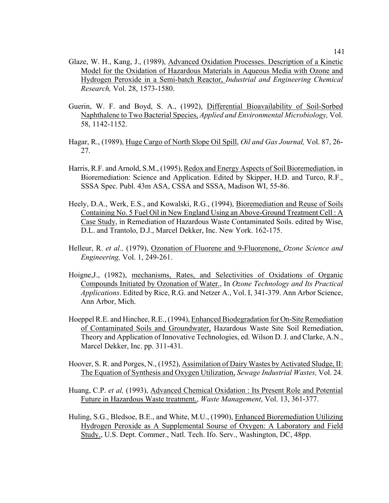- Glaze, W. H., Kang, J., (1989), Advanced Oxidation Processes. Description of a Kinetic Model for the Oxidation of Hazardous Materials in Aqueous Media with Ozone and Hydrogen Peroxide in a Semi-batch Reactor, *Industrial and Engineering Chemical Research,* Vol. 28, 1573-1580.
- Guerin, W. F. and Boyd, S. A., (1992), Differential Bioavailability of Soil-Sorbed Naphthalene to Two Bacterial Species, *Applied and Environmental Microbiology,* Vol. 58, 1142-1152.
- Hagar, R., (1989), Huge Cargo of North Slope Oil Spill, *Oil and Gas Journal,* Vol. 87, 26- 27.
- Harris, R.F. and Arnold, S.M., (1995), Redox and Energy Aspects of Soil Bioremediation, in Bioremediation: Science and Application. Edited by Skipper, H.D. and Turco, R.F., SSSA Spec. Publ. 43m ASA, CSSA and SSSA, Madison WI, 55-86.
- Heely, D.A., Werk, E.S., and Kowalski, R.G., (1994), Bioremediation and Reuse of Soils Containing No. 5 Fuel Oil in New England Using an Above-Ground Treatment Cell : A Case Study, in Remediation of Hazardous Waste Contaminated Soils. edited by Wise, D.L. and Trantolo, D.J., Marcel Dekker, Inc. New York. 162-175.
- Helleur, R. *et al.*, (1979), Ozonation of Fluorene and 9-Fluorenone, Ozone Science and *Engineering,* Vol. 1, 249-261.
- Hoigne,J., (1982), mechanisms, Rates, and Selectivities of Oxidations of Organic Compounds Initiated by Ozonation of Water., In *Ozone Technology and Its Practical Applications*. Edited by Rice, R.G. and Netzer A., Vol. I, 341-379. Ann Arbor Science, Ann Arbor, Mich.
- Hoeppel R.E. and Hinchee, R.E., (1994), Enhanced Biodegradation for On-Site Remediation of Contaminated Soils and Groundwater, Hazardous Waste Site Soil Remediation, Theory and Application of Innovative Technologies, ed. Wilson D. J. and Clarke, A.N., Marcel Dekker, Inc. pp. 311-431.
- Hoover, S. R. and Porges, N., (1952), Assimilation of Dairy Wastes by Activated Sludge, II: The Equation of Synthesis and Oxygen Utilization, *Sewage Industrial Wastes,* Vol. 24.
- Huang, C.P. *et al,* (1993), Advanced Chemical Oxidation : Its Present Role and Potential Future in Hazardous Waste treatment., *Waste Management*, Vol. 13, 361-377.
- Huling, S.G., Bledsoe, B.E., and White, M.U., (1990), Enhanced Bioremediation Utilizing Hydrogen Peroxide as A Supplemental Sourse of Oxygen: A Laboratory and Field Study., U.S. Dept. Commer., Natl. Tech. Ifo. Serv., Washington, DC, 48pp.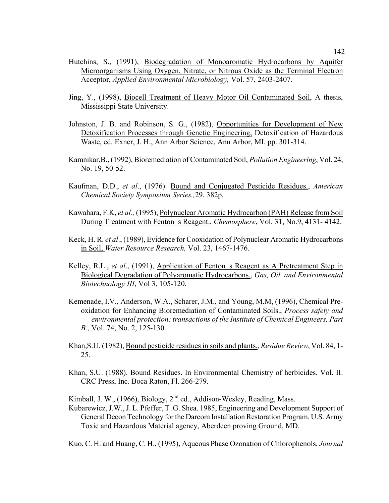- Hutchins, S., (1991), Biodegradation of Monoaromatic Hydrocarbons by Aquifer Microorganisms Using Oxygen, Nitrate, or Nitrous Oxide as the Terminal Electron Acceptor, *Applied Environmental Microbiology,* Vol. 57, 2403-2407.
- Jing, Y., (1998), Biocell Treatment of Heavy Motor Oil Contaminated Soil, A thesis, Mississippi State University.
- Johnston, J. B. and Robinson, S. G., (1982), Opportunities for Development of New Detoxification Processes through Genetic Engineering, Detoxification of Hazardous Waste, ed. Exner, J. H., Ann Arbor Science, Ann Arbor, MI. pp. 301-314.
- Kamnikar,B., (1992), Bioremediation of Contaminated Soil, *Pollution Engineering*, Vol. 24, No. 19, 50-52.
- Kaufman, D.D., *et al*., (1976). Bound and Conjugated Pesticide Residues., *American Chemical Society Symposium Series.,*29. 382p.
- Kawahara, F.K, *et al.,* (1995), Polynuclear Aromatic Hydrocarbon (PAH) Release from Soil During Treatment with Fenton s Reagent., *Chemosphere*, Vol. 31, No.9, 4131- 4142.
- Keck, H. R. *et al*., (1989), Evidence for Cooxidation of Polynuclear Aromatic Hydrocarbons in Soil, *Water Resource Research,* Vol. 23, 1467-1476.
- Kelley, R.L., *et al.*, (1991), Application of Fenton s Reagent as A Pretreatment Step in Biological Degradation of Polyaromatic Hydrocarbons., *Gas, Oil, and Environmental Biotechnology III*, Vol 3, 105-120.
- Kemenade, I.V., Anderson, W.A., Scharer, J.M., and Young, M.M, (1996), Chemical Preoxidation for Enhancing Bioremediation of Contaminated Soils., *Process safety and environmental protection: transactions of the Institute of Chemical Engineers, Part B.*, Vol. 74, No. 2, 125-130.
- Khan,S.U. (1982), Bound pesticide residues in soils and plants., *Residue Review*, Vol. 84, 1- 25.
- Khan, S.U. (1988). Bound Residues. In Environmental Chemistry of herbicides. Vol. II. CRC Press, Inc. Boca Raton, Fl. 266-279.

Kimball, J. W., (1966), Biology,  $2<sup>nd</sup>$  ed., Addison-Wesley, Reading, Mass.

Kubarewicz, J.W., J. L. Pfeffer, T .G. Shea. 1985, Engineering and Development Support of General Decon Technology for the Darcom Installation Restoration Program. U.S. Army Toxic and Hazardous Material agency, Aberdeen proving Ground, MD.

Kuo, C. H. and Huang, C. H., (1995), Aqueous Phase Ozonation of Chlorophenols, *Journal*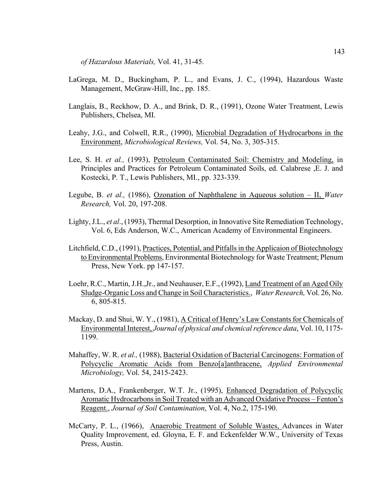*of Hazardous Materials,* Vol. 41, 31-45.

- LaGrega, M. D., Buckingham, P. L., and Evans, J. C., (1994), Hazardous Waste Management, McGraw-Hill, Inc., pp. 185.
- Langlais, B., Reckhow, D. A., and Brink, D. R., (1991), Ozone Water Treatment, Lewis Publishers, Chelsea, MI.
- Leahy, J.G., and Colwell, R.R., (1990), Microbial Degradation of Hydrocarbons in the Environment, *Microbiological Reviews,* Vol. 54, No. 3, 305-315.
- Lee, S. H. *et al.,* (1993), Petroleum Contaminated Soil: Chemistry and Modeling, in Principles and Practices for Petroleum Contaminated Soils, ed. Calabrese ,E. J. and Kostecki, P. T., Lewis Publishers, MI., pp. 323-339.
- Legube, B. *et al.,* (1986), Ozonation of Naphthalene in Aqueous solution II, *Water Research,* Vol. 20, 197-208.
- Lighty, J.L., *et al*., (1993), Thermal Desorption, in Innovative Site Remediation Technology, Vol. 6, Eds Anderson, W.C., American Academy of Environmental Engineers.
- Litchfield, C.D., (1991), Practices, Potential, and Pitfalls in the Applicaion of Biotechnology to Environmental Problems, Environmental Biotechnology for Waste Treatment; Plenum Press, New York. pp 147-157.
- Loehr, R.C., Martin, J.H.,Jr., and Neuhauser, E.F., (1992), Land Treatment of an Aged Oily Sludge-Organic Loss and Change in Soil Characteristics., *Water Research,* Vol. 26, No. 6, 805-815.
- Mackay, D. and Shui, W. Y., (1981), A Critical of Henry's Law Constants for Chemicals of Environmental Interest, *Journal of physical and chemical reference data*, Vol. 10, 1175- 1199.
- Mahaffey, W. R. *et al.,* (1988), Bacterial Oxidation of Bacterial Carcinogens: Formation of Polycyclic Aromatic Acids from Benzo[a]anthracene, *Applied Environmental Microbiology,* Vol. 54, 2415-2423.
- Martens, D.A., Frankenberger, W.T. Jr., (1995), Enhanced Degradation of Polycyclic Aromatic Hydrocarbons in Soil Treated with an Advanced Oxidative Process – Fenton's Reagent., *Journal of Soil Contamination*, Vol. 4, No.2, 175-190.
- McCarty, P. L., (1966), Anaerobic Treatment of Soluble Wastes, Advances in Water Quality Improvement, ed. Gloyna, E. F. and Eckenfelder W.W., University of Texas Press, Austin.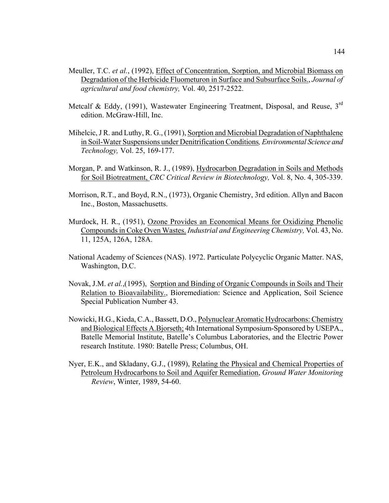- Meuller, T.C. *et al.*, (1992), Effect of Concentration, Sorption, and Microbial Biomass on Degradation of the Herbicide Fluometuron in Surface and Subsurface Soils., *Journal of agricultural and food chemistry,* Vol. 40, 2517-2522.
- Metcalf & Eddy, (1991), Wastewater Engineering Treatment, Disposal, and Reuse,  $3<sup>rd</sup>$ edition. McGraw-Hill, Inc.
- Mihelcic, J R. and Luthy, R. G., (1991), Sorption and Microbial Degradation of Naphthalene in Soil-Water Suspensions under Denitrification Conditions*, Environmental Science and Technology,* Vol. 25, 169-177.
- Morgan, P. and Watkinson, R. J., (1989), Hydrocarbon Degradation in Soils and Methods for Soil Biotreatment, *CRC Critical Review in Biotechnology,* Vol. 8, No. 4, 305-339.
- Morrison, R.T., and Boyd, R.N., (1973), Organic Chemistry, 3rd edition. Allyn and Bacon Inc., Boston, Massachusetts.
- Murdock, H. R., (1951), Ozone Provides an Economical Means for Oxidizing Phenolic Compounds in Coke Oven Wastes. *Industrial and Engineering Chemistry,* Vol. 43, No. 11, 125A, 126A, 128A.
- National Academy of Sciences (NAS). 1972. Particulate Polycyclic Organic Matter. NAS, Washington, D.C.
- Novak, J.M. *et al.*,(1995), Sorption and Binding of Organic Compounds in Soils and Their Relation to Bioavailability., Bioremediation: Science and Application, Soil Science Special Publication Number 43.
- Nowicki, H.G., Kieda, C.A., Bassett, D.O., Polynuclear Aromatic Hydrocarbons: Chemistry and Biological Effects A.Bjorseth; 4th International Symposium-Sponsored by USEPA., Batelle Memorial Institute, Batelle's Columbus Laboratories, and the Electric Power research Institute. 1980: Batelle Press; Columbus, OH.
- Nyer, E.K., and Skladany, G.J., (1989), Relating the Physical and Chemical Properties of Petroleum Hydrocarbons to Soil and Aquifer Remediation, *Ground Water Monitoring Review*, Winter, 1989, 54-60.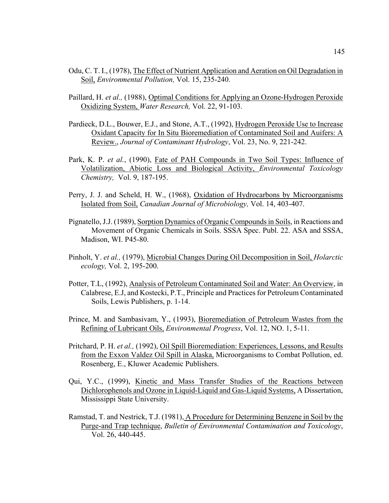- Odu, C. T. I., (1978), The Effect of Nutrient Application and Aeration on Oil Degradation in Soil, *Environmental Pollution,* Vol. 15, 235-240.
- Paillard, H. *et al.,* (1988), Optimal Conditions for Applying an Ozone-Hydrogen Peroxide Oxidizing System, *Water Research,* Vol. 22, 91-103.
- Pardieck, D.L., Bouwer, E.J., and Stone, A.T., (1992), Hydrogen Peroxide Use to Increase Oxidant Capacity for In Situ Bioremediation of Contaminated Soil and Auifers: A Review., *Journal of Contaminant Hydrology*, Vol. 23, No. 9, 221-242.
- Park, K. P. *et al.*, (1990), Fate of PAH Compounds in Two Soil Types: Influence of Volatilization, Abiotic Loss and Biological Activity, *Environmental Toxicology Chemistry,* Vol. 9, 187-195.
- Perry, J. J. and Scheld, H. W., (1968), Oxidation of Hydrocarbons by Microorganisms Isolated from Soil, *Canadian Journal of Microbiology,* Vol. 14, 403-407.
- Pignatello, J.J. (1989), Sorption Dynamics of Organic Compounds in Soils, in Reactions and Movement of Organic Chemicals in Soils. SSSA Spec. Publ. 22. ASA and SSSA, Madison, WI. P45-80.
- Pinholt, Y. *et al.,* (1979), Microbial Changes During Oil Decomposition in Soil, *Holarctic ecology,* Vol. 2, 195-200.
- Potter, T.L, (1992), Analysis of Petroleum Contaminated Soil and Water: An Overview, in Calabrese, E.J, and Kostecki, P.T., Principle and Practices for Petroleum Contaminated Soils, Lewis Publishers, p. 1-14.
- Prince, M. and Sambasivam, Y., (1993), Bioremediation of Petroleum Wastes from the Refining of Lubricant Oils, *Environmental Progress*, Vol. 12, NO. 1, 5-11.
- Pritchard, P. H. *et al.,* (1992), Oil Spill Bioremediation: Experiences, Lessons, and Results from the Exxon Valdez Oil Spill in Alaska, Microorganisms to Combat Pollution, ed. Rosenberg, E., Kluwer Academic Publishers.
- Qui, Y.C., (1999), Kinetic and Mass Transfer Studies of the Reactions between Dichlorophenols and Ozone in Liquid-Liquid and Gas-Liquid Systems, A Dissertation, Mississippi State University.
- Ramstad, T. and Nestrick, T.J. (1981), A Procedure for Determining Benzene in Soil by the Purge-and Trap technique, *Bulletin of Environmental Contamination and Toxicology*, Vol. 26, 440-445.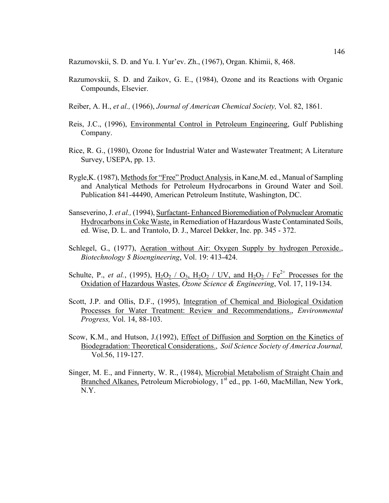Razumovskii, S. D. and Yu. I. Yur'ev. Zh., (1967), Organ. Khimii, 8, 468.

- Razumovskii, S. D. and Zaikov, G. E., (1984), Ozone and its Reactions with Organic Compounds, Elsevier.
- Reiber, A. H., *et al.,* (1966), *Journal of American Chemical Society,* Vol. 82, 1861.
- Reis, J.C., (1996), Environmental Control in Petroleum Engineering, Gulf Publishing Company.
- Rice, R. G., (1980), Ozone for Industrial Water and Wastewater Treatment; A Literature Survey, USEPA, pp. 13.
- Rygle,K. (1987), Methods for "Free" Product Analysis, in Kane,M. ed., Manual of Sampling and Analytical Methods for Petroleum Hydrocarbons in Ground Water and Soil. Publication 841-44490, American Petroleum Institute, Washington, DC.
- Sanseverino, J. *et al.,* (1994), Surfactant- Enhanced Bioremediation of Polynuclear Aromatic Hydrocarbons in Coke Waste, in Remediation of Hazardous Waste Contaminated Soils, ed. Wise, D. L. and Trantolo, D. J., Marcel Dekker, Inc. pp. 345 - 372.
- Schlegel, G., (1977), Aeration without Air: Oxygen Supply by hydrogen Peroxide., *Biotechnology \$ Bioengineering*, Vol. 19: 413-424.
- Schulte, P., *et al.*, (1995),  $H_2O_2$  /  $O_3$ ,  $H_2O_2$  / UV, and  $H_2O_2$  /  $Fe^{2+}$  Processes for the Oxidation of Hazardous Wastes, *Ozone Science & Engineering*, Vol. 17, 119-134.
- Scott, J.P. and Ollis, D.F., (1995), Integration of Chemical and Biological Oxidation Processes for Water Treatment: Review and Recommendations., *Environmental Progress,* Vol. 14, 88-103.
- Scow, K.M., and Hutson, J.(1992), Effect of Diffusion and Sorption on the Kinetics of Biodegradation: Theoretical Considerations., *Soil Science Society of America Journal,* Vol.56, 119-127.
- Singer, M. E., and Finnerty, W. R., (1984), Microbial Metabolism of Straight Chain and Branched Alkanes, Petroleum Microbiology, 1<sup>st</sup> ed., pp. 1-60, MacMillan, New York, N.Y.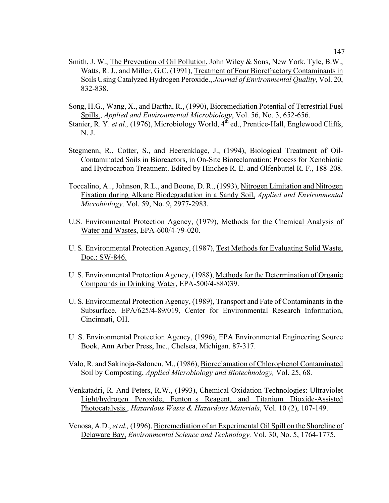- Smith, J. W., The Prevention of Oil Pollution, John Wiley & Sons, New York. Tyle, B.W., Watts, R. J., and Miller, G.C. (1991), Treatment of Four Biorefractory Contaminants in Soils Using Catalyzed Hydrogen Peroxide., *Journal of Environmental Quality*, Vol. 20, 832-838.
- Song, H.G., Wang, X., and Bartha, R., (1990), Bioremediation Potential of Terrestrial Fuel Spills., *Applied and Environmental Microbiology*, Vol. 56, No. 3, 652-656.
- Stanier, R. Y. *et al.*, (1976), Microbiology World, 4<sup>th</sup> ed., Prentice-Hall, Englewood Cliffs, N. J.
- Stegmenn, R., Cotter, S., and Heerenklage, J., (1994), Biological Treatment of Oil-Contaminated Soils in Bioreactors, in On-Site Bioreclamation: Process for Xenobiotic and Hydrocarbon Treatment. Edited by Hinchee R. E. and Olfenbuttel R. F., 188-208.
- Toccalino, A.., Johnson, R.L., and Boone, D. R., (1993), Nitrogen Limitation and Nitrogen Fixation during Alkane Biodegradation in a Sandy Soil, *Applied and Environmental Microbiology,* Vol. 59, No. 9, 2977-2983.
- U.S. Environmental Protection Agency, (1979), Methods for the Chemical Analysis of Water and Wastes, EPA-600/4-79-020.
- U. S. Environmental Protection Agency, (1987), Test Methods for Evaluating Solid Waste, Doc.: SW-846.
- U. S. Environmental Protection Agency, (1988), Methods for the Determination of Organic Compounds in Drinking Water, EPA-500/4-88/039.
- U. S. Environmental Protection Agency, (1989), Transport and Fate of Contaminants in the Subsurface, EPA/625/4-89/019, Center for Environmental Research Information, Cincinnati, OH.
- U. S. Environmental Protection Agency, (1996), EPA Environmental Engineering Source Book, Ann Arber Press, Inc., Chelsea, Michigan. 87-317.
- Valo, R. and Sakinoja-Salonen, M., (1986), Bioreclamation of Chlorophenol Contaminated Soil by Composting, *Applied Microbiology and Biotechnology,* Vol. 25, 68.
- Venkatadri, R. And Peters, R.W., (1993), Chemical Oxidation Technologies: Ultraviolet Light/hydrogen Peroxide, Fenton s Reagent, and Titanium Dioxide-Assisted Photocatalysis., *Hazardous Waste & Hazardous Materials*, Vol. 10 (2), 107-149.
- Venosa, A.D., *et al.,* (1996), Bioremediation of an Experimental Oil Spill on the Shoreline of Delaware Bay, *Environmental Science and Technology,* Vol. 30, No. 5, 1764-1775.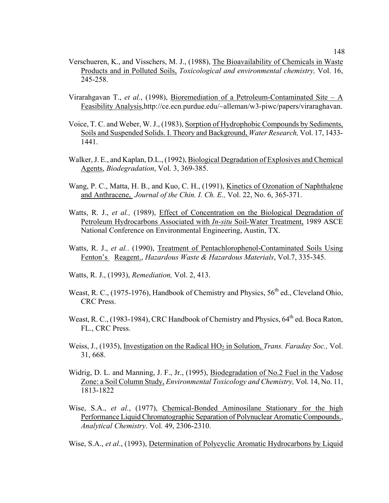- Verschueren, K., and Visschers, M. J., (1988), The Bioavailability of Chemicals in Waste Products and in Polluted Soils, *Toxicological and environmental chemistry,* Vol. 16, 245-258.
- Virarahgavan T., *et al.*, (1998), Bioremediation of a Petroleum-Contaminated Site A Feasibility Analysis,http://ce.ecn.purdue.edu/~alleman/w3-piwc/papers/viraraghavan.
- Voice, T. C. and Weber, W. J., (1983), Sorption of Hydrophobic Compounds by Sediments, Soils and Suspended Solids. I. Theory and Background, *Water Research,* Vol. 17, 1433- 1441.
- Walker, J. E., and Kaplan, D.L., (1992), Biological Degradation of Explosives and Chemical Agents, *Biodegradation*, Vol. 3, 369-385.
- Wang, P. C., Matta, H. B., and Kuo, C. H., (1991), Kinetics of Ozonation of Naphthalene and Anthracene, *Journal of the Chin. I. Ch. E.,* Vol. 22, No. 6, 365-371.
- Watts, R. J., *et al.*, (1989), *Effect* of Concentration on the Biological Degradation of Petroleum Hydrocarbons Associated with *In-situ* Soil-Water Treatment, 1989 ASCE National Conference on Environmental Engineering, Austin, TX.
- Watts, R. J., *et al.*. (1990), Treatment of Pentachlorophenol-Contaminated Soils Using Fenton's Reagent., *Hazardous Waste & Hazardous Materials*, Vol.7, 335-345.
- Watts, R. J., (1993), *Remediation,* Vol. 2, 413.
- Weast, R. C., (1975-1976), Handbook of Chemistry and Physics,  $56<sup>th</sup>$  ed., Cleveland Ohio, CRC Press.
- Weast, R. C., (1983-1984), CRC Handbook of Chemistry and Physics,  $64<sup>th</sup>$  ed. Boca Raton, FL., CRC Press.
- Weiss, J., (1935), Investigation on the Radical HO<sub>2</sub> in Solution, *Trans. Faraday Soc.*, Vol. 31, 668.
- Widrig, D. L. and Manning, J. F., Jr., (1995), Biodegradation of No.2 Fuel in the Vadose Zone: a Soil Column Study, *Environmental Toxicology and Chemistry,* Vol. 14, No. 11, 1813-1822
- Wise, S.A., *et al.*, (1977), Chemical-Bonded Aminosilane Stationary for the high Performance Liquid Chromatographic Separation of Polynuclear Aromatic Compounds., *Analytical Chemistry*. Vol. 49, 2306-2310.

Wise, S.A., *et al*., (1993), Determination of Polycyclic Aromatic Hydrocarbons by Liquid